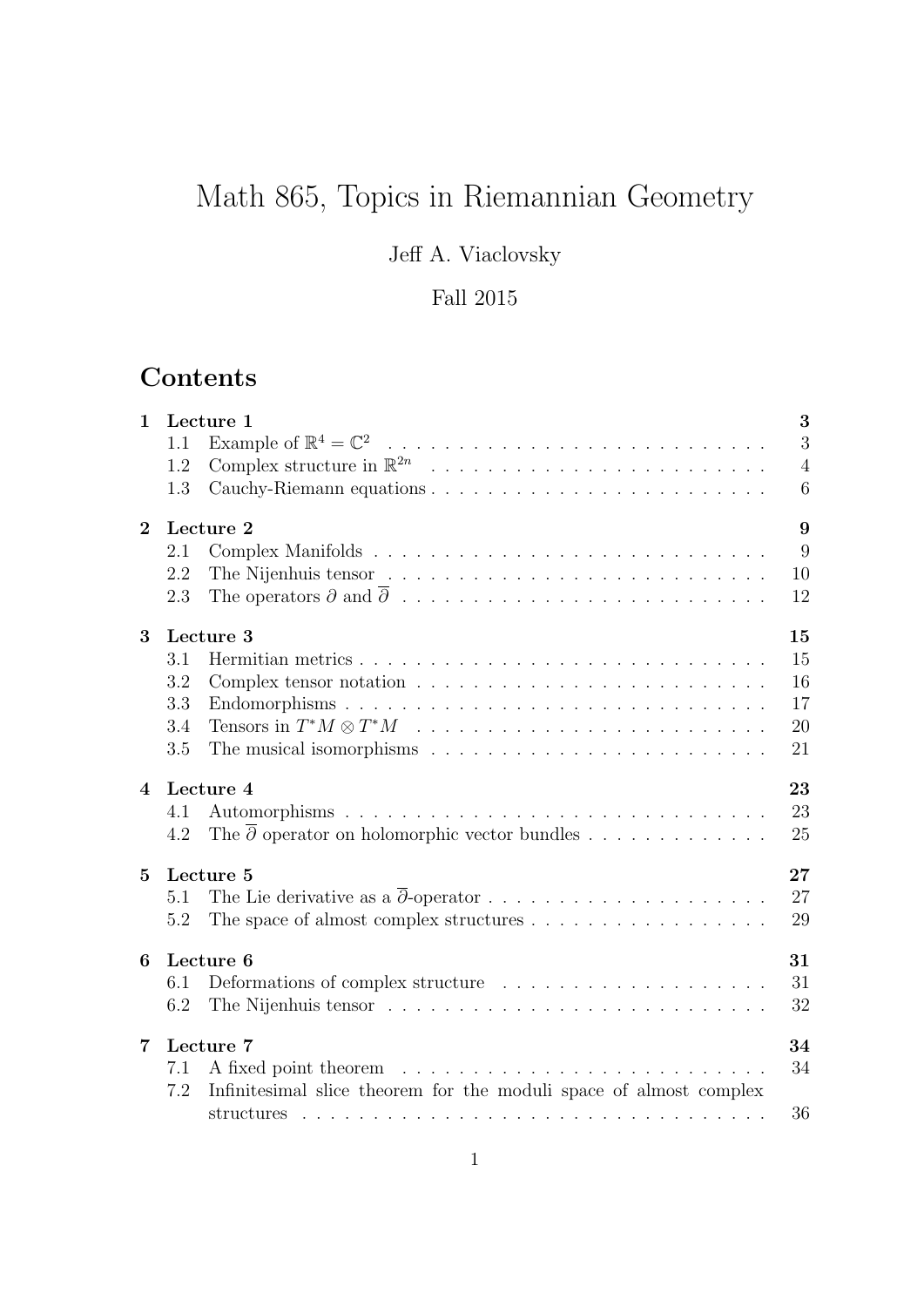# Math 865, Topics in Riemannian Geometry

Jeff A. Viaclovsky

# Fall 2015

# **Contents**

| $\mathbf{1}$   | 3<br>Lecture 1<br>3<br>1.1<br>$\overline{4}$<br>1.2<br>Cauchy-Riemann equations<br>6<br>1.3                                                                                                                                                               |
|----------------|-----------------------------------------------------------------------------------------------------------------------------------------------------------------------------------------------------------------------------------------------------------|
| $\overline{2}$ | 9<br>Lecture 2<br>9<br>2.1<br>10<br>2.2<br>12<br>2.3                                                                                                                                                                                                      |
| 3              | 15<br>Lecture 3<br>15<br>3.1<br>16<br>3.2<br>Complex tensor notation $\ldots \ldots \ldots \ldots \ldots \ldots \ldots \ldots$<br>3.3<br>17<br>20<br>3.4<br>The musical isomorphisms $\dots \dots \dots \dots \dots \dots \dots \dots \dots$<br>3.5<br>21 |
| $\overline{4}$ | 23<br>Lecture 4<br>23<br>4.1<br>The $\overline{\partial}$ operator on holomorphic vector bundles<br>25<br>4.2                                                                                                                                             |
| $\mathbf{5}$   | 27<br>Lecture 5<br>27<br>5.1<br>29<br>The space of almost complex structures $\dots \dots \dots \dots \dots \dots$<br>5.2                                                                                                                                 |
| 6              | Lecture 6<br>31<br>Deformations of complex structure $\ldots \ldots \ldots \ldots \ldots \ldots \ldots$<br>31<br>6.1<br>32<br>6.2                                                                                                                         |
| $\overline{7}$ | Lecture 7<br>34<br>34<br>7.1<br>Infinitesimal slice theorem for the moduli space of almost complex<br>7.2<br>36                                                                                                                                           |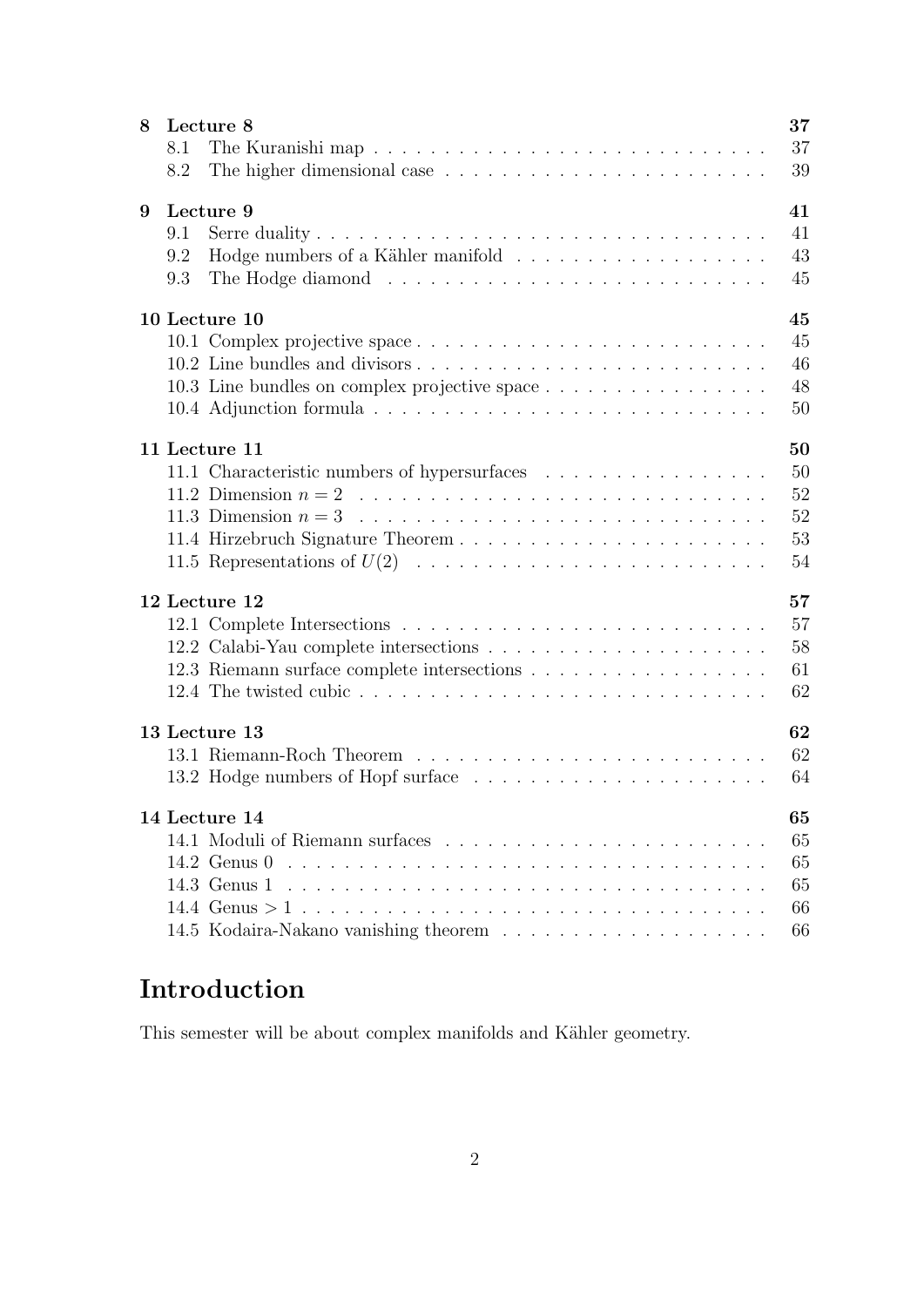| 8 | Lecture 8                                     |  |  |  |  |  |  |
|---|-----------------------------------------------|--|--|--|--|--|--|
|   | 8.1                                           |  |  |  |  |  |  |
|   | 8.2                                           |  |  |  |  |  |  |
| 9 | Lecture 9                                     |  |  |  |  |  |  |
|   | 9.1                                           |  |  |  |  |  |  |
|   | 9.2                                           |  |  |  |  |  |  |
|   | 9.3                                           |  |  |  |  |  |  |
|   | 45<br>10 Lecture 10                           |  |  |  |  |  |  |
|   |                                               |  |  |  |  |  |  |
|   |                                               |  |  |  |  |  |  |
|   | 10.3 Line bundles on complex projective space |  |  |  |  |  |  |
|   |                                               |  |  |  |  |  |  |
|   | 11 Lecture 11                                 |  |  |  |  |  |  |
|   | 11.1 Characteristic numbers of hypersurfaces  |  |  |  |  |  |  |
|   |                                               |  |  |  |  |  |  |
|   |                                               |  |  |  |  |  |  |
|   |                                               |  |  |  |  |  |  |
|   |                                               |  |  |  |  |  |  |
|   | 12 Lecture 12                                 |  |  |  |  |  |  |
|   |                                               |  |  |  |  |  |  |
|   |                                               |  |  |  |  |  |  |
|   |                                               |  |  |  |  |  |  |
|   |                                               |  |  |  |  |  |  |
|   | 62<br>13 Lecture 13                           |  |  |  |  |  |  |
|   |                                               |  |  |  |  |  |  |
|   |                                               |  |  |  |  |  |  |
|   | 14 Lecture 14                                 |  |  |  |  |  |  |
|   |                                               |  |  |  |  |  |  |
|   | 14.2 Genus $0$                                |  |  |  |  |  |  |
|   | 14.3 Genus $1$                                |  |  |  |  |  |  |
|   |                                               |  |  |  |  |  |  |
|   |                                               |  |  |  |  |  |  |

# Introduction

This semester will be about complex manifolds and Kähler geometry.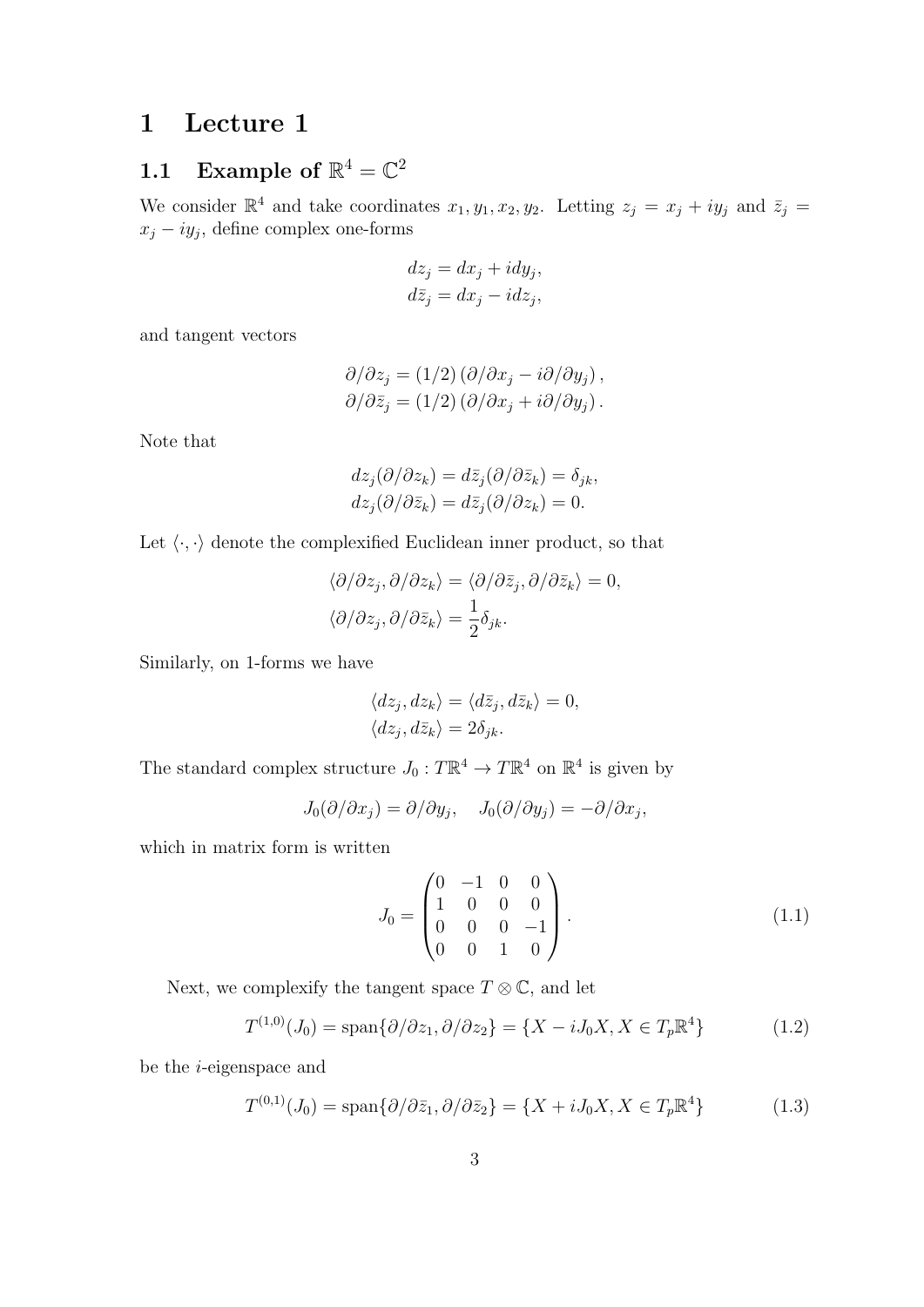# 1 Lecture 1

# 1.1 Example of  $\mathbb{R}^4 = \mathbb{C}^2$

We consider  $\mathbb{R}^4$  and take coordinates  $x_1, y_1, x_2, y_2$ . Letting  $z_j = x_j + iy_j$  and  $\bar{z}_j = z_j$  $x_j - iy_j$ , define complex one-forms

$$
dz_j = dx_j + i dy_j,
$$
  

$$
d\bar{z}_j = dx_j - i dz_j,
$$

and tangent vectors

$$
\partial/\partial z_j = (1/2) (\partial/\partial x_j - i \partial/\partial y_j), \partial/\partial \bar{z}_j = (1/2) (\partial/\partial x_j + i \partial/\partial y_j).
$$

Note that

$$
dz_j(\partial/\partial z_k) = d\overline{z}_j(\partial/\partial \overline{z}_k) = \delta_{jk},
$$
  
\n
$$
dz_j(\partial/\partial \overline{z}_k) = d\overline{z}_j(\partial/\partial z_k) = 0.
$$

Let  $\langle \cdot, \cdot \rangle$  denote the complexified Euclidean inner product, so that

$$
\langle \partial/\partial z_j, \partial/\partial z_k \rangle = \langle \partial/\partial \bar{z}_j, \partial/\partial \bar{z}_k \rangle = 0,
$$
  

$$
\langle \partial/\partial z_j, \partial/\partial \bar{z}_k \rangle = \frac{1}{2} \delta_{jk}.
$$

Similarly, on 1-forms we have

$$
\langle dz_j, dz_k \rangle = \langle d\bar{z}_j, d\bar{z}_k \rangle = 0, \langle dz_j, d\bar{z}_k \rangle = 2\delta_{jk}.
$$

The standard complex structure  $J_0: T\mathbb{R}^4 \to T\mathbb{R}^4$  on  $\mathbb{R}^4$  is given by

$$
J_0(\partial/\partial x_j) = \partial/\partial y_j, \quad J_0(\partial/\partial y_j) = -\partial/\partial x_j,
$$

which in matrix form is written

$$
J_0 = \begin{pmatrix} 0 & -1 & 0 & 0 \\ 1 & 0 & 0 & 0 \\ 0 & 0 & 0 & -1 \\ 0 & 0 & 1 & 0 \end{pmatrix} .
$$
 (1.1)

Next, we complexify the tangent space  $T \otimes \mathbb{C}$ , and let

$$
T^{(1,0)}(J_0) = \text{span}\{\partial/\partial z_1, \partial/\partial z_2\} = \{X - iJ_0X, X \in T_p\mathbb{R}^4\}
$$
(1.2)

be the i-eigenspace and

$$
T^{(0,1)}(J_0) = \text{span}\{\partial/\partial \bar{z}_1, \partial/\partial \bar{z}_2\} = \{X + iJ_0X, X \in T_p\mathbb{R}^4\}
$$
(1.3)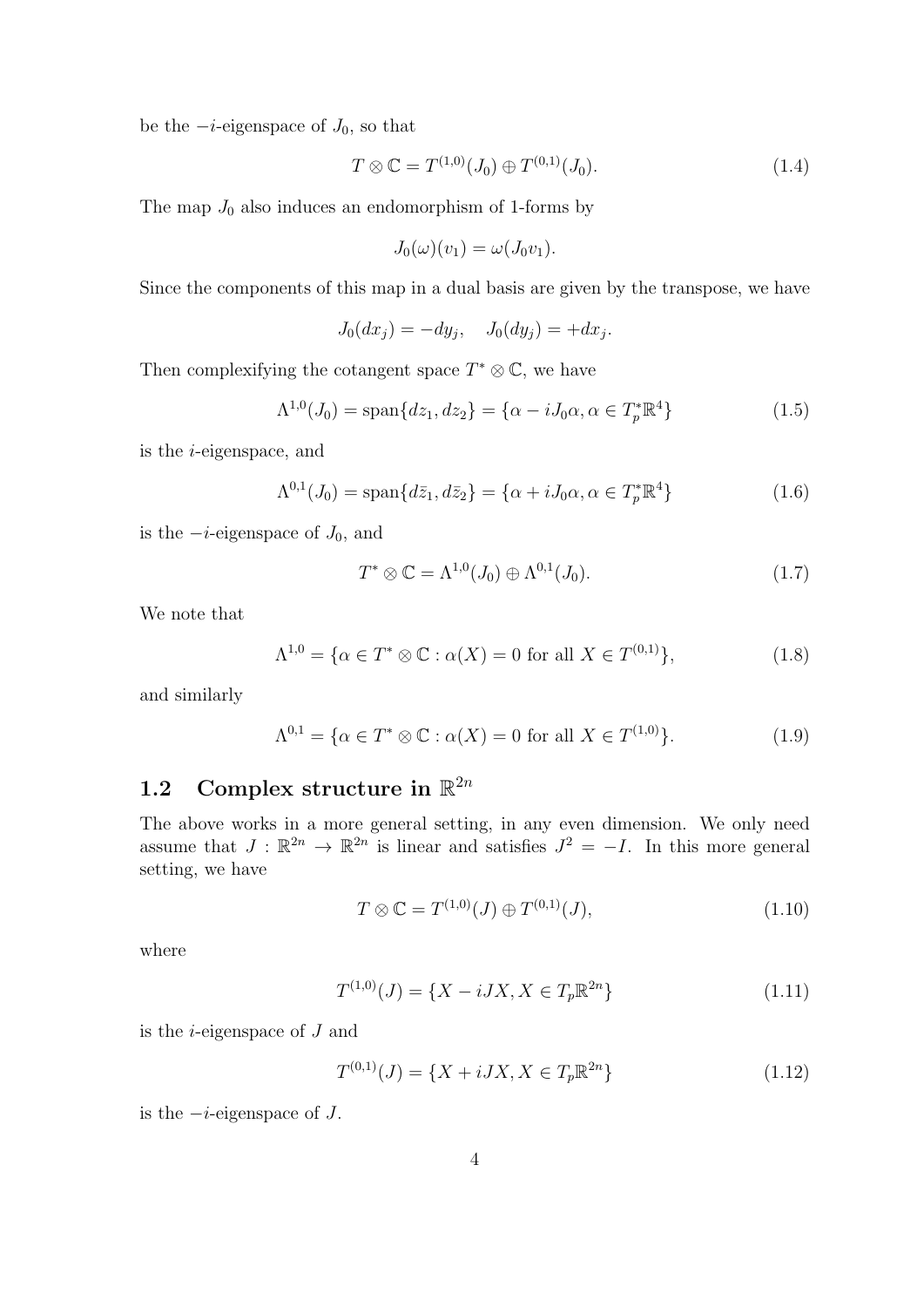be the  $-i$ -eigenspace of  $J_0$ , so that

$$
T \otimes \mathbb{C} = T^{(1,0)}(J_0) \oplus T^{(0,1)}(J_0). \tag{1.4}
$$

The map  $J_0$  also induces an endomorphism of 1-forms by

$$
J_0(\omega)(v_1) = \omega(J_0v_1).
$$

Since the components of this map in a dual basis are given by the transpose, we have

$$
J_0(dx_j) = -dy_j, \quad J_0(dy_j) = +dx_j.
$$

Then complexifying the cotangent space  $T^* \otimes \mathbb{C}$ , we have

$$
\Lambda^{1,0}(J_0) = \text{span}\{dz_1, dz_2\} = \{\alpha - iJ_0\alpha, \alpha \in T_p^*\mathbb{R}^4\}
$$
 (1.5)

is the i-eigenspace, and

$$
\Lambda^{0,1}(J_0) = \text{span}\{d\bar{z}_1, d\bar{z}_2\} = \{\alpha + iJ_0\alpha, \alpha \in T_p^*\mathbb{R}^4\}
$$
(1.6)

is the  $-i$ -eigenspace of  $J_0$ , and

$$
T^* \otimes \mathbb{C} = \Lambda^{1,0}(J_0) \oplus \Lambda^{0,1}(J_0). \tag{1.7}
$$

We note that

$$
\Lambda^{1,0} = \{ \alpha \in T^* \otimes \mathbb{C} : \alpha(X) = 0 \text{ for all } X \in T^{(0,1)} \},\tag{1.8}
$$

and similarly

$$
\Lambda^{0,1} = \{ \alpha \in T^* \otimes \mathbb{C} : \alpha(X) = 0 \text{ for all } X \in T^{(1,0)} \}. \tag{1.9}
$$

# 1.2 Complex structure in  $\mathbb{R}^{2n}$

The above works in a more general setting, in any even dimension. We only need assume that  $J : \mathbb{R}^{2n} \to \mathbb{R}^{2n}$  is linear and satisfies  $J^2 = -I$ . In this more general setting, we have

$$
T \otimes \mathbb{C} = T^{(1,0)}(J) \oplus T^{(0,1)}(J), \tag{1.10}
$$

where

$$
T^{(1,0)}(J) = \{X - iJX, X \in T_p \mathbb{R}^{2n}\}\tag{1.11}
$$

is the *i*-eigenspace of  $J$  and

$$
T^{(0,1)}(J) = \{X + iJX, X \in T_p \mathbb{R}^{2n}\}\tag{1.12}
$$

is the  $-i$ -eigenspace of  $J$ .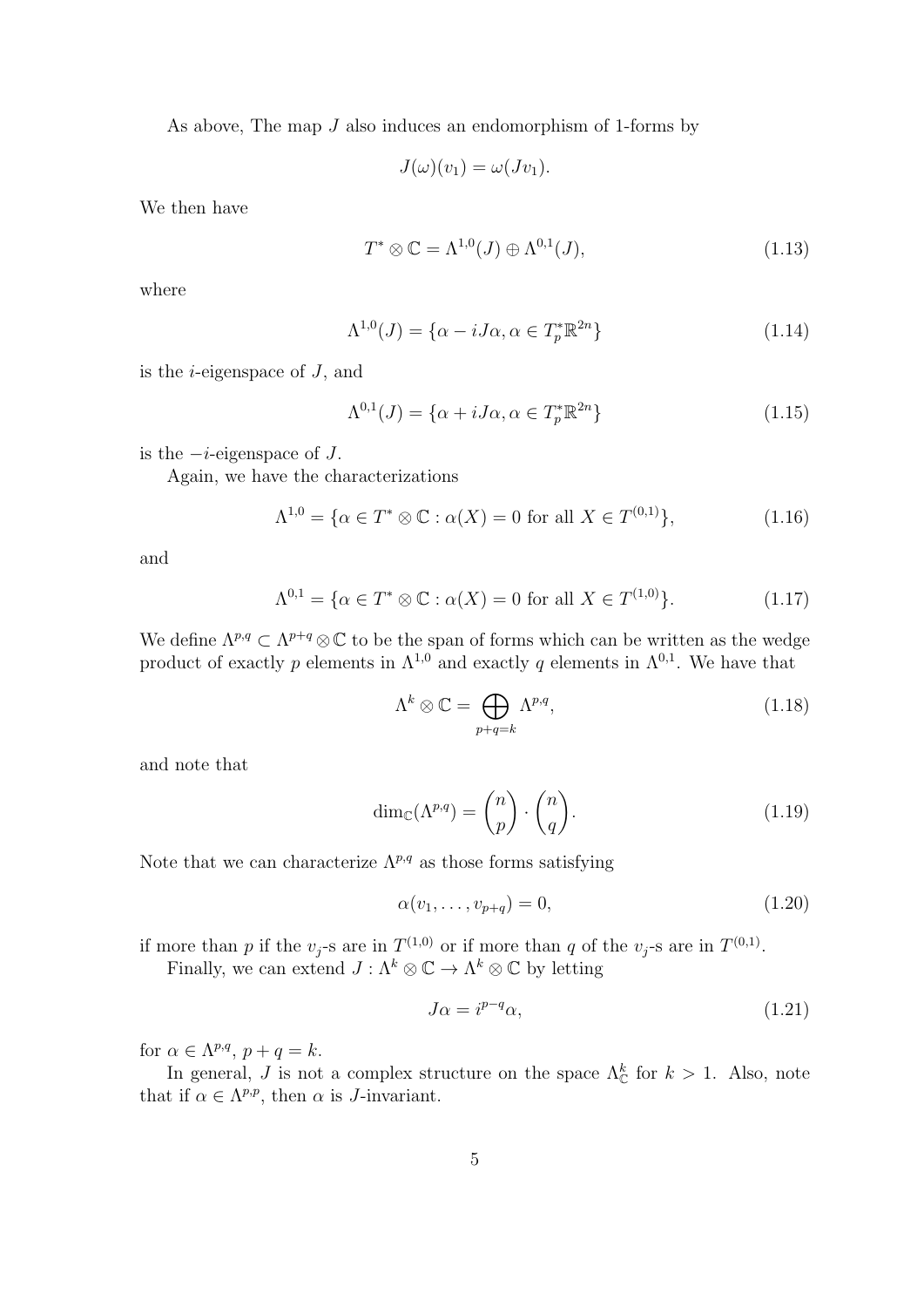As above, The map J also induces an endomorphism of 1-forms by

$$
J(\omega)(v_1) = \omega(Jv_1).
$$

We then have

$$
T^* \otimes \mathbb{C} = \Lambda^{1,0}(J) \oplus \Lambda^{0,1}(J),\tag{1.13}
$$

where

$$
\Lambda^{1,0}(J) = \{ \alpha - iJ\alpha, \alpha \in T_p^* \mathbb{R}^{2n} \}
$$
\n(1.14)

is the  $i$ -eigenspace of  $J$ , and

$$
\Lambda^{0,1}(J) = \{ \alpha + iJ\alpha, \alpha \in T_p^* \mathbb{R}^{2n} \}
$$
\n(1.15)

is the  $-i$ -eigenspace of  $J$ .

Again, we have the characterizations

$$
\Lambda^{1,0} = \{ \alpha \in T^* \otimes \mathbb{C} : \alpha(X) = 0 \text{ for all } X \in T^{(0,1)} \},\tag{1.16}
$$

and

$$
\Lambda^{0,1} = \{ \alpha \in T^* \otimes \mathbb{C} : \alpha(X) = 0 \text{ for all } X \in T^{(1,0)} \}. \tag{1.17}
$$

We define  $\Lambda^{p,q} \subset \Lambda^{p+q} \otimes \mathbb{C}$  to be the span of forms which can be written as the wedge product of exactly p elements in  $\Lambda^{1,0}$  and exactly q elements in  $\Lambda^{0,1}$ . We have that

$$
\Lambda^k \otimes \mathbb{C} = \bigoplus_{p+q=k} \Lambda^{p,q},\tag{1.18}
$$

and note that

$$
\dim_{\mathbb{C}}(\Lambda^{p,q}) = \binom{n}{p} \cdot \binom{n}{q}.\tag{1.19}
$$

Note that we can characterize  $\Lambda^{p,q}$  as those forms satisfying

$$
\alpha(v_1,\ldots,v_{p+q})=0,\t\t(1.20)
$$

if more than p if the  $v_j$ -s are in  $T^{(1,0)}$  or if more than q of the  $v_j$ -s are in  $T^{(0,1)}$ .

Finally, we can extend  $J : \Lambda^k \otimes \mathbb{C} \to \Lambda^k \otimes \mathbb{C}$  by letting

$$
J\alpha = i^{p-q}\alpha,\tag{1.21}
$$

for  $\alpha \in \Lambda^{p,q}, p+q=k$ .

In general, J is not a complex structure on the space  $\Lambda_{\mathbb{C}}^k$  for  $k > 1$ . Also, note that if  $\alpha \in \Lambda^{p,p}$ , then  $\alpha$  is *J*-invariant.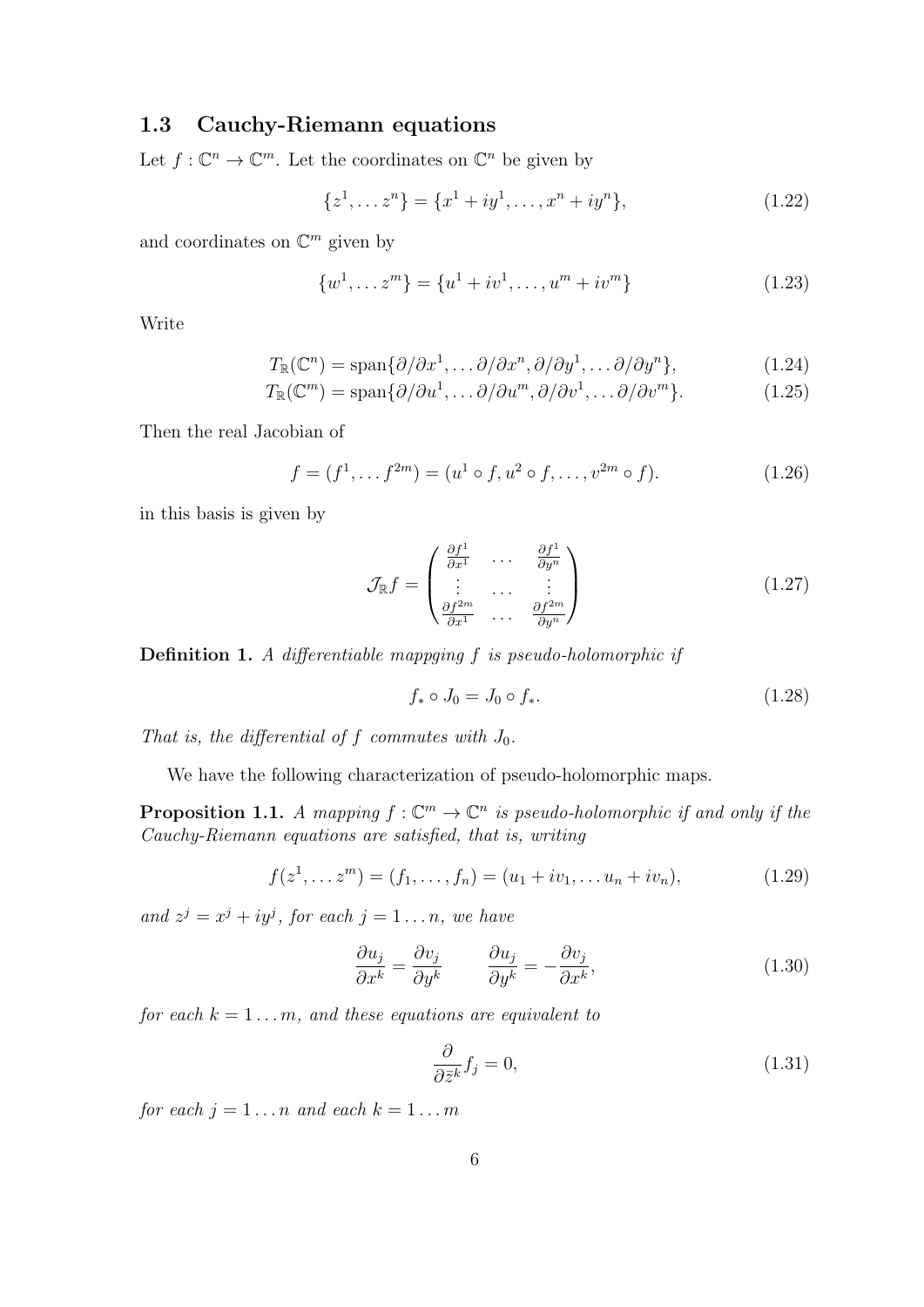# 1.3 Cauchy-Riemann equations

Let  $f: \mathbb{C}^n \to \mathbb{C}^m$ . Let the coordinates on  $\mathbb{C}^n$  be given by

$$
\{z^1, \dots z^n\} = \{x^1 + iy^1, \dots, x^n + iy^n\},\tag{1.22}
$$

and coordinates on  $\mathbb{C}^m$  given by

$$
\{w^1, \dots z^m\} = \{u^1 + iv^1, \dots, u^m + iv^m\}
$$
\n(1.23)

Write

$$
T_{\mathbb{R}}(\mathbb{C}^n) = \text{span}\{\partial/\partial x^1, \dots \partial/\partial x^n, \partial/\partial y^1, \dots \partial/\partial y^n\},\tag{1.24}
$$

$$
T_{\mathbb{R}}(\mathbb{C}^m) = \text{span}\{\partial/\partial u^1, \dots \partial/\partial u^m, \partial/\partial v^1, \dots \partial/\partial v^m\}.
$$
 (1.25)

Then the real Jacobian of

$$
f = (f1, \dots f2m) = (u1 \circ f, u2 \circ f, \dots, v2m \circ f).
$$
 (1.26)

in this basis is given by

$$
\mathcal{J}_{\mathbb{R}}f = \begin{pmatrix} \frac{\partial f^1}{\partial x^1} & \cdots & \frac{\partial f^1}{\partial y^n} \\ \vdots & \cdots & \vdots \\ \frac{\partial f^{2m}}{\partial x^1} & \cdots & \frac{\partial f^{2m}}{\partial y^n} \end{pmatrix}
$$
 (1.27)

Definition 1. A differentiable mappging f is pseudo-holomorphic if

$$
f_* \circ J_0 = J_0 \circ f_*.
$$
\n(1.28)

That is, the differential of f commutes with  $J_0$ .

We have the following characterization of pseudo-holomorphic maps.

**Proposition 1.1.** A mapping  $f: \mathbb{C}^m \to \mathbb{C}^n$  is pseudo-holomorphic if and only if the Cauchy-Riemann equations are satisfied, that is, writing

$$
f(z^1, \dots z^m) = (f_1, \dots, f_n) = (u_1 + iv_1, \dots u_n + iv_n), \tag{1.29}
$$

and  $z^j = x^j + iy^j$ , for each  $j = 1 \ldots n$ , we have

$$
\frac{\partial u_j}{\partial x^k} = \frac{\partial v_j}{\partial y^k} \qquad \frac{\partial u_j}{\partial y^k} = -\frac{\partial v_j}{\partial x^k},\tag{1.30}
$$

for each  $k = 1 \ldots m$ , and these equations are equivalent to

$$
\frac{\partial}{\partial \bar{z}^k} f_j = 0,\tag{1.31}
$$

for each  $j = 1 \ldots n$  and each  $k = 1 \ldots m$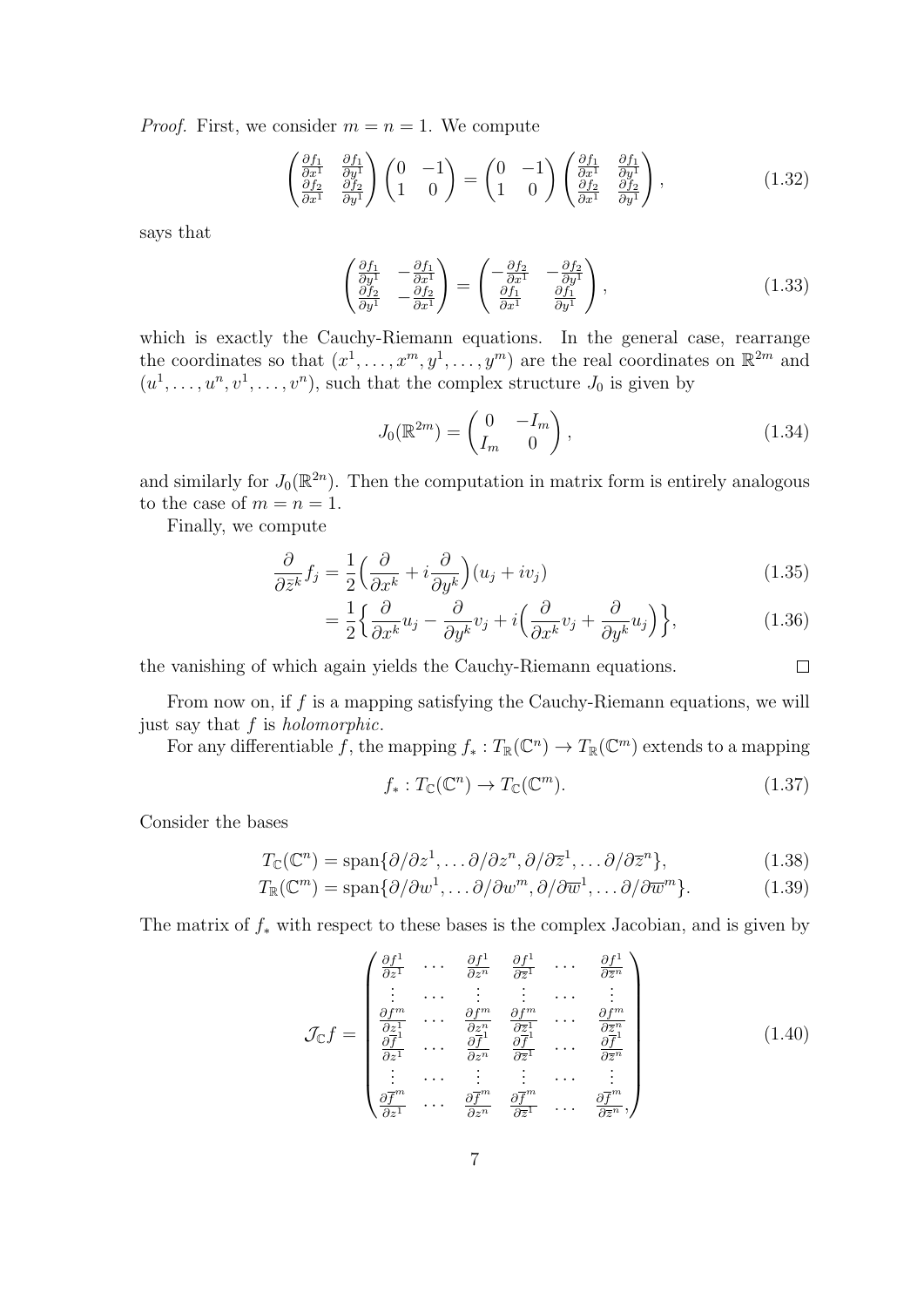*Proof.* First, we consider  $m = n = 1$ . We compute

$$
\begin{pmatrix}\n\frac{\partial f_1}{\partial x^1} & \frac{\partial f_1}{\partial y^1} \\
\frac{\partial f_2}{\partial x^1} & \frac{\partial f_2}{\partial y^1}\n\end{pmatrix}\n\begin{pmatrix}\n0 & -1 \\
1 & 0\n\end{pmatrix}\n=\n\begin{pmatrix}\n0 & -1 \\
1 & 0\n\end{pmatrix}\n\begin{pmatrix}\n\frac{\partial f_1}{\partial x^1} & \frac{\partial f_1}{\partial y^1} \\
\frac{\partial f_2}{\partial x^1} & \frac{\partial f_2}{\partial y^1}\n\end{pmatrix},
$$
\n(1.32)

says that

$$
\begin{pmatrix}\n\frac{\partial f_1}{\partial y^1} & -\frac{\partial f_1}{\partial x^1} \\
\frac{\partial f_2}{\partial y^1} & -\frac{\partial f_2}{\partial x^1}\n\end{pmatrix} = \begin{pmatrix}\n-\frac{\partial f_2}{\partial x^1} & -\frac{\partial f_2}{\partial y^1} \\
\frac{\partial f_1}{\partial x^1} & \frac{\partial f_1}{\partial y^1}\n\end{pmatrix},
$$
\n(1.33)

which is exactly the Cauchy-Riemann equations. In the general case, rearrange the coordinates so that  $(x^1, \ldots, x^m, y^1, \ldots, y^m)$  are the real coordinates on  $\mathbb{R}^{2m}$  and  $(u^1, \ldots, u^n, v^1, \ldots, v^n)$ , such that the complex structure  $J_0$  is given by

$$
J_0(\mathbb{R}^{2m}) = \begin{pmatrix} 0 & -I_m \\ I_m & 0 \end{pmatrix},\tag{1.34}
$$

and similarly for  $J_0(\mathbb{R}^{2n})$ . Then the computation in matrix form is entirely analogous to the case of  $m = n = 1$ .

Finally, we compute

$$
\frac{\partial}{\partial \bar{z}^k} f_j = \frac{1}{2} \left( \frac{\partial}{\partial x^k} + i \frac{\partial}{\partial y^k} \right) (u_j + iv_j)
$$
\n(1.35)

$$
= \frac{1}{2} \left\{ \frac{\partial}{\partial x^k} u_j - \frac{\partial}{\partial y^k} v_j + i \left( \frac{\partial}{\partial x^k} v_j + \frac{\partial}{\partial y^k} u_j \right) \right\},
$$
(1.36)

the vanishing of which again yields the Cauchy-Riemann equations.

From now on, if  $f$  is a mapping satisfying the Cauchy-Riemann equations, we will just say that f is *holomorphic*.

For any differentiable f, the mapping  $f_*: T_{\mathbb{R}}(\mathbb{C}^n) \to T_{\mathbb{R}}(\mathbb{C}^m)$  extends to a mapping

$$
f_*: T_{\mathbb{C}}(\mathbb{C}^n) \to T_{\mathbb{C}}(\mathbb{C}^m). \tag{1.37}
$$

 $\Box$ 

Consider the bases

$$
T_{\mathbb{C}}(\mathbb{C}^n) = \text{span}\{\partial/\partial z^1, \dots \partial/\partial z^n, \partial/\partial \overline{z}^1, \dots \partial/\partial \overline{z}^n\},\tag{1.38}
$$

$$
T_{\mathbb{R}}(\mathbb{C}^m) = \text{span}\{\partial/\partial w^1, \dots \partial/\partial w^m, \partial/\partial \overline{w}^1, \dots \partial/\partial \overline{w}^m\}.
$$
 (1.39)

The matrix of  $f_*$  with respect to these bases is the complex Jacobian, and is given by

$$
\mathcal{J}_{\mathbb{C}}f = \begin{pmatrix}\n\frac{\partial f^{1}}{\partial z^{1}} & \cdots & \frac{\partial f^{1}}{\partial z^{n}} & \frac{\partial f^{1}}{\partial z^{1}} & \cdots & \frac{\partial f^{1}}{\partial z^{n}} \\
\vdots & \cdots & \vdots & \vdots & \cdots & \vdots \\
\frac{\partial f^{m}}{\partial z^{1}} & \cdots & \frac{\partial f^{m}}{\partial z^{n}} & \frac{\partial f^{m}}{\partial z^{1}} & \cdots & \frac{\partial f^{m}}{\partial z^{n}} \\
\frac{\partial f^{1}}{\partial z^{1}} & \cdots & \frac{\partial f^{1}}{\partial z^{n}} & \frac{\partial f^{1}}{\partial z^{1}} & \cdots & \frac{\partial f^{1}}{\partial z^{n}} \\
\vdots & \cdots & \vdots & \vdots & \cdots & \vdots \\
\frac{\partial f^{m}}{\partial z^{1}} & \cdots & \frac{\partial f^{m}}{\partial z^{n}} & \frac{\partial f^{m}}{\partial z^{1}} & \cdots & \frac{\partial f^{m}}{\partial z^{n}}\n\end{pmatrix}
$$
\n(1.40)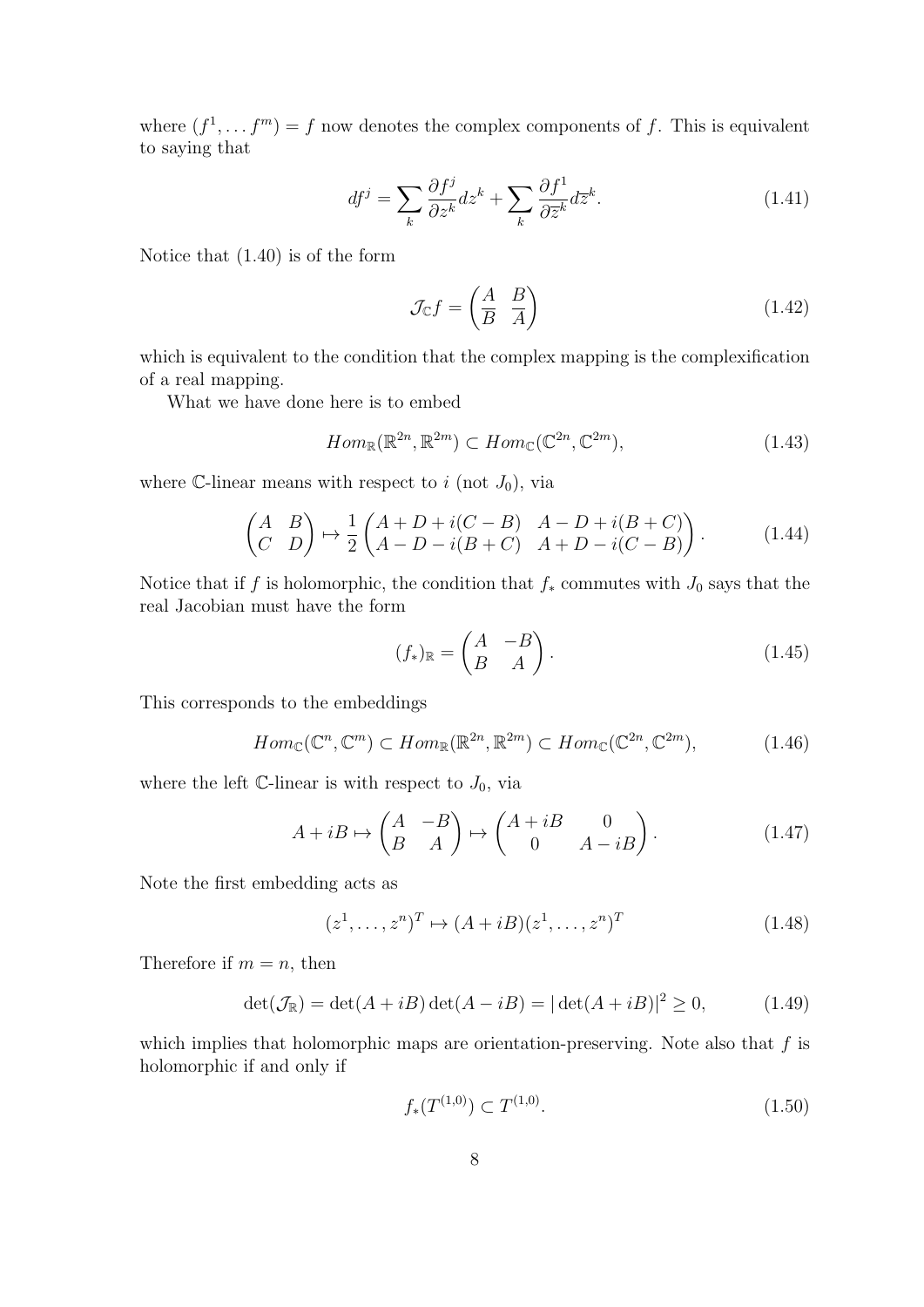where  $(f^1, \ldots, f^m) = f$  now denotes the complex components of f. This is equivalent to saying that

$$
df^{j} = \sum_{k} \frac{\partial f^{j}}{\partial z^{k}} dz^{k} + \sum_{k} \frac{\partial f^{1}}{\partial \overline{z}^{k}} d\overline{z}^{k}.
$$
 (1.41)

Notice that (1.40) is of the form

$$
\mathcal{J}_{\mathbb{C}}f = \begin{pmatrix} A & B \\ \overline{B} & \overline{A} \end{pmatrix} \tag{1.42}
$$

which is equivalent to the condition that the complex mapping is the complexification of a real mapping.

What we have done here is to embed

$$
Hom_{\mathbb{R}}(\mathbb{R}^{2n}, \mathbb{R}^{2m}) \subset Hom_{\mathbb{C}}(\mathbb{C}^{2n}, \mathbb{C}^{2m}),\tag{1.43}
$$

where C-linear means with respect to i (not  $J_0$ ), via

$$
\begin{pmatrix} A & B \\ C & D \end{pmatrix} \mapsto \frac{1}{2} \begin{pmatrix} A+D+i(C-B) & A-D+i(B+C) \\ A-D-i(B+C) & A+D-i(C-B) \end{pmatrix}.
$$
 (1.44)

Notice that if f is holomorphic, the condition that  $f_*$  commutes with  $J_0$  says that the real Jacobian must have the form

$$
(f_*)_{\mathbb{R}} = \begin{pmatrix} A & -B \\ B & A \end{pmatrix}.
$$
 (1.45)

This corresponds to the embeddings

$$
Hom_{\mathbb{C}}(\mathbb{C}^n, \mathbb{C}^m) \subset Hom_{\mathbb{R}}(\mathbb{R}^{2n}, \mathbb{R}^{2m}) \subset Hom_{\mathbb{C}}(\mathbb{C}^{2n}, \mathbb{C}^{2m}),\tag{1.46}
$$

where the left  $\mathbb{C}$ -linear is with respect to  $J_0$ , via

$$
A + iB \mapsto \begin{pmatrix} A & -B \\ B & A \end{pmatrix} \mapsto \begin{pmatrix} A + iB & 0 \\ 0 & A - iB \end{pmatrix}.
$$
 (1.47)

Note the first embedding acts as

$$
(z1,..., zn)T \mapsto (A + iB)(z1,..., zn)T
$$
 (1.48)

Therefore if  $m = n$ , then

$$
\det(\mathcal{J}_{\mathbb{R}}) = \det(A + iB)\det(A - iB) = |\det(A + iB)|^2 \ge 0,
$$
\n(1.49)

which implies that holomorphic maps are orientation-preserving. Note also that  $f$  is holomorphic if and only if

$$
f_*(T^{(1,0)}) \subset T^{(1,0)}.\tag{1.50}
$$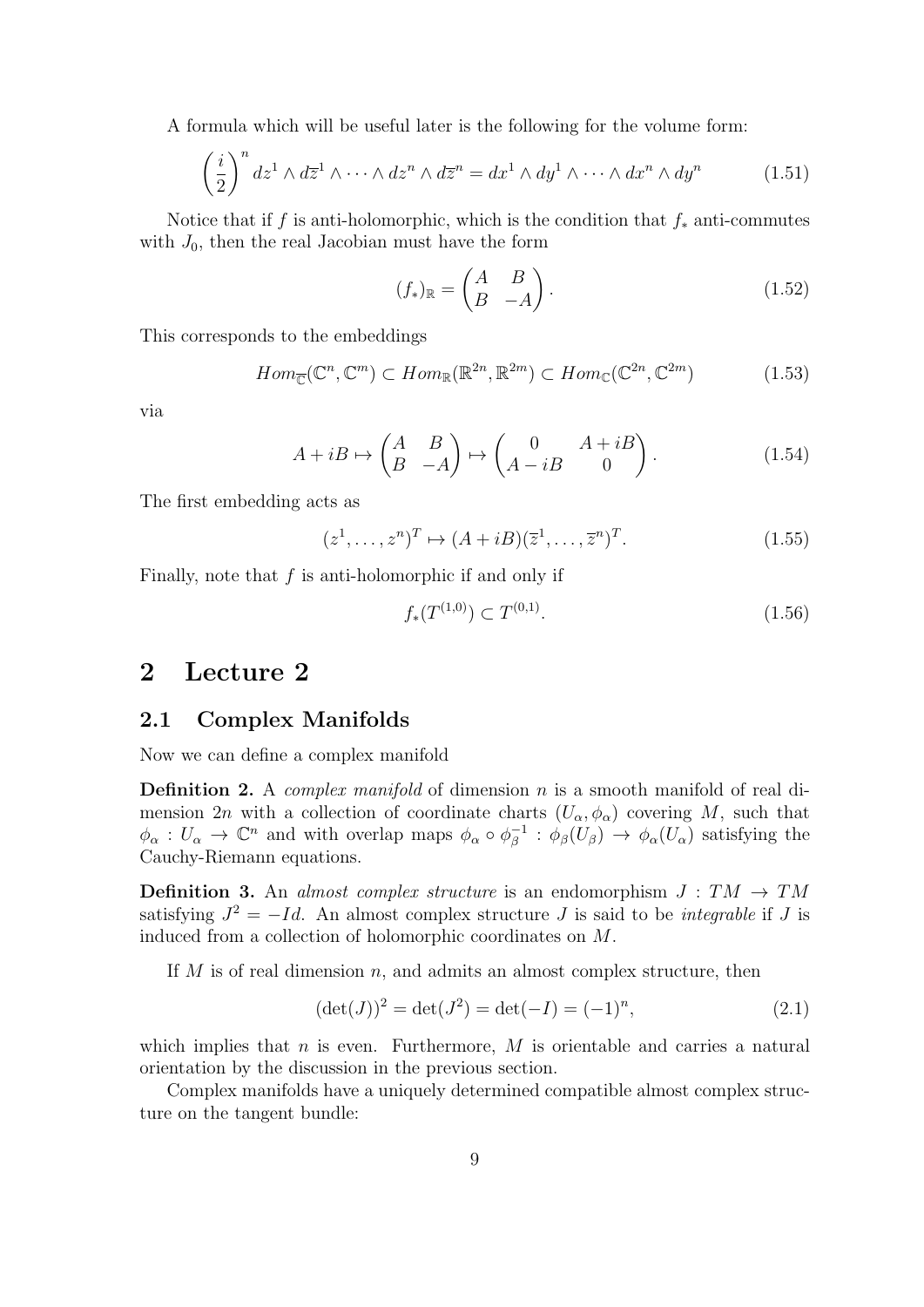A formula which will be useful later is the following for the volume form:

$$
\left(\frac{i}{2}\right)^n dz^1 \wedge d\overline{z}^1 \wedge \cdots \wedge dz^n \wedge d\overline{z}^n = dx^1 \wedge dy^1 \wedge \cdots \wedge dx^n \wedge dy^n \tag{1.51}
$$

Notice that if f is anti-holomorphic, which is the condition that  $f_*$  anti-commutes with  $J_0$ , then the real Jacobian must have the form

$$
(f_*)_{\mathbb{R}} = \begin{pmatrix} A & B \\ B & -A \end{pmatrix} . \tag{1.52}
$$

This corresponds to the embeddings

$$
Hom_{\mathbb{C}}(\mathbb{C}^n, \mathbb{C}^m) \subset Hom_{\mathbb{R}}(\mathbb{R}^{2n}, \mathbb{R}^{2m}) \subset Hom_{\mathbb{C}}(\mathbb{C}^{2n}, \mathbb{C}^{2m})
$$
(1.53)

via

$$
A + iB \mapsto \begin{pmatrix} A & B \\ B & -A \end{pmatrix} \mapsto \begin{pmatrix} 0 & A + iB \\ A - iB & 0 \end{pmatrix} . \tag{1.54}
$$

The first embedding acts as

$$
(z1,..., zn)T \mapsto (A + iB)(\overline{z}1,..., \overline{z}n)T.
$$
 (1.55)

Finally, note that  $f$  is anti-holomorphic if and only if

$$
f_*(T^{(1,0)}) \subset T^{(0,1)}.\tag{1.56}
$$

# 2 Lecture 2

#### 2.1 Complex Manifolds

Now we can define a complex manifold

**Definition 2.** A *complex manifold* of dimension  $n$  is a smooth manifold of real dimension 2n with a collection of coordinate charts  $(U_{\alpha}, \phi_{\alpha})$  covering M, such that  $\phi_{\alpha}: U_{\alpha} \to \mathbb{C}^n$  and with overlap maps  $\phi_{\alpha} \circ \phi_{\beta}^{-1}$  $\phi_{\beta}^{-1}$  :  $\phi_{\beta}(U_{\beta}) \rightarrow \phi_{\alpha}(U_{\alpha})$  satisfying the Cauchy-Riemann equations.

**Definition 3.** An almost complex structure is an endomorphism  $J : TM \rightarrow TM$ satisfying  $J^2 = -Id$ . An almost complex structure J is said to be *integrable* if J is induced from a collection of holomorphic coordinates on M.

If  $M$  is of real dimension  $n$ , and admits an almost complex structure, then

$$
(\det(J))^2 = \det(J^2) = \det(-I) = (-1)^n,
$$
\n(2.1)

which implies that  $n$  is even. Furthermore,  $M$  is orientable and carries a natural orientation by the discussion in the previous section.

Complex manifolds have a uniquely determined compatible almost complex structure on the tangent bundle: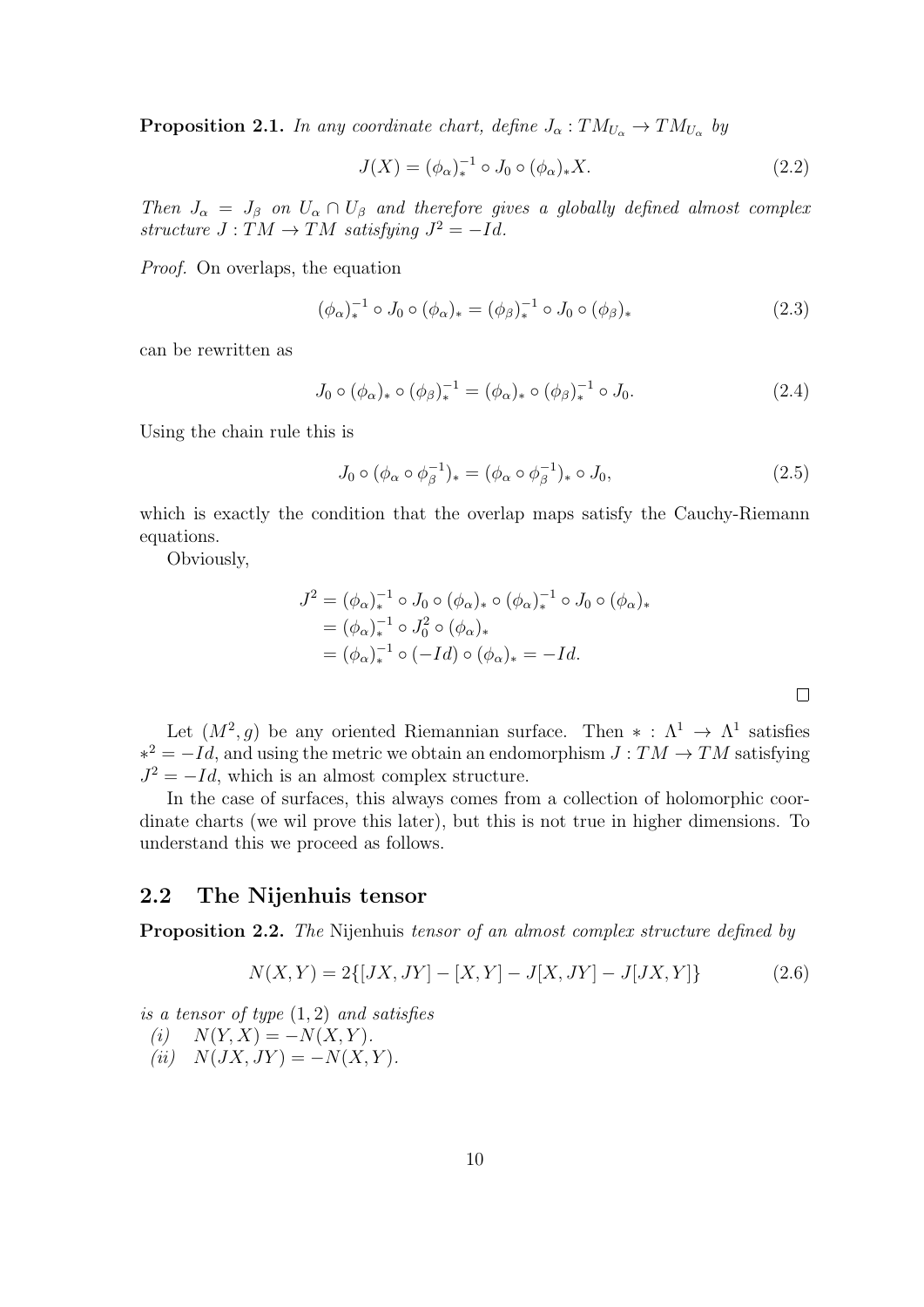**Proposition 2.1.** In any coordinate chart, define  $J_{\alpha}: TM_{U_{\alpha}} \to TM_{U_{\alpha}}$  by

$$
J(X) = (\phi_{\alpha})_*^{-1} \circ J_0 \circ (\phi_{\alpha})_* X.
$$
 (2.2)

Then  $J_{\alpha} = J_{\beta}$  on  $U_{\alpha} \cap U_{\beta}$  and therefore gives a globally defined almost complex structure  $J: TM \rightarrow TM$  satisfying  $J^2 = -Id$ .

Proof. On overlaps, the equation

$$
(\phi_{\alpha})_{*}^{-1} \circ J_{0} \circ (\phi_{\alpha})_{*} = (\phi_{\beta})_{*}^{-1} \circ J_{0} \circ (\phi_{\beta})_{*}
$$
\n(2.3)

can be rewritten as

$$
J_0 \circ (\phi_\alpha)_* \circ (\phi_\beta)_*^{-1} = (\phi_\alpha)_* \circ (\phi_\beta)_*^{-1} \circ J_0.
$$
 (2.4)

Using the chain rule this is

$$
J_0 \circ (\phi_\alpha \circ \phi_\beta^{-1})_* = (\phi_\alpha \circ \phi_\beta^{-1})_* \circ J_0,
$$
\n
$$
(2.5)
$$

which is exactly the condition that the overlap maps satisfy the Cauchy-Riemann equations.

Obviously,

$$
J^{2} = (\phi_{\alpha})_{*}^{-1} \circ J_{0} \circ (\phi_{\alpha})_{*} \circ (\phi_{\alpha})_{*}^{-1} \circ J_{0} \circ (\phi_{\alpha})_{*}
$$
  
=  $(\phi_{\alpha})_{*}^{-1} \circ J_{0}^{2} \circ (\phi_{\alpha})_{*}$   
=  $(\phi_{\alpha})_{*}^{-1} \circ (-Id) \circ (\phi_{\alpha})_{*} = -Id.$ 

Let  $(M^2, g)$  be any oriented Riemannian surface. Then  $* : \Lambda^1 \to \Lambda^1$  satisfies  $*^2 = -Id$ , and using the metric we obtain an endomorphism  $J: TM \rightarrow TM$  satisfying  $J^2 = -Id$ , which is an almost complex structure.

In the case of surfaces, this always comes from a collection of holomorphic coordinate charts (we wil prove this later), but this is not true in higher dimensions. To understand this we proceed as follows.

### 2.2 The Nijenhuis tensor

**Proposition 2.2.** The Nijenhuis tensor of an almost complex structure defined by

$$
N(X,Y) = 2\{ [JX, JY] - [X,Y] - J[X,JY] - J[JX,Y] \}
$$
\n(2.6)

is a tensor of type  $(1,2)$  and satisfies

$$
(i) \quad N(Y, X) = -N(X, Y).
$$

 $(ii) N(JX, JY) = -N(X, Y).$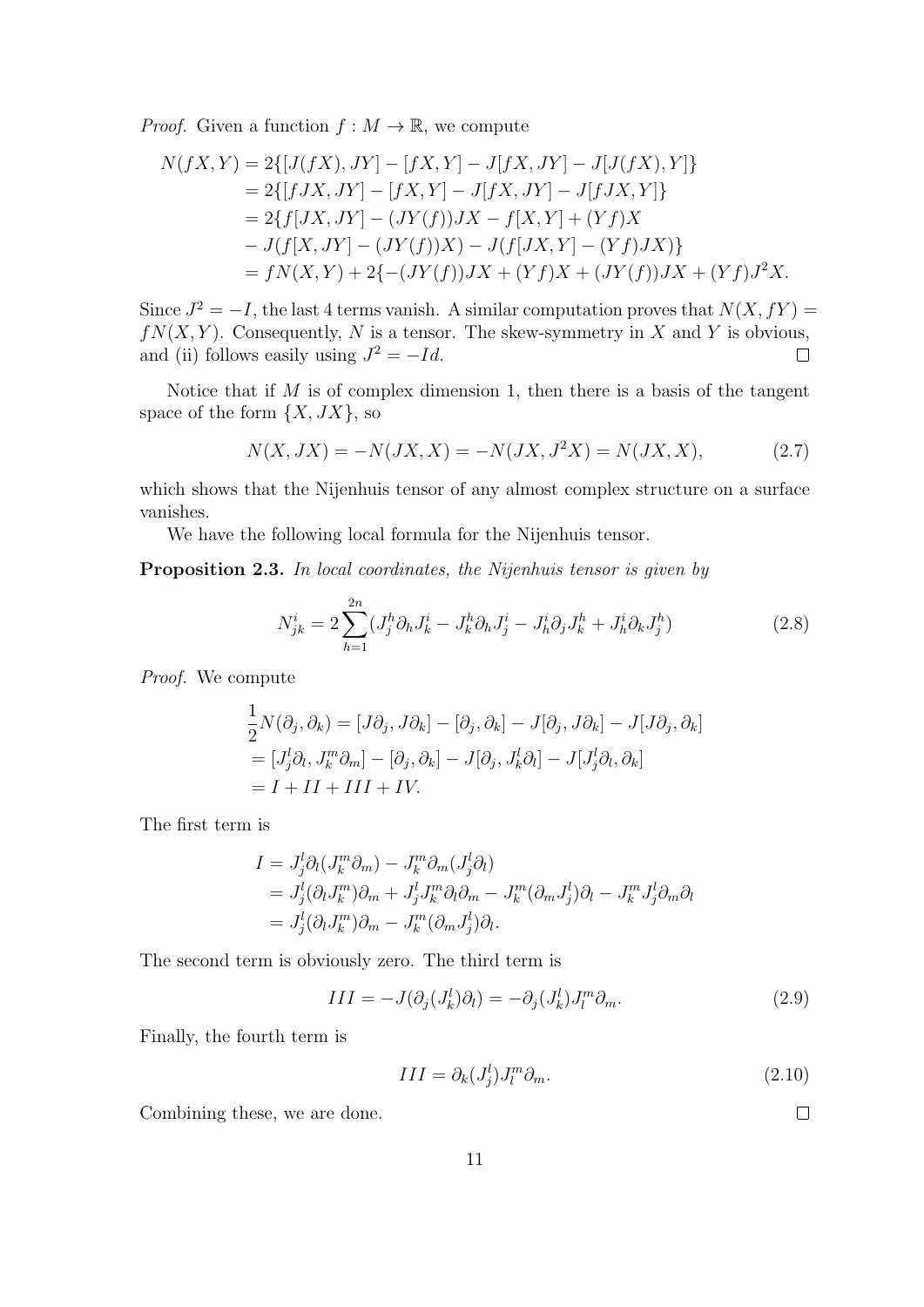*Proof.* Given a function  $f : M \to \mathbb{R}$ , we compute

$$
N(fX,Y) = 2\{[J(fX),JY] - [fX,Y] - J[fX,JY] - J[J(fX),Y]\}
$$
  
= 2\{[fJX,JY] - [fX,Y] - J[fX,JY] - J[fJX,Y]\}  
= 2\{f[JX,JY] - (JY(f))JX - f[X,Y] + (Yf)X  
- J(f[X,JY] - (JY(f))X) - J(f[JX,Y] - (Yf)JX)\}  
= fN(X,Y) + 2\{-(JY(f))JX + (Yf)X + (JY(f))JX + (Yf)J^2X.

Since  $J^2 = -I$ , the last 4 terms vanish. A similar computation proves that  $N(X, fY) =$  $fN(X, Y)$ . Consequently, N is a tensor. The skew-symmetry in X and Y is obvious, and (ii) follows easily using  $J^2 = -Id$ .  $\Box$ 

Notice that if  $M$  is of complex dimension 1, then there is a basis of the tangent space of the form  $\{X, JX\}$ , so

$$
N(X, JX) = -N(JX, X) = -N(JX, J^2X) = N(JX, X),
$$
\n(2.7)

which shows that the Nijenhuis tensor of any almost complex structure on a surface vanishes.

We have the following local formula for the Nijenhuis tensor.

Proposition 2.3. In local coordinates, the Nijenhuis tensor is given by

$$
N_{jk}^{i} = 2\sum_{h=1}^{2n} (J_{j}^{h} \partial_{h} J_{k}^{i} - J_{k}^{h} \partial_{h} J_{j}^{i} - J_{h}^{i} \partial_{j} J_{k}^{h} + J_{h}^{i} \partial_{k} J_{j}^{h})
$$
\n(2.8)

Proof. We compute

$$
\frac{1}{2}N(\partial_j, \partial_k) = [J\partial_j, J\partial_k] - [\partial_j, \partial_k] - J[\partial_j, J\partial_k] - J[J\partial_j, \partial_k]
$$
  
\n
$$
= [J_j^l \partial_l, J_k^m \partial_m] - [\partial_j, \partial_k] - J[\partial_j, J_k^l \partial_l] - J[J_j^l \partial_l, \partial_k]
$$
  
\n
$$
= I + II + III + IV.
$$

The first term is

$$
I = J_j^l \partial_l (J_k^m \partial_m) - J_k^m \partial_m (J_j^l \partial_l)
$$
  
=  $J_j^l (\partial_l J_k^m) \partial_m + J_j^l J_k^m \partial_l \partial_m - J_k^m (\partial_m J_j^l) \partial_l - J_k^m J_j^l \partial_m \partial_l$   
=  $J_j^l (\partial_l J_k^m) \partial_m - J_k^m (\partial_m J_j^l) \partial_l.$ 

The second term is obviously zero. The third term is

$$
III = -J(\partial_j(J_k^l)\partial_l) = -\partial_j(J_k^l)J_l^m\partial_m.
$$
\n(2.9)

Finally, the fourth term is

$$
III = \partial_k (J_j^l) J_l^m \partial_m.
$$
\n(2.10)

Combining these, we are done.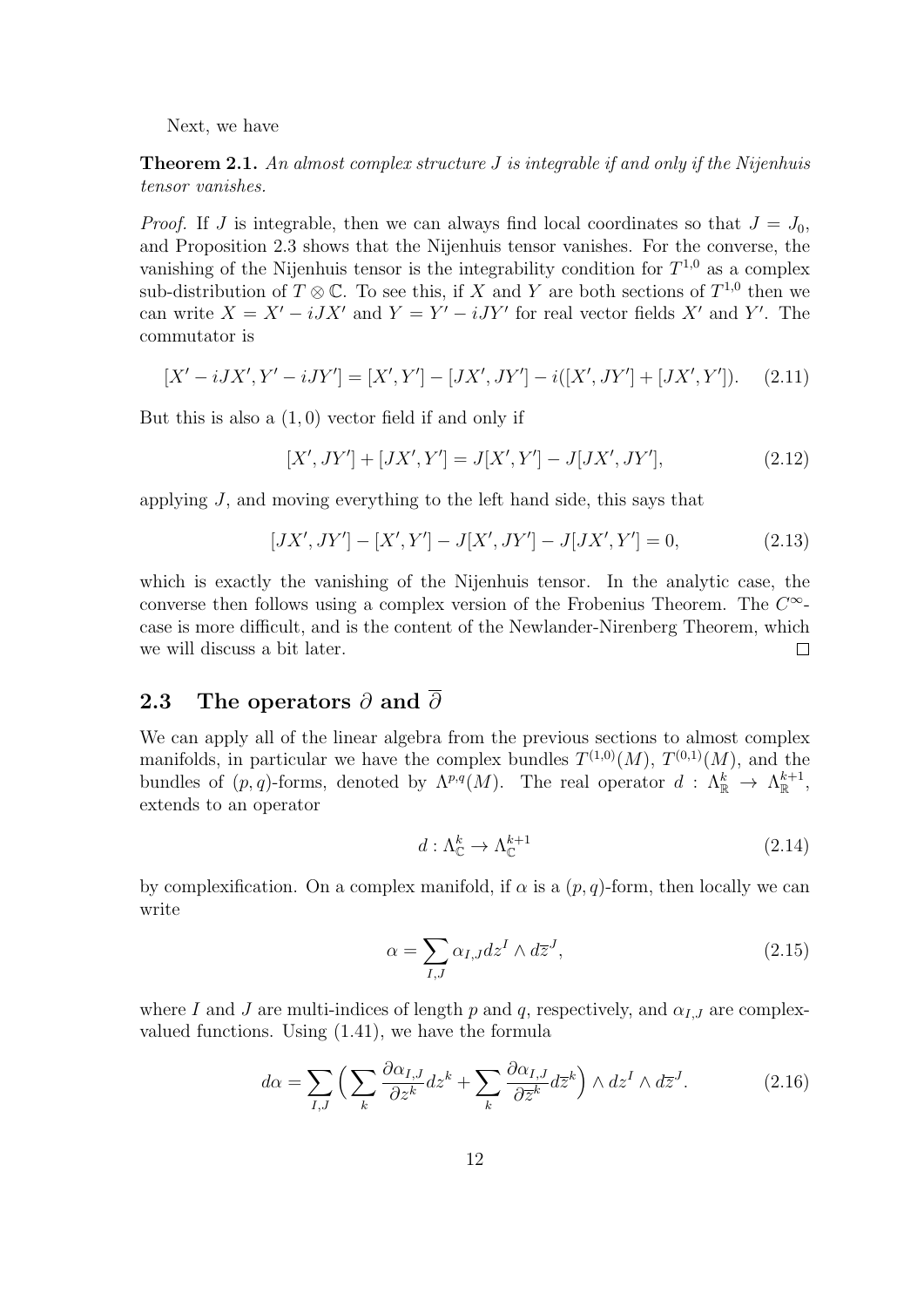Next, we have

**Theorem 2.1.** An almost complex structure  $J$  is integrable if and only if the Nijenhuis tensor vanishes.

*Proof.* If J is integrable, then we can always find local coordinates so that  $J = J_0$ , and Proposition 2.3 shows that the Nijenhuis tensor vanishes. For the converse, the vanishing of the Nijenhuis tensor is the integrability condition for  $T^{1,0}$  as a complex sub-distribution of  $T \otimes \mathbb{C}$ . To see this, if X and Y are both sections of  $T^{1,0}$  then we can write  $X = X' - iJX'$  and  $Y = Y' - iJY'$  for real vector fields X' and Y'. The commutator is

$$
[X' - iJX', Y' - iJY'] = [X', Y'] - [JX', JY'] - i([X', JY'] + [JX', Y']). \tag{2.11}
$$

But this is also a  $(1,0)$  vector field if and only if

$$
[X', JY'] + [JX', Y'] = J[X', Y'] - J[JX', JY'], \qquad (2.12)
$$

applying J, and moving everything to the left hand side, this says that

$$
[JX', JY'] - [X', Y'] - J[X', JY'] - J[JX', Y'] = 0,
$$
\n(2.13)

which is exactly the vanishing of the Nijenhuis tensor. In the analytic case, the converse then follows using a complex version of the Frobenius Theorem. The  $C^{\infty}$ case is more difficult, and is the content of the Newlander-Nirenberg Theorem, which we will discuss a bit later.  $\Box$ 

#### 2.3 The operators  $\partial$  and  $\overline{\partial}$

We can apply all of the linear algebra from the previous sections to almost complex manifolds, in particular we have the complex bundles  $T^{(1,0)}(M)$ ,  $T^{(0,1)}(M)$ , and the bundles of  $(p, q)$ -forms, denoted by  $\Lambda^{p,q}(M)$ . The real operator  $d: \Lambda^k_{\mathbb{R}} \to \Lambda^{k+1}_{\mathbb{R}}$ , extends to an operator

$$
d: \Lambda^k_{\mathbb{C}} \to \Lambda^{k+1}_{\mathbb{C}} \tag{2.14}
$$

by complexification. On a complex manifold, if  $\alpha$  is a  $(p, q)$ -form, then locally we can write

$$
\alpha = \sum_{I,J} \alpha_{I,J} dz^I \wedge d\overline{z}^J,\tag{2.15}
$$

where I and J are multi-indices of length p and q, respectively, and  $\alpha_{I,J}$  are complexvalued functions. Using (1.41), we have the formula

$$
d\alpha = \sum_{I,J} \left( \sum_k \frac{\partial \alpha_{I,J}}{\partial z^k} dz^k + \sum_k \frac{\partial \alpha_{I,J}}{\partial \overline{z}^k} d\overline{z}^k \right) \wedge dz^I \wedge d\overline{z}^J. \tag{2.16}
$$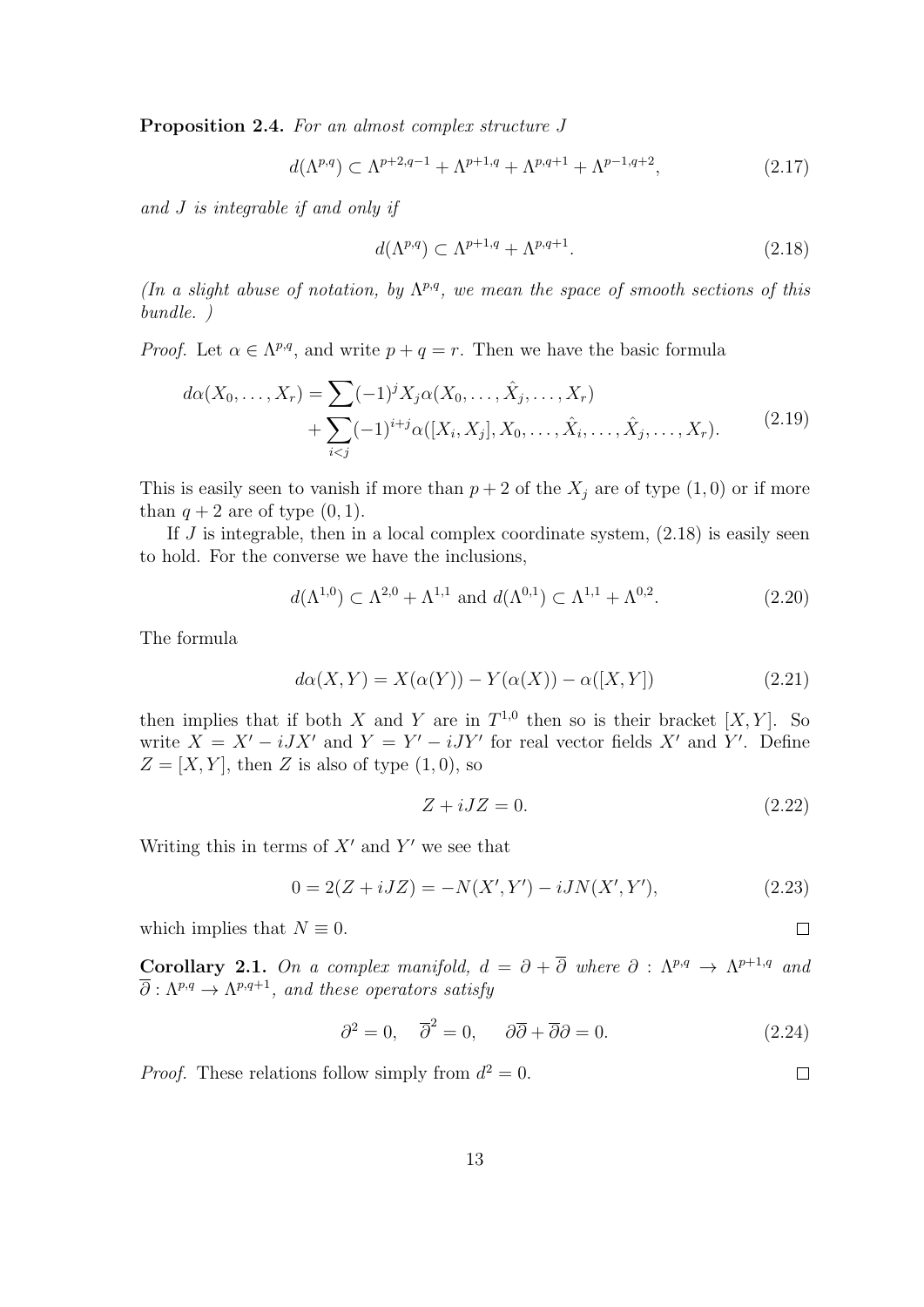Proposition 2.4. For an almost complex structure J

$$
d(\Lambda^{p,q}) \subset \Lambda^{p+2,q-1} + \Lambda^{p+1,q} + \Lambda^{p,q+1} + \Lambda^{p-1,q+2},
$$
\n(2.17)

and J is integrable if and only if

$$
d(\Lambda^{p,q}) \subset \Lambda^{p+1,q} + \Lambda^{p,q+1}.\tag{2.18}
$$

(In a slight abuse of notation, by  $\Lambda^{p,q}$ , we mean the space of smooth sections of this bundle. )

*Proof.* Let  $\alpha \in \Lambda^{p,q}$ , and write  $p + q = r$ . Then we have the basic formula

$$
d\alpha(X_0, \dots, X_r) = \sum (-1)^j X_j \alpha(X_0, \dots, \hat{X}_j, \dots, X_r)
$$
  
+ 
$$
\sum_{i < j} (-1)^{i+j} \alpha([X_i, X_j], X_0, \dots, \hat{X}_i, \dots, \hat{X}_j, \dots, X_r).
$$
 (2.19)

This is easily seen to vanish if more than  $p + 2$  of the  $X_j$  are of type  $(1, 0)$  or if more than  $q + 2$  are of type  $(0, 1)$ .

If  $J$  is integrable, then in a local complex coordinate system,  $(2.18)$  is easily seen to hold. For the converse we have the inclusions,

$$
d(\Lambda^{1,0}) \subset \Lambda^{2,0} + \Lambda^{1,1} \text{ and } d(\Lambda^{0,1}) \subset \Lambda^{1,1} + \Lambda^{0,2}.
$$
 (2.20)

The formula

$$
d\alpha(X,Y) = X(\alpha(Y)) - Y(\alpha(X)) - \alpha([X,Y])
$$
\n(2.21)

then implies that if both X and Y are in  $T^{1,0}$  then so is their bracket  $[X, Y]$ . So write  $X = X' - iJX'$  and  $Y = Y' - iJY'$  for real vector fields X' and Y'. Define  $Z = [X, Y]$ , then Z is also of type  $(1, 0)$ , so

$$
Z + iJZ = 0.\t\t(2.22)
$$

 $\Box$ 

 $\Box$ 

Writing this in terms of  $X'$  and  $Y'$  we see that

$$
0 = 2(Z + iJZ) = -N(X', Y') - iJN(X', Y'), \qquad (2.23)
$$

which implies that  $N \equiv 0$ .

**Corollary 2.1.** On a complex manifold,  $d = \partial + \overline{\partial}$  where  $\partial : \Lambda^{p,q} \to \Lambda^{p+1,q}$  and  $\overline{\partial}:\Lambda^{p,q}\to \Lambda^{p,q+1},$  and these operators satisfy

$$
\partial^2 = 0, \quad \overline{\partial}^2 = 0, \quad \partial \overline{\partial} + \overline{\partial} \partial = 0. \tag{2.24}
$$

*Proof.* These relations follow simply from  $d^2 = 0$ .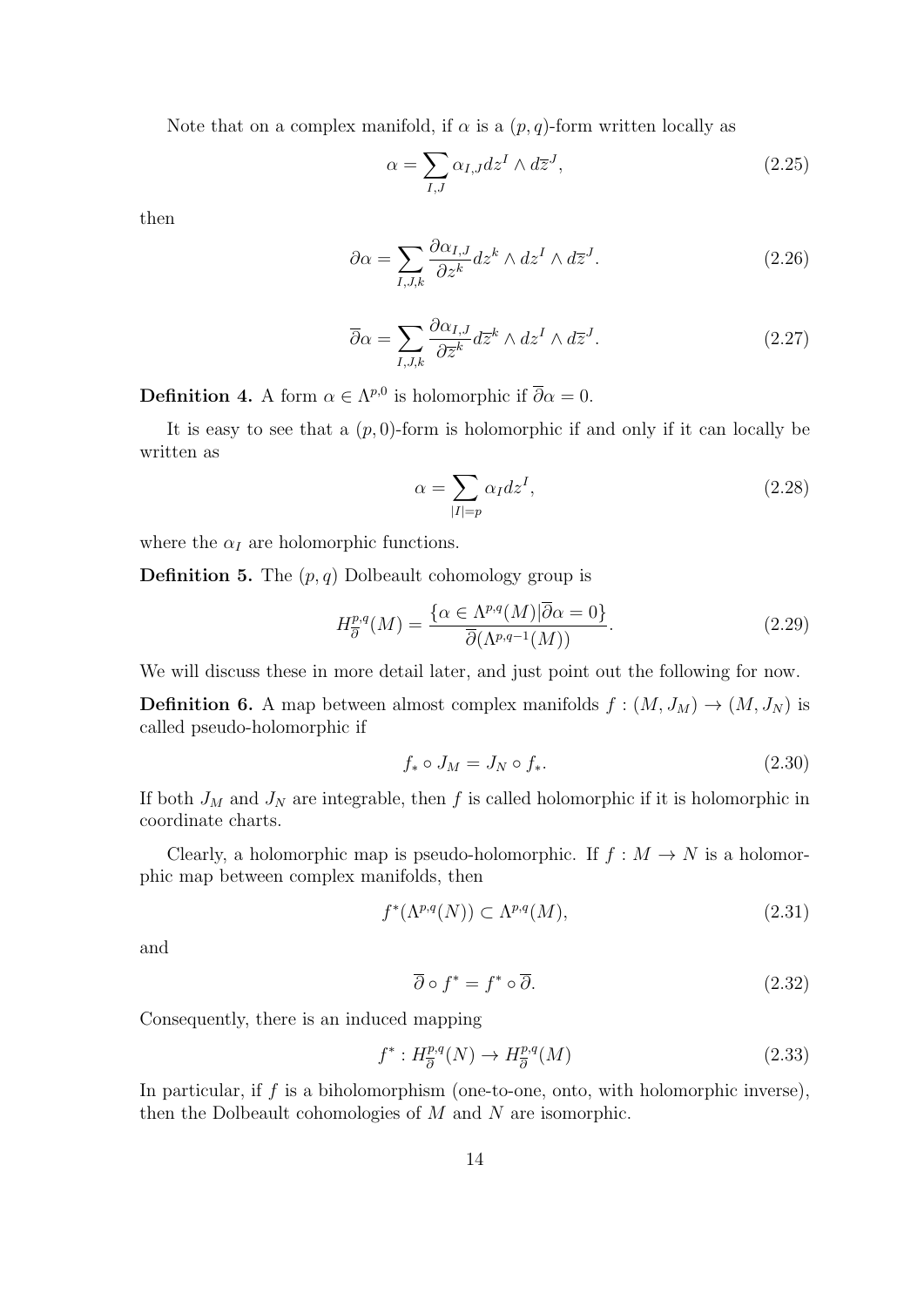Note that on a complex manifold, if  $\alpha$  is a  $(p, q)$ -form written locally as

$$
\alpha = \sum_{I,J} \alpha_{I,J} dz^I \wedge d\overline{z}^J,\tag{2.25}
$$

then

$$
\partial \alpha = \sum_{I,J,k} \frac{\partial \alpha_{I,J}}{\partial z^k} dz^k \wedge dz^I \wedge d\overline{z}^J.
$$
 (2.26)

$$
\overline{\partial}\alpha = \sum_{I,J,k} \frac{\partial \alpha_{I,J}}{\partial \overline{z}^k} d\overline{z}^k \wedge dz^I \wedge d\overline{z}^J.
$$
 (2.27)

**Definition 4.** A form  $\alpha \in \Lambda^{p,0}$  is holomorphic if  $\overline{\partial}\alpha = 0$ .

It is easy to see that a  $(p, 0)$ -form is holomorphic if and only if it can locally be written as

$$
\alpha = \sum_{|I|=p} \alpha_I dz^I,\tag{2.28}
$$

where the  $\alpha_I$  are holomorphic functions.

**Definition 5.** The  $(p, q)$  Dolbeault cohomology group is

$$
H^{p,q}_{\overline{\partial}}(M) = \frac{\{\alpha \in \Lambda^{p,q}(M) | \overline{\partial}\alpha = 0\}}{\overline{\partial}(\Lambda^{p,q-1}(M))}.
$$
\n(2.29)

We will discuss these in more detail later, and just point out the following for now.

**Definition 6.** A map between almost complex manifolds  $f : (M, J_M) \to (M, J_N)$  is called pseudo-holomorphic if

$$
f_* \circ J_M = J_N \circ f_*.\tag{2.30}
$$

If both  $J_M$  and  $J_N$  are integrable, then f is called holomorphic if it is holomorphic in coordinate charts.

Clearly, a holomorphic map is pseudo-holomorphic. If  $f : M \to N$  is a holomorphic map between complex manifolds, then

$$
f^*(\Lambda^{p,q}(N)) \subset \Lambda^{p,q}(M),\tag{2.31}
$$

and

$$
\overline{\partial} \circ f^* = f^* \circ \overline{\partial}.\tag{2.32}
$$

Consequently, there is an induced mapping

$$
f^*: H^{p,q}_{\overline{\partial}}(N) \to H^{p,q}_{\overline{\partial}}(M) \tag{2.33}
$$

In particular, if  $f$  is a biholomorphism (one-to-one, onto, with holomorphic inverse), then the Dolbeault cohomologies of  $M$  and  $N$  are isomorphic.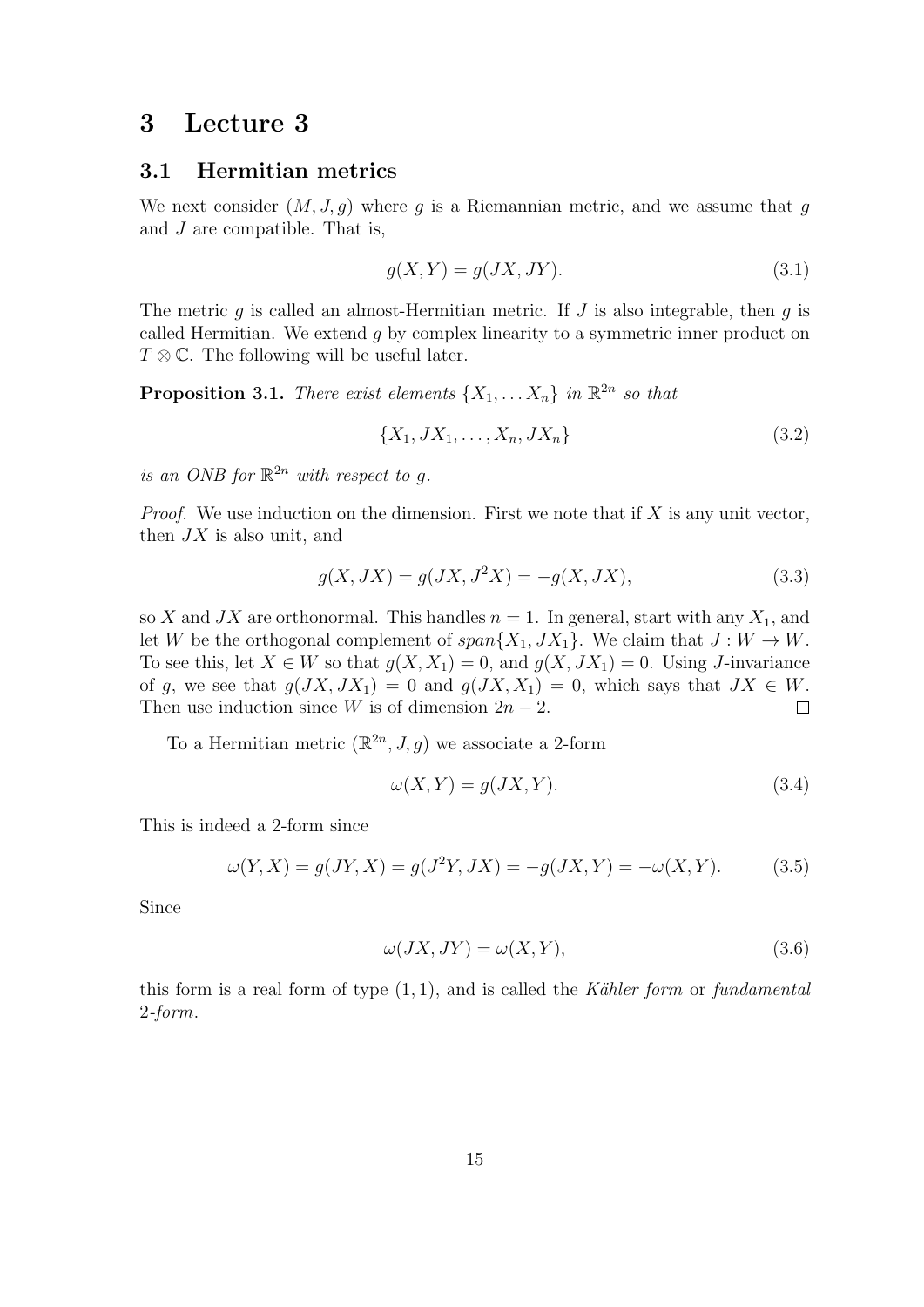# 3 Lecture 3

#### 3.1 Hermitian metrics

We next consider  $(M, J, g)$  where g is a Riemannian metric, and we assume that g and J are compatible. That is,

$$
g(X,Y) = g(JX,JY). \tag{3.1}
$$

The metric g is called an almost-Hermitian metric. If  $J$  is also integrable, then  $g$  is called Hermitian. We extend g by complex linearity to a symmetric inner product on  $T \otimes \mathbb{C}$ . The following will be useful later.

**Proposition 3.1.** There exist elements  $\{X_1, \ldots X_n\}$  in  $\mathbb{R}^{2n}$  so that

$$
\{X_1, JX_1, \dots, X_n, JX_n\} \tag{3.2}
$$

is an ONB for  $\mathbb{R}^{2n}$  with respect to g.

*Proof.* We use induction on the dimension. First we note that if  $X$  is any unit vector, then  $JX$  is also unit, and

$$
g(X, JX) = g(JX, J^2X) = -g(X, JX),
$$
\n(3.3)

so X and JX are orthonormal. This handles  $n = 1$ . In general, start with any  $X_1$ , and let W be the orthogonal complement of  $span{X_1, JX_1}$ . We claim that  $J: W \to W$ . To see this, let  $X \in W$  so that  $g(X, X_1) = 0$ , and  $g(X, JX_1) = 0$ . Using J-invariance of g, we see that  $g(JX, JX_1) = 0$  and  $g(JX, X_1) = 0$ , which says that  $JX \in W$ . Then use induction since W is of dimension  $2n - 2$ .  $\Box$ 

To a Hermitian metric  $(\mathbb{R}^{2n}, J, g)$  we associate a 2-form

$$
\omega(X, Y) = g(JX, Y). \tag{3.4}
$$

This is indeed a 2-form since

$$
\omega(Y, X) = g(JY, X) = g(J^2Y, JX) = -g(JX, Y) = -\omega(X, Y). \tag{3.5}
$$

Since

$$
\omega(JX, JY) = \omega(X, Y),\tag{3.6}
$$

this form is a real form of type  $(1, 1)$ , and is called the Kähler form or fundamental 2-form.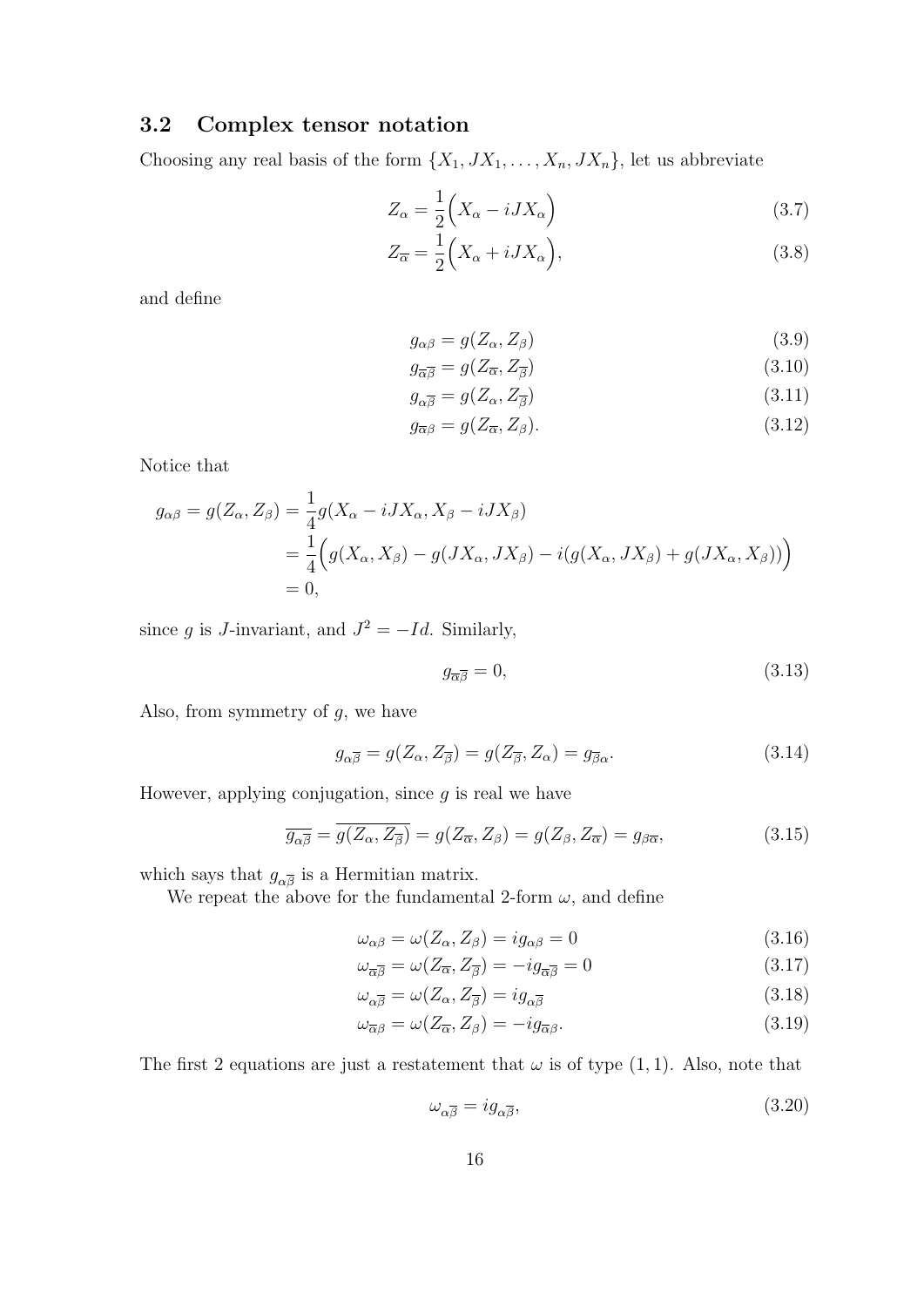# 3.2 Complex tensor notation

Choosing any real basis of the form  $\{X_1, JX_1, \ldots, X_n, JX_n\}$ , let us abbreviate

$$
Z_{\alpha} = \frac{1}{2} \left( X_{\alpha} - iJX_{\alpha} \right) \tag{3.7}
$$

$$
Z_{\overline{\alpha}} = \frac{1}{2} \Big( X_{\alpha} + iJX_{\alpha} \Big), \tag{3.8}
$$

and define

$$
g_{\alpha\beta} = g(Z_{\alpha}, Z_{\beta})\tag{3.9}
$$

$$
g_{\overline{\alpha}\overline{\beta}} = g(Z_{\overline{\alpha}}, Z_{\overline{\beta}}) \tag{3.10}
$$

$$
g_{\alpha\overline{\beta}} = g(Z_{\alpha}, Z_{\overline{\beta}}) \tag{3.11}
$$

$$
g_{\overline{\alpha}\beta} = g(Z_{\overline{\alpha}}, Z_{\beta}).\tag{3.12}
$$

Notice that

$$
g_{\alpha\beta} = g(Z_{\alpha}, Z_{\beta}) = \frac{1}{4}g(X_{\alpha} - iJX_{\alpha}, X_{\beta} - iJX_{\beta})
$$
  
= 
$$
\frac{1}{4}\Big(g(X_{\alpha}, X_{\beta}) - g(JX_{\alpha}, JX_{\beta}) - i(g(X_{\alpha}, JX_{\beta}) + g(JX_{\alpha}, X_{\beta}))\Big)
$$
  
= 0,

since g is J-invariant, and  $J^2 = -Id$ . Similarly,

$$
g_{\overline{\alpha}\overline{\beta}} = 0,\t\t(3.13)
$$

Also, from symmetry of  $g$ , we have

$$
g_{\alpha\overline{\beta}} = g(Z_{\alpha}, Z_{\overline{\beta}}) = g(Z_{\overline{\beta}}, Z_{\alpha}) = g_{\overline{\beta}\alpha}.
$$
\n(3.14)

However, applying conjugation, since  $g$  is real we have

$$
\overline{g_{\alpha\overline{\beta}}} = \overline{g(Z_{\alpha}, Z_{\overline{\beta}})} = g(Z_{\overline{\alpha}}, Z_{\beta}) = g(Z_{\beta}, Z_{\overline{\alpha}}) = g_{\beta\overline{\alpha}},
$$
\n(3.15)

which says that  $g_{\alpha\overline{\beta}}$  is a Hermitian matrix.

We repeat the above for the fundamental 2-form  $\omega$ , and define

$$
\omega_{\alpha\beta} = \omega(Z_{\alpha}, Z_{\beta}) = ig_{\alpha\beta} = 0 \tag{3.16}
$$

$$
\omega_{\overline{\alpha}\overline{\beta}} = \omega(Z_{\overline{\alpha}}, Z_{\overline{\beta}}) = -ig_{\overline{\alpha}\overline{\beta}} = 0 \tag{3.17}
$$

$$
\omega_{\alpha\overline{\beta}} = \omega(Z_{\alpha}, Z_{\overline{\beta}}) = ig_{\alpha\overline{\beta}} \tag{3.18}
$$

$$
\omega_{\overline{\alpha}\beta} = \omega(Z_{\overline{\alpha}}, Z_{\beta}) = -ig_{\overline{\alpha}\beta}.
$$
\n(3.19)

The first 2 equations are just a restatement that  $\omega$  is of type (1, 1). Also, note that

$$
\omega_{\alpha\overline{\beta}} = ig_{\alpha\overline{\beta}},\tag{3.20}
$$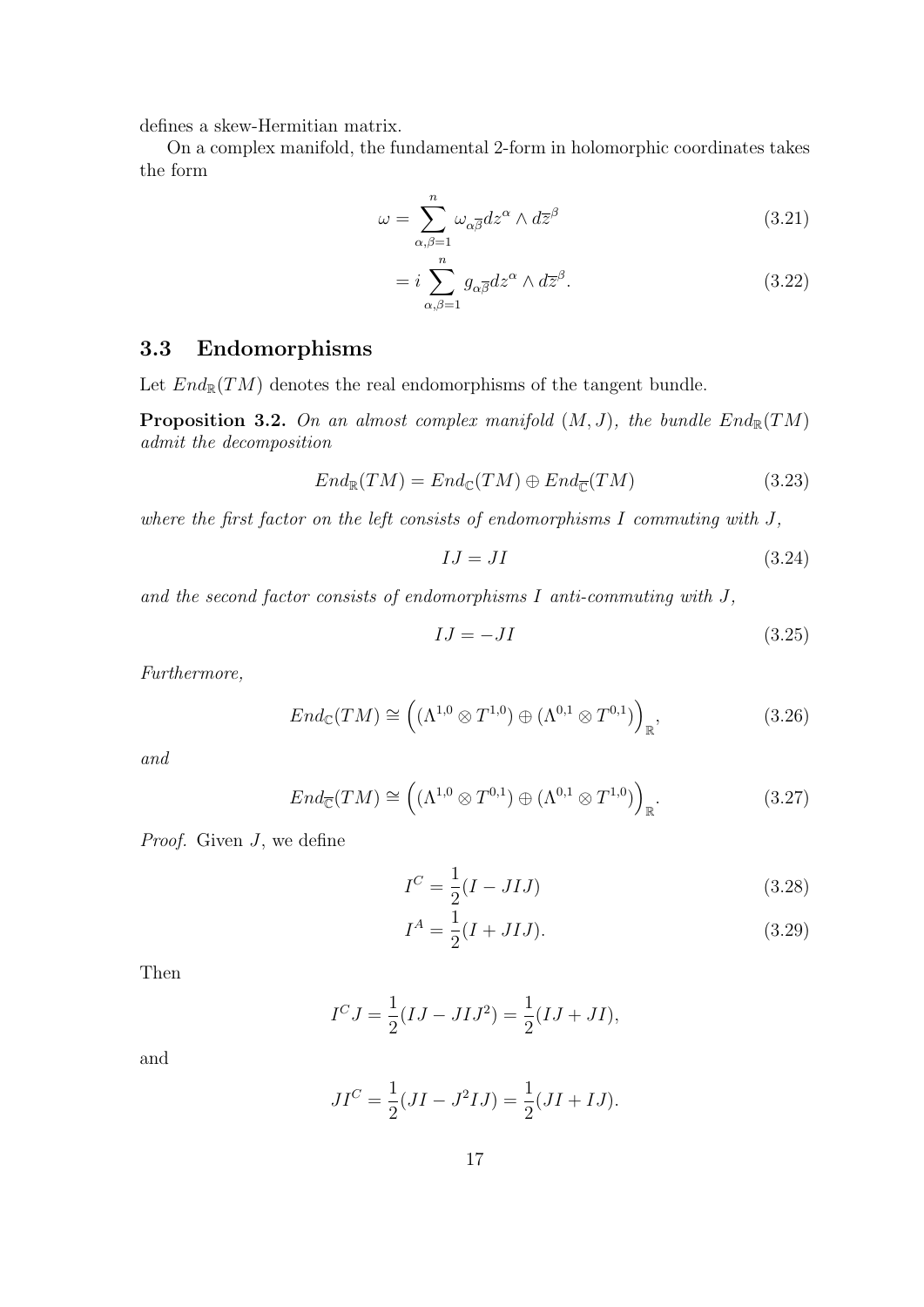defines a skew-Hermitian matrix.

On a complex manifold, the fundamental 2-form in holomorphic coordinates takes the form

$$
\omega = \sum_{\alpha,\beta=1}^{n} \omega_{\alpha\overline{\beta}} dz^{\alpha} \wedge d\overline{z}^{\beta}
$$
 (3.21)

$$
= i \sum_{\alpha,\beta=1}^{n} g_{\alpha\overline{\beta}} dz^{\alpha} \wedge d\overline{z}^{\beta}.
$$
 (3.22)

## 3.3 Endomorphisms

Let  $End_{\mathbb{R}}(TM)$  denotes the real endomorphisms of the tangent bundle.

**Proposition 3.2.** On an almost complex manifold  $(M, J)$ , the bundle  $End_{\mathbb{R}}(TM)$ admit the decomposition

$$
End_{\mathbb{R}}(TM) = End_{\mathbb{C}}(TM) \oplus End_{\overline{\mathbb{C}}}(TM)
$$
\n(3.23)

where the first factor on the left consists of endomorphisms  $I$  commuting with  $J$ ,

$$
IJ = JI \tag{3.24}
$$

and the second factor consists of endomorphisms I anti-commuting with J,

$$
IJ = -JI \tag{3.25}
$$

Furthermore,

$$
End_{\mathbb{C}}(TM) \cong \left( (\Lambda^{1,0} \otimes T^{1,0}) \oplus (\Lambda^{0,1} \otimes T^{0,1}) \right)_{\mathbb{R}},
$$
\n(3.26)

and

$$
End_{\overline{\mathbb{C}}}(TM) \cong \left( (\Lambda^{1,0} \otimes T^{0,1}) \oplus (\Lambda^{0,1} \otimes T^{1,0}) \right)_{\mathbb{R}}.
$$
 (3.27)

*Proof.* Given  $J$ , we define

$$
I^C = \frac{1}{2}(I - JIJ) \tag{3.28}
$$

$$
I^A = \frac{1}{2}(I + JIJ). \tag{3.29}
$$

Then

$$
I^C J = \frac{1}{2}(IJ - J I J^2) = \frac{1}{2}(IJ + J I),
$$

and

$$
JI^{C} = \frac{1}{2}(JI - J^{2}IJ) = \frac{1}{2}(JI + IJ).
$$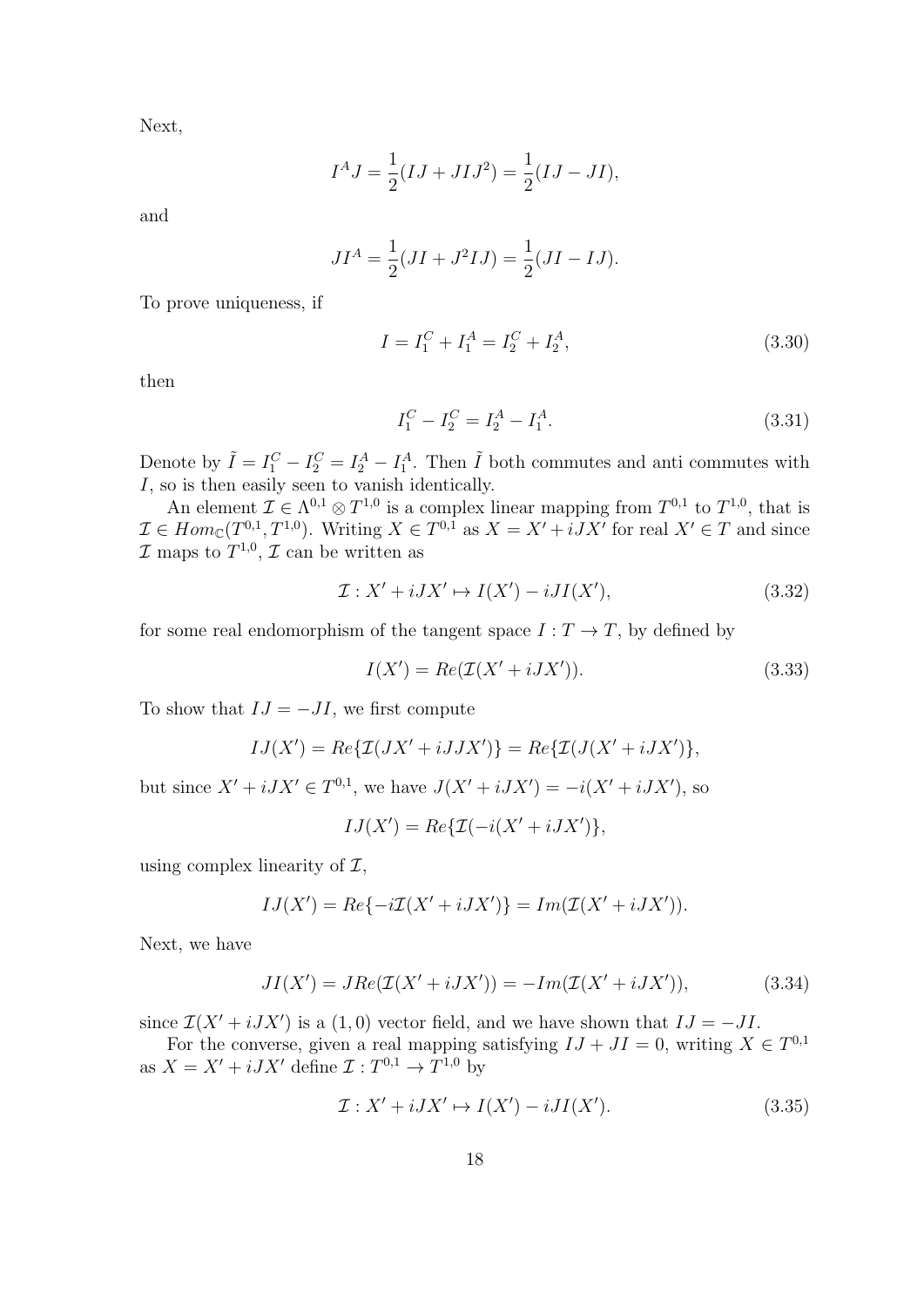Next,

$$
I^A J = \frac{1}{2}(IJ + JIJ^2) = \frac{1}{2}(IJ - JI),
$$

and

$$
JI^{A} = \frac{1}{2}(JI + J^{2}IJ) = \frac{1}{2}(JI - IJ).
$$

To prove uniqueness, if

$$
I = I_1^C + I_1^A = I_2^C + I_2^A,\tag{3.30}
$$

then

$$
I_1^C - I_2^C = I_2^A - I_1^A. \tag{3.31}
$$

Denote by  $\tilde{I} = I_1^C - I_2^C = I_2^A - I_1^A$ . Then  $\tilde{I}$  both commutes and anti-commutes with I, so is then easily seen to vanish identically.

An element  $\mathcal{I} \in \Lambda^{0,1} \otimes T^{1,0}$  is a complex linear mapping from  $T^{0,1}$  to  $T^{1,0}$ , that is  $\mathcal{I} \in Hom_{\mathbb{C}}(T^{0,1}, T^{1,0}).$  Writing  $X \in T^{0,1}$  as  $X = X' + iJX'$  for real  $X' \in T$  and since  $\mathcal I$  maps to  $T^{1,0}, \mathcal I$  can be written as

$$
\mathcal{I}: X' + iJX' \mapsto I(X') - iJI(X'),\tag{3.32}
$$

for some real endomorphism of the tangent space  $I: T \to T$ , by defined by

$$
I(X') = Re(\mathcal{I}(X' + iJX')).
$$
\n(3.33)

To show that  $IJ = -JI$ , we first compute

$$
IJ(X') = Re\{\mathcal{I}(JX' + iJJX')\} = Re\{\mathcal{I}(J(X' + iJX'))\},\
$$

but since  $X' + iJX' \in T^{0,1}$ , we have  $J(X' + iJX') = -i(X' + iJX')$ , so

$$
IJ(X') = Re\{\mathcal{I}(-i(X' + iJX')\},\,
$$

using complex linearity of  $\mathcal{I},$ 

$$
IJ(X') = Re{-i\mathcal{I}(X' + iJX')} = Im(\mathcal{I}(X' + iJX')).
$$

Next, we have

$$
JI(X') = JRe(\mathcal{I}(X' + iJX')) = -Im(\mathcal{I}(X' + iJX')), \qquad (3.34)
$$

since  $\mathcal{I}(X' + iJX')$  is a (1,0) vector field, and we have shown that  $IJ = -JI$ .

For the converse, given a real mapping satisfying  $IJ + JI = 0$ , writing  $X \in T^{0,1}$ as  $X = X' + iJX'$  define  $\mathcal{I}: T^{0,1} \to T^{1,0}$  by

$$
\mathcal{I}: X' + iJX' \mapsto I(X') - iJI(X'). \tag{3.35}
$$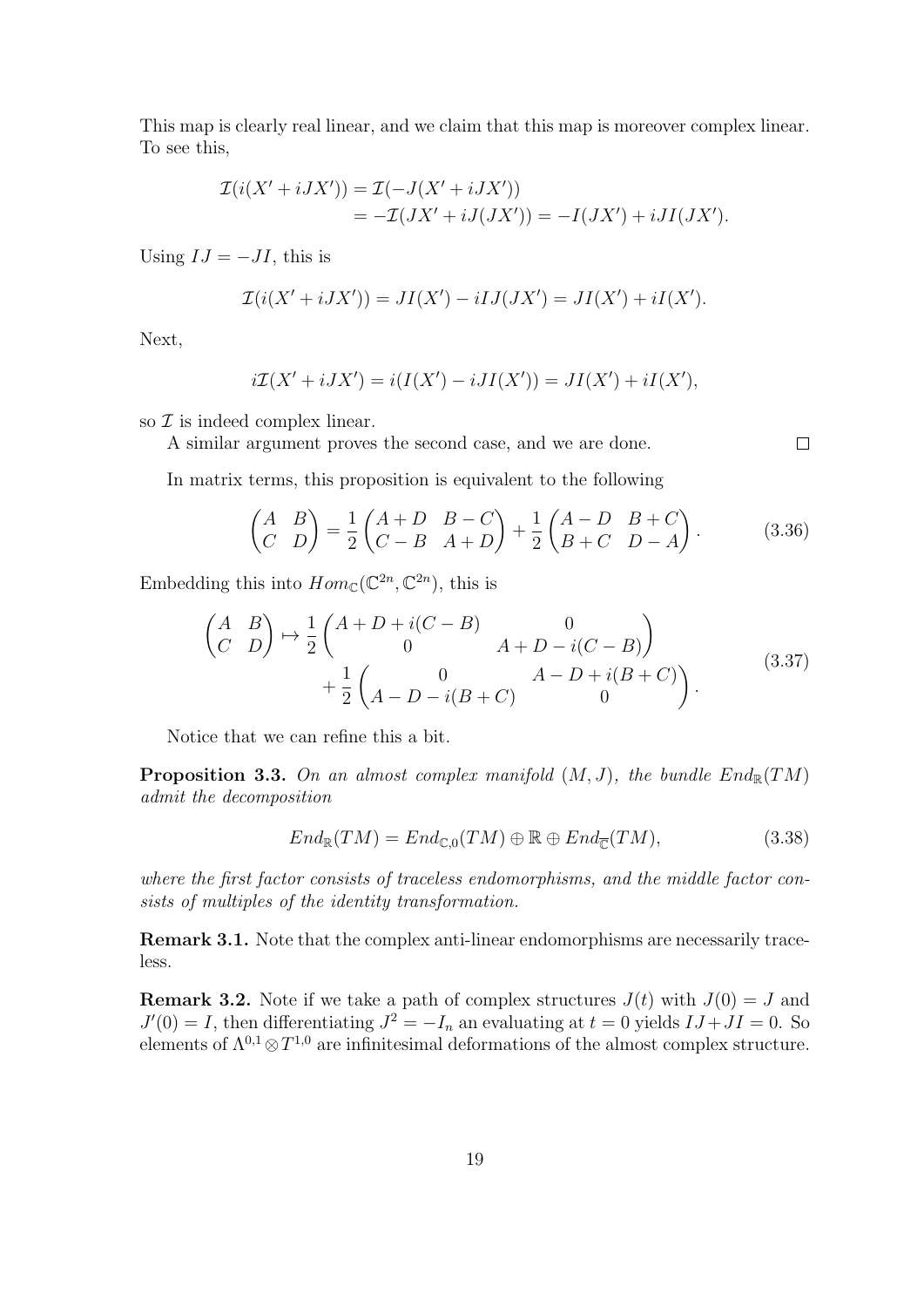This map is clearly real linear, and we claim that this map is moreover complex linear. To see this,

$$
\mathcal{I}(i(X' + iJX')) = \mathcal{I}(-J(X' + iJX'))
$$
  
= 
$$
-\mathcal{I}(JX' + iJ(JX')) = -I(JX') + iJI(JX').
$$

Using  $IJ = -JI$ , this is

$$
\mathcal{I}(i(X' + iJX')) = JI(X') - iIJ(JX') = JI(X') + iI(X').
$$

Next,

$$
i\mathcal{I}(X' + iJX') = i(I(X') - iJI(X')) = JI(X') + iI(X'),
$$

so  $\mathcal I$  is indeed complex linear.

A similar argument proves the second case, and we are done.

In matrix terms, this proposition is equivalent to the following

$$
\begin{pmatrix} A & B \\ C & D \end{pmatrix} = \frac{1}{2} \begin{pmatrix} A+D & B-C \\ C-B & A+D \end{pmatrix} + \frac{1}{2} \begin{pmatrix} A-D & B+C \\ B+C & D-A \end{pmatrix}.
$$
 (3.36)

Embedding this into  $Hom_{\mathbb{C}}(\mathbb{C}^{2n}, \mathbb{C}^{2n})$ , this is

$$
\begin{pmatrix}\nA & B \\
C & D\n\end{pmatrix}\n\mapsto \frac{1}{2}\n\begin{pmatrix}\nA+D+i(C-B) & 0 \\
0 & A+D-i(C-B)\n\end{pmatrix} + \frac{1}{2}\n\begin{pmatrix}\n0 & A-D+i(B+C) \\
A-D-i(B+C) & 0\n\end{pmatrix}.
$$
\n(3.37)

Notice that we can refine this a bit.

**Proposition 3.3.** On an almost complex manifold  $(M, J)$ , the bundle  $End_{\mathbb{R}}(TM)$ admit the decomposition

$$
End_{\mathbb{R}}(TM) = End_{\mathbb{C},0}(TM) \oplus \mathbb{R} \oplus End_{\overline{\mathbb{C}}}(TM),
$$
\n(3.38)

where the first factor consists of traceless endomorphisms, and the middle factor consists of multiples of the identity transformation.

Remark 3.1. Note that the complex anti-linear endomorphisms are necessarily traceless.

**Remark 3.2.** Note if we take a path of complex structures  $J(t)$  with  $J(0) = J$  and  $J'(0) = I$ , then differentiating  $J^2 = -I_n$  an evaluating at  $t = 0$  yields  $IJ +JI = 0$ . So elements of  $\Lambda^{0,1} \otimes T^{1,0}$  are infinitesimal deformations of the almost complex structure.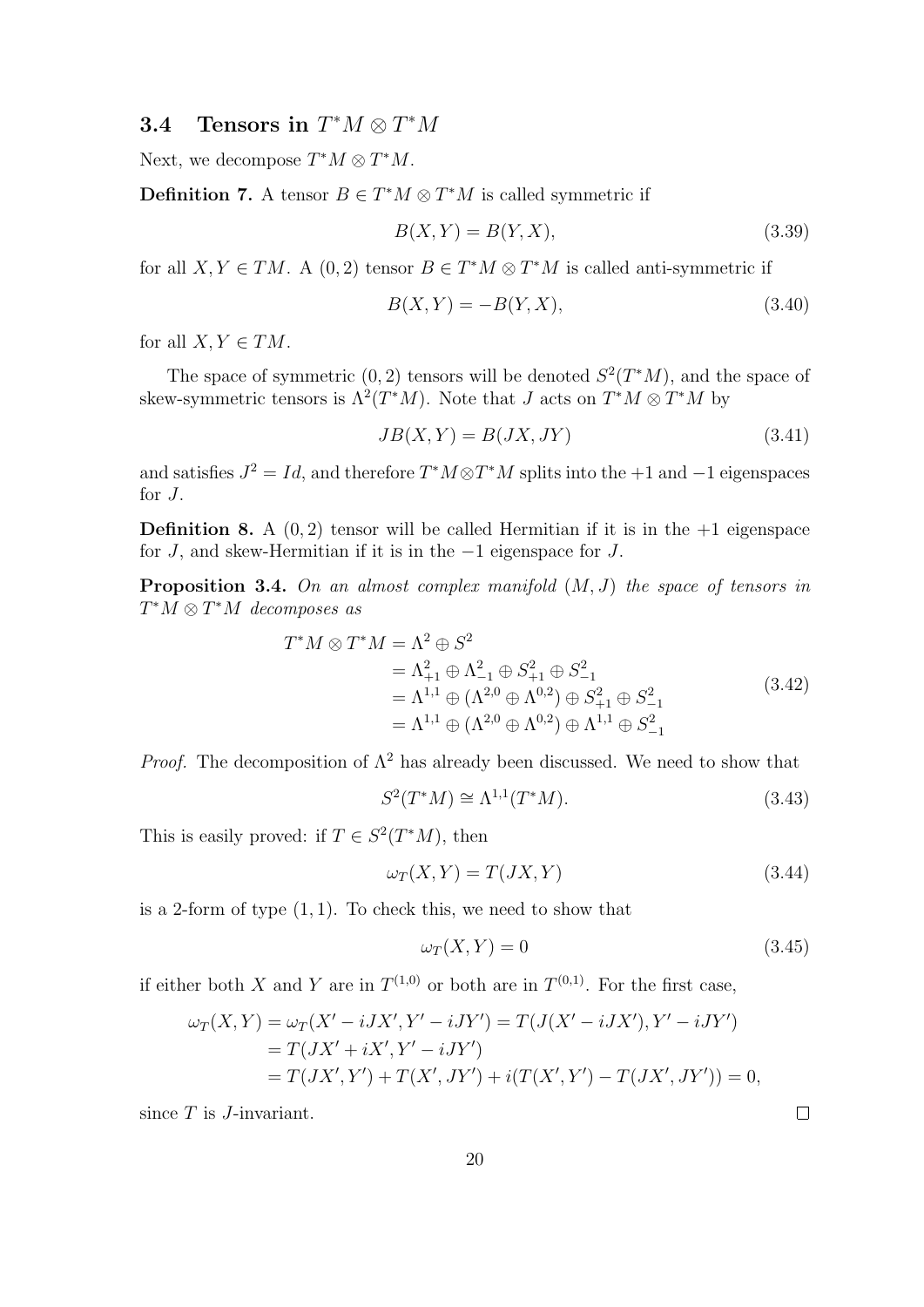# **3.4** Tensors in  $T^*M \otimes T^*M$

Next, we decompose  $T^*M \otimes T^*M$ .

**Definition 7.** A tensor  $B \in T^*M \otimes T^*M$  is called symmetric if

$$
B(X,Y) = B(Y,X),\tag{3.39}
$$

for all  $X, Y \in TM$ . A  $(0, 2)$  tensor  $B \in T^*M \otimes T^*M$  is called anti-symmetric if

$$
B(X,Y) = -B(Y,X),
$$
\n(3.40)

for all  $X, Y \in TM$ .

The space of symmetric  $(0, 2)$  tensors will be denoted  $S^2(T^*M)$ , and the space of skew-symmetric tensors is  $\Lambda^2(T^*M)$ . Note that J acts on  $T^*M \otimes T^*M$  by

$$
JB(X,Y) = B(JX,JY) \tag{3.41}
$$

and satisfies  $J^2 = Id$ , and therefore  $T^*M \otimes T^*M$  splits into the +1 and -1 eigenspaces for J.

**Definition 8.** A  $(0, 2)$  tensor will be called Hermitian if it is in the  $+1$  eigenspace for J, and skew-Hermitian if it is in the −1 eigenspace for J.

**Proposition 3.4.** On an almost complex manifold  $(M, J)$  the space of tensors in  $T^*M \otimes T^*M$  decomposes as

$$
T^*M \otimes T^*M = \Lambda^2 \oplus S^2
$$
  
=  $\Lambda_{+1}^2 \oplus \Lambda_{-1}^2 \oplus S_{+1}^2 \oplus S_{-1}^2$   
=  $\Lambda^{1,1} \oplus (\Lambda^{2,0} \oplus \Lambda^{0,2}) \oplus S_{+1}^2 \oplus S_{-1}^2$   
=  $\Lambda^{1,1} \oplus (\Lambda^{2,0} \oplus \Lambda^{0,2}) \oplus \Lambda^{1,1} \oplus S_{-1}^2$  (3.42)

*Proof.* The decomposition of  $\Lambda^2$  has already been discussed. We need to show that

$$
S^{2}(T^{*}M) \cong \Lambda^{1,1}(T^{*}M). \tag{3.43}
$$

This is easily proved: if  $T \in S^2(T^*M)$ , then

$$
\omega_T(X, Y) = T(JX, Y) \tag{3.44}
$$

is a 2-form of type  $(1, 1)$ . To check this, we need to show that

$$
\omega_T(X, Y) = 0\tag{3.45}
$$

if either both X and Y are in  $T^{(1,0)}$  or both are in  $T^{(0,1)}$ . For the first case,

$$
\omega_T(X,Y) = \omega_T(X' - iJX', Y' - iJY') = T(J(X' - iJX'), Y' - iJY')
$$
  
=  $T(JX' + iX', Y' - iJY')$   
=  $T(JX', Y') + T(X', JY') + i(T(X', Y') - T(JX', JY')) = 0,$ 

since  $T$  is  $J$ -invariant.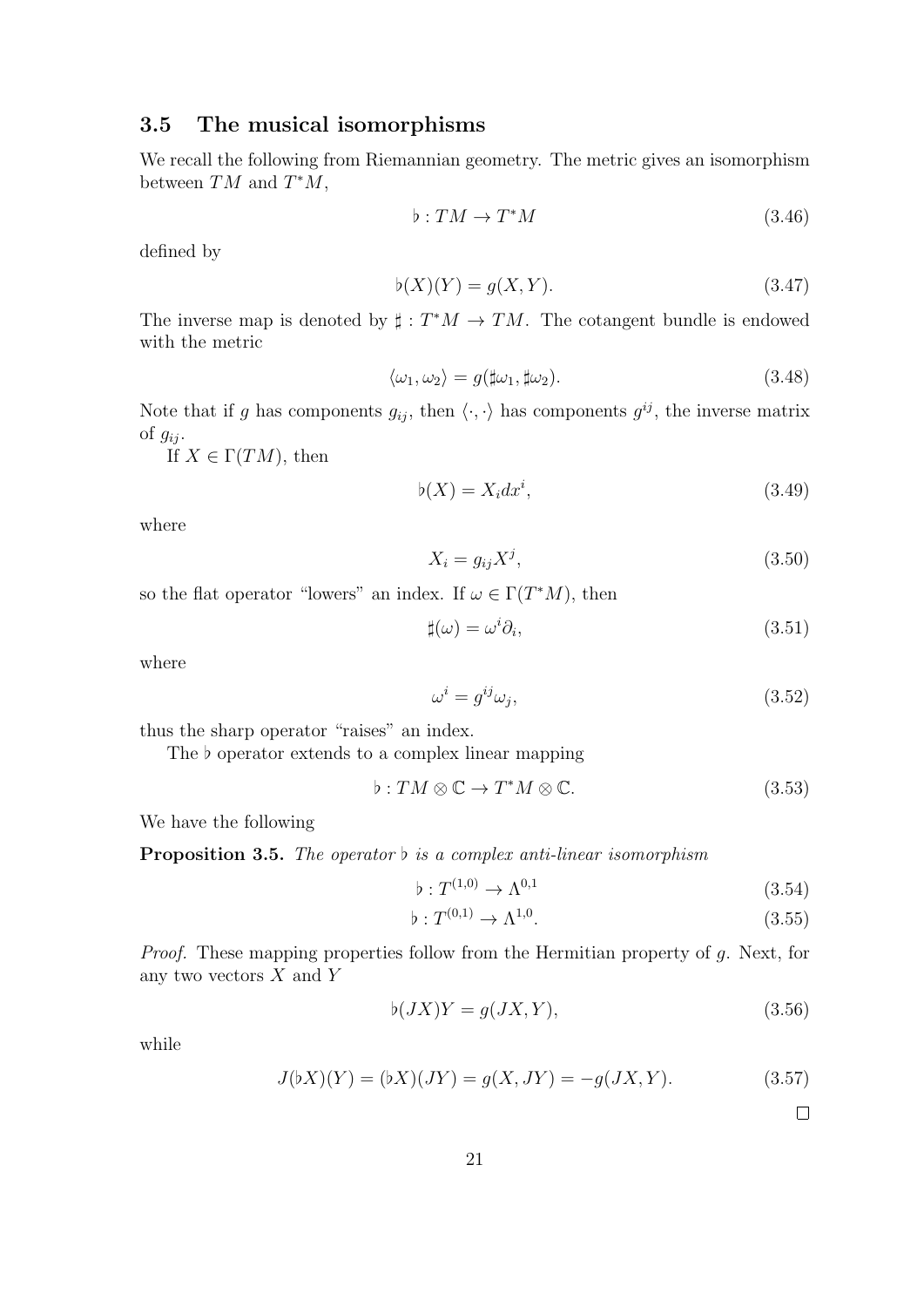## 3.5 The musical isomorphisms

We recall the following from Riemannian geometry. The metric gives an isomorphism between  $TM$  and  $T^*M$ ,

$$
\flat: TM \to T^*M \tag{3.46}
$$

defined by

$$
\flat(X)(Y) = g(X, Y). \tag{3.47}
$$

The inverse map is denoted by  $\sharp : T^*M \to TM$ . The cotangent bundle is endowed with the metric

$$
\langle \omega_1, \omega_2 \rangle = g(\sharp \omega_1, \sharp \omega_2). \tag{3.48}
$$

Note that if g has components  $g_{ij}$ , then  $\langle \cdot, \cdot \rangle$  has components  $g^{ij}$ , the inverse matrix of  $q_{ij}$ .

If  $X \in \Gamma(TM)$ , then

$$
\flat(X) = X_i dx^i,\tag{3.49}
$$

where

$$
X_i = g_{ij} X^j,\tag{3.50}
$$

so the flat operator "lowers" an index. If  $\omega \in \Gamma(T^*M)$ , then

$$
\sharp(\omega) = \omega^i \partial_i,\tag{3.51}
$$

where

$$
\omega^i = g^{ij}\omega_j,\tag{3.52}
$$

thus the sharp operator "raises" an index.

The  $\flat$  operator extends to a complex linear mapping

$$
\flat: TM \otimes \mathbb{C} \to T^*M \otimes \mathbb{C}.\tag{3.53}
$$

We have the following

**Proposition 3.5.** The operator  $\flat$  is a complex anti-linear isomorphism

$$
\flat: T^{(1,0)} \to \Lambda^{0,1} \tag{3.54}
$$

$$
\flat : T^{(0,1)} \to \Lambda^{1,0}.
$$
\n(3.55)

Proof. These mapping properties follow from the Hermitian property of g. Next, for any two vectors  $X$  and  $Y$ 

$$
\phi(JX)Y = g(JX, Y),\tag{3.56}
$$

while

$$
J(\flat X)(Y) = (\flat X)(JY) = g(X, JY) = -g(JX, Y). \tag{3.57}
$$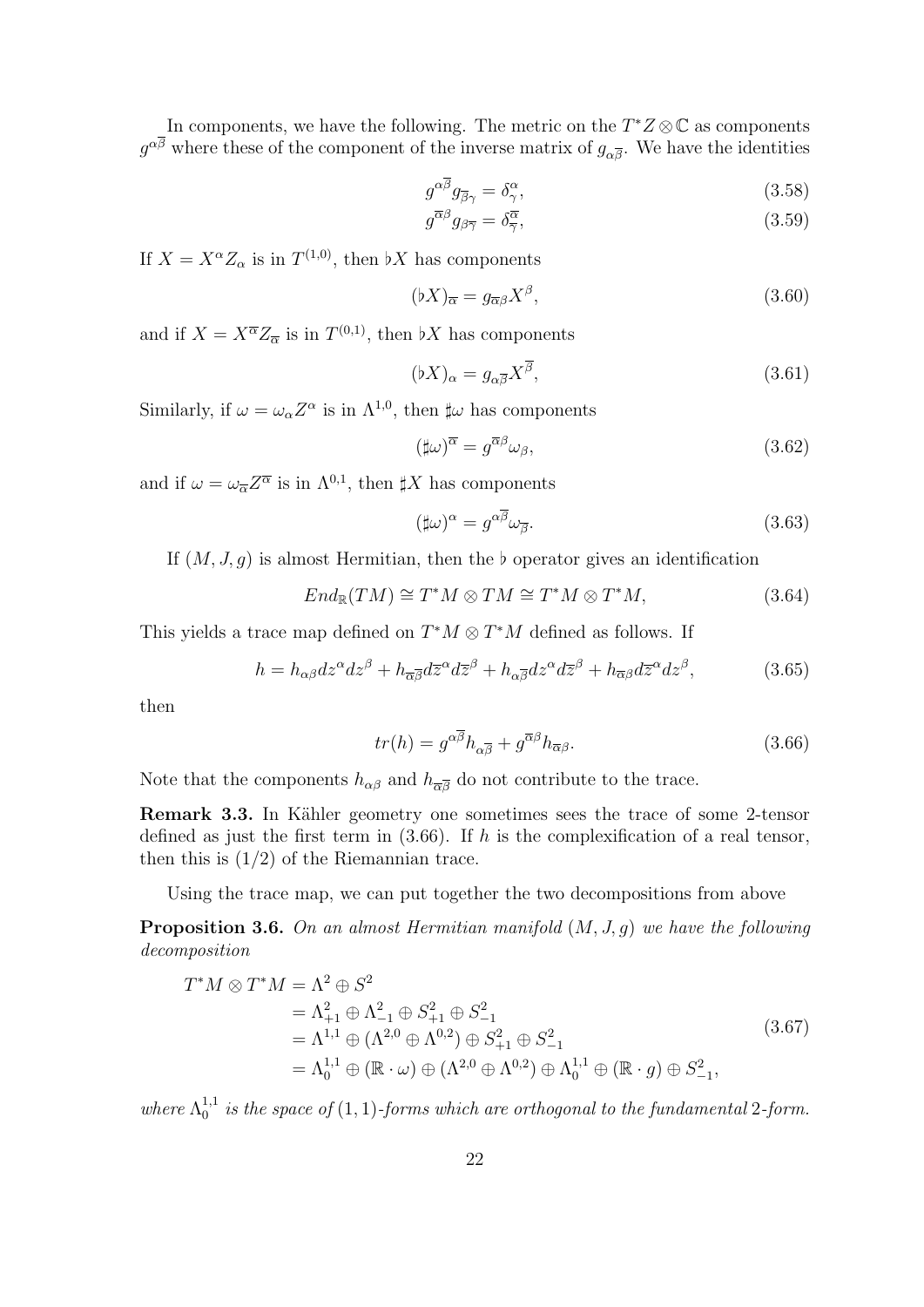In components, we have the following. The metric on the  $T^*Z \otimes \mathbb{C}$  as components  $g^{\alpha\beta}$  where these of the component of the inverse matrix of  $g_{\alpha\overline{\beta}}$ . We have the identities

$$
g^{\alpha\overline{\beta}}g_{\overline{\beta}\gamma} = \delta^{\alpha}_{\gamma},\tag{3.58}
$$

$$
g^{\overline{\alpha}\beta}g_{\beta\overline{\gamma}} = \delta^{\overline{\alpha}}_{\overline{\gamma}},\tag{3.59}
$$

If  $X = X^{\alpha} Z_{\alpha}$  is in  $T^{(1,0)}$ , then  $\flat X$  has components

$$
(\flat X)_{\overline{\alpha}} = g_{\overline{\alpha}\beta} X^{\beta},\tag{3.60}
$$

and if  $X = X^{\overline{\alpha}} Z_{\overline{\alpha}}$  is in  $T^{(0,1)}$ , then  $\flat X$  has components

$$
(\flat X)_{\alpha} = g_{\alpha\overline{\beta}} X^{\overline{\beta}},\tag{3.61}
$$

Similarly, if  $\omega = \omega_{\alpha} Z^{\alpha}$  is in  $\Lambda^{1,0}$ , then  $\sharp \omega$  has components

$$
(\sharp\omega)^{\overline{\alpha}} = g^{\overline{\alpha}\beta}\omega_{\beta},\tag{3.62}
$$

and if  $\omega = \omega_{\overline{\alpha}} Z^{\overline{\alpha}}$  is in  $\Lambda^{0,1}$ , then  $\sharp X$  has components

$$
(\sharp\omega)^{\alpha} = g^{\alpha\overline{\beta}}\omega_{\overline{\beta}}.\tag{3.63}
$$

If  $(M, J, g)$  is almost Hermitian, then the b operator gives an identification

$$
End_{\mathbb{R}}(TM) \cong T^*M \otimes TM \cong T^*M \otimes T^*M,
$$
\n(3.64)

This yields a trace map defined on  $T^*M \otimes T^*M$  defined as follows. If

$$
h = h_{\alpha\beta} dz^{\alpha} dz^{\beta} + h_{\overline{\alpha}\overline{\beta}} d\overline{z}^{\alpha} d\overline{z}^{\beta} + h_{\alpha\overline{\beta}} dz^{\alpha} d\overline{z}^{\beta} + h_{\overline{\alpha}\beta} d\overline{z}^{\alpha} dz^{\beta},\tag{3.65}
$$

then

$$
tr(h) = g^{\alpha \overline{\beta}} h_{\alpha \overline{\beta}} + g^{\overline{\alpha} \beta} h_{\overline{\alpha} \beta}.
$$
 (3.66)

Note that the components  $h_{\alpha\beta}$  and  $h_{\overline{\alpha}\overline{\beta}}$  do not contribute to the trace.

Remark 3.3. In Kähler geometry one sometimes sees the trace of some 2-tensor defined as just the first term in  $(3.66)$ . If h is the complexification of a real tensor, then this is  $(1/2)$  of the Riemannian trace.

Using the trace map, we can put together the two decompositions from above

**Proposition 3.6.** On an almost Hermitian manifold  $(M, J, g)$  we have the following decomposition

$$
T^*M \otimes T^*M = \Lambda^2 \oplus S^2
$$
  
=  $\Lambda^2_{+1} \oplus \Lambda^2_{-1} \oplus S^2_{+1} \oplus S^2_{-1}$   
=  $\Lambda^{1,1} \oplus (\Lambda^{2,0} \oplus \Lambda^{0,2}) \oplus S^2_{+1} \oplus S^2_{-1}$   
=  $\Lambda^{1,1}_0 \oplus (\mathbb{R} \cdot \omega) \oplus (\Lambda^{2,0} \oplus \Lambda^{0,2}) \oplus \Lambda^{1,1}_0 \oplus (\mathbb{R} \cdot g) \oplus S^2_{-1},$  (3.67)

where  $\Lambda_0^{1,1}$  $_{0}^{1,1}$  is the space of  $(1,1)$ -forms which are orthogonal to the fundamental 2-form.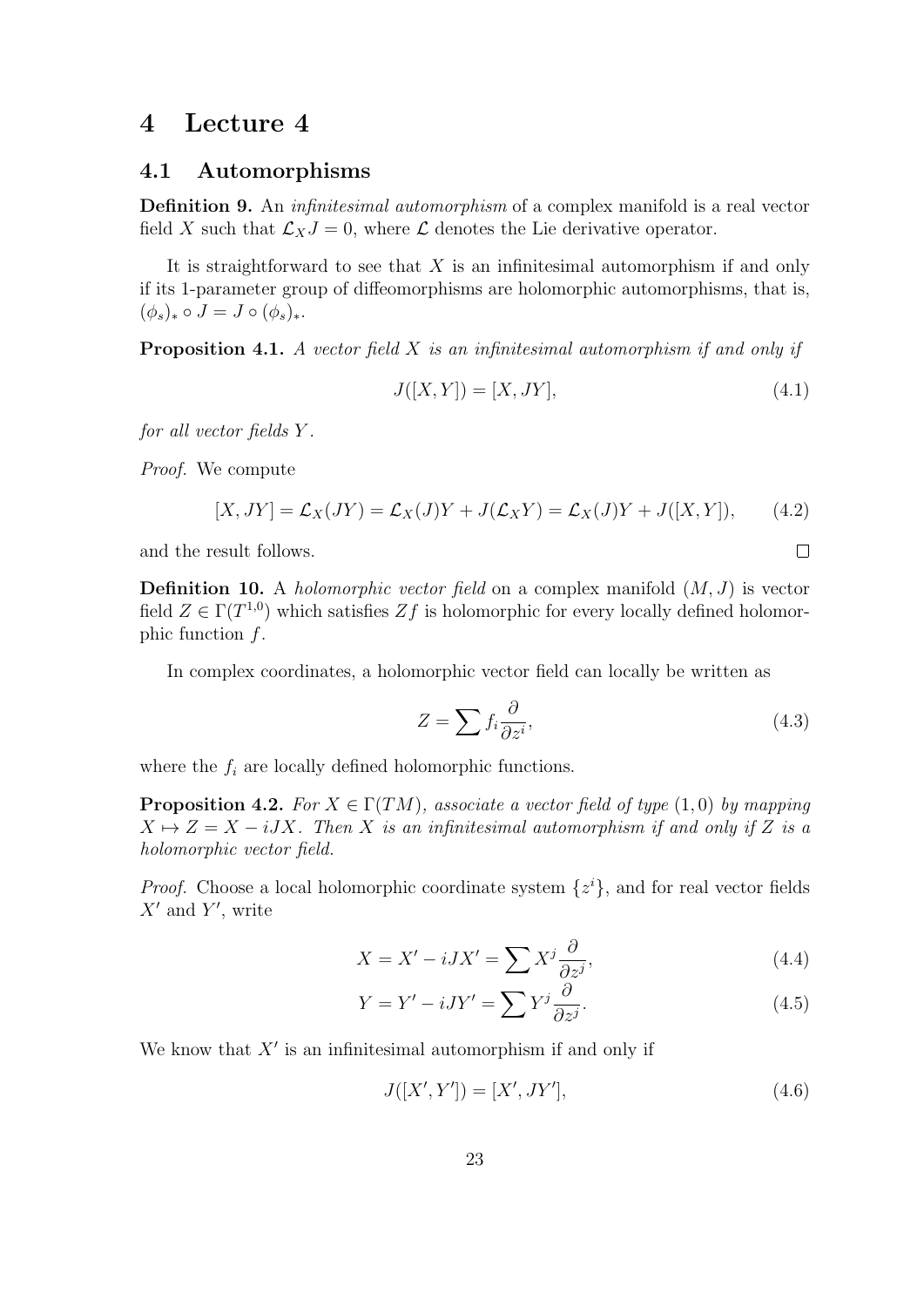## 4 Lecture 4

#### 4.1 Automorphisms

Definition 9. An *infinitesimal automorphism* of a complex manifold is a real vector field X such that  $\mathcal{L}_XJ = 0$ , where  $\mathcal L$  denotes the Lie derivative operator.

It is straightforward to see that  $X$  is an infinitesimal automorphism if and only if its 1-parameter group of diffeomorphisms are holomorphic automorphisms, that is,  $(\phi_s)_* \circ J = J \circ (\phi_s)_*.$ 

**Proposition 4.1.** A vector field  $X$  is an infinitesimal automorphism if and only if

$$
J([X,Y]) = [X, JY],
$$
\n(4.1)

for all vector fields Y .

Proof. We compute

$$
[X, JY] = \mathcal{L}_X(JY) = \mathcal{L}_X(J)Y + J(\mathcal{L}_XY) = \mathcal{L}_X(J)Y + J([X, Y]), \qquad (4.2)
$$

and the result follows.

**Definition 10.** A *holomorphic vector field* on a complex manifold  $(M, J)$  is vector field  $Z \in \Gamma(T^{1,0})$  which satisfies  $Zf$  is holomorphic for every locally defined holomorphic function  $f$ .

In complex coordinates, a holomorphic vector field can locally be written as

$$
Z = \sum f_i \frac{\partial}{\partial z^i},\tag{4.3}
$$

where the  $f_i$  are locally defined holomorphic functions.

**Proposition 4.2.** For  $X \in \Gamma(TM)$ , associate a vector field of type  $(1,0)$  by mapping  $X \mapsto Z = X - iJX$ . Then X is an infinitesimal automorphism if and only if Z is a holomorphic vector field.

*Proof.* Choose a local holomorphic coordinate system  $\{z^{i}\}\text{, and for real vector fields }$  $X'$  and  $Y'$ , write

$$
X = X' - iJX' = \sum X^j \frac{\partial}{\partial z^j},\tag{4.4}
$$

$$
Y = Y' - iJY' = \sum Y^j \frac{\partial}{\partial z^j}.
$$
\n(4.5)

We know that  $X'$  is an infinitesimal automorphism if and only if

$$
J([X', Y']) = [X', JY'], \tag{4.6}
$$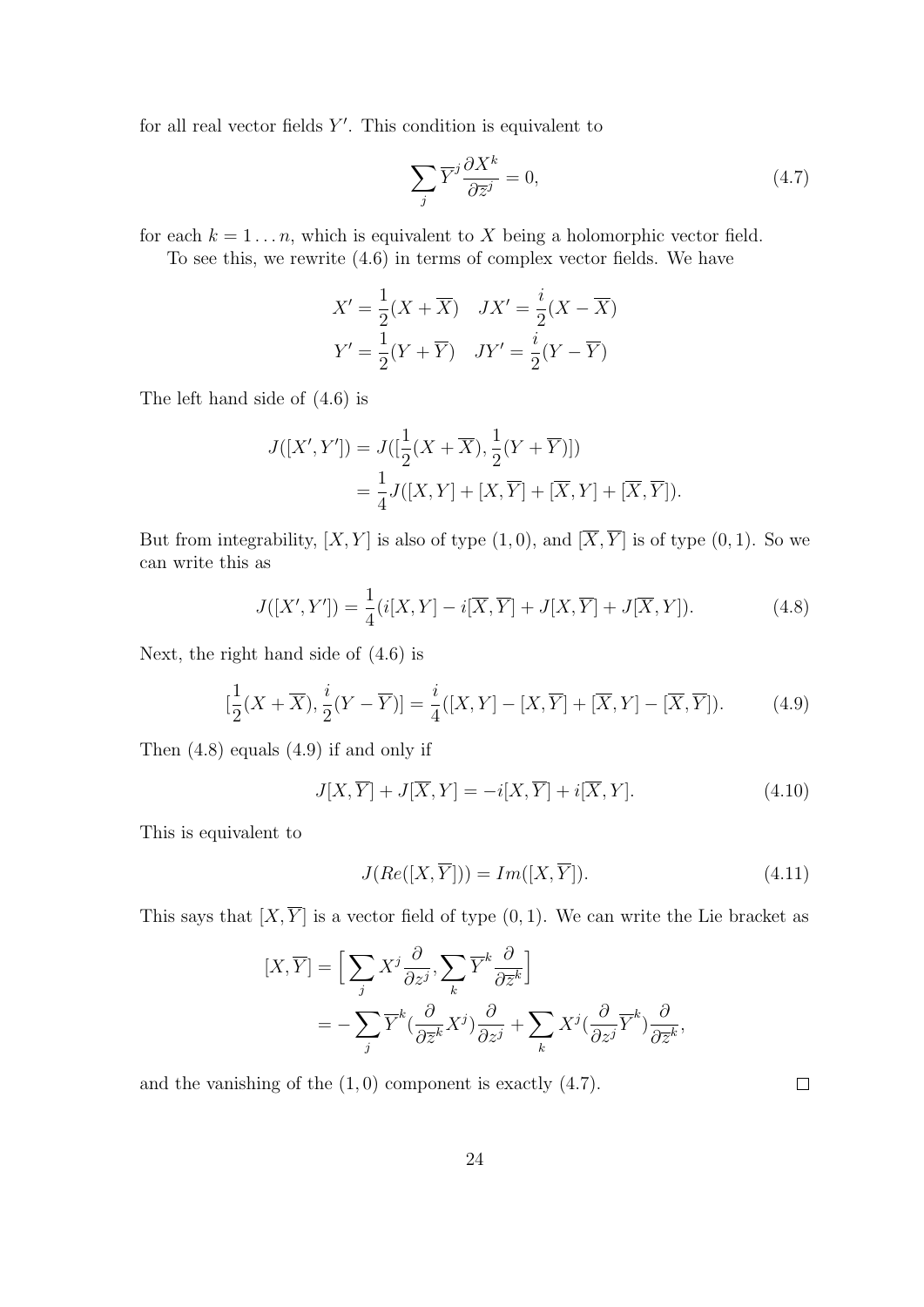for all real vector fields  $Y'$ . This condition is equivalent to

$$
\sum_{j} \overline{Y}^{j} \frac{\partial X^{k}}{\partial \overline{z}^{j}} = 0, \qquad (4.7)
$$

for each  $k = 1 \ldots n$ , which is equivalent to X being a holomorphic vector field.

To see this, we rewrite (4.6) in terms of complex vector fields. We have

$$
X' = \frac{1}{2}(X + \overline{X}) \quad JX' = \frac{i}{2}(X - \overline{X})
$$

$$
Y' = \frac{1}{2}(Y + \overline{Y}) \quad JY' = \frac{i}{2}(Y - \overline{Y})
$$

The left hand side of (4.6) is

$$
J([X', Y']) = J([\frac{1}{2}(X + \overline{X}), \frac{1}{2}(Y + \overline{Y})])
$$
  
=  $\frac{1}{4}J([X, Y] + [X, \overline{Y}] + [\overline{X}, Y] + [\overline{X}, \overline{Y}]).$ 

But from integrability,  $[X, Y]$  is also of type  $(1, 0)$ , and  $[\overline{X}, \overline{Y}]$  is of type  $(0, 1)$ . So we can write this as

$$
J([X', Y']) = \frac{1}{4}(i[X, Y] - i[\overline{X}, \overline{Y}] + J[X, \overline{Y}] + J[\overline{X}, Y]).
$$
 (4.8)

Next, the right hand side of (4.6) is

$$
[\frac{1}{2}(X+\overline{X}), \frac{i}{2}(Y-\overline{Y})] = \frac{i}{4}([X,Y]-[X,\overline{Y}]+[\overline{X},Y]-[\overline{X},\overline{Y}]).
$$
 (4.9)

Then (4.8) equals (4.9) if and only if

$$
J[X,\overline{Y}] + J[\overline{X},Y] = -i[X,\overline{Y}] + i[\overline{X},Y].
$$
\n(4.10)

This is equivalent to

$$
J(Re([X,\overline{Y}])) = Im([X,\overline{Y}]). \tag{4.11}
$$

This says that  $[X, \overline{Y}]$  is a vector field of type  $(0, 1)$ . We can write the Lie bracket as

$$
[X,\overline{Y}] = \Big[ \sum_{j} X^{j} \frac{\partial}{\partial z^{j}}, \sum_{k} \overline{Y}^{k} \frac{\partial}{\partial \overline{z}^{k}} \Big] = -\sum_{j} \overline{Y}^{k} \left( \frac{\partial}{\partial \overline{z}^{k}} X^{j} \right) \frac{\partial}{\partial z^{j}} + \sum_{k} X^{j} \left( \frac{\partial}{\partial z^{j}} \overline{Y}^{k} \right) \frac{\partial}{\partial \overline{z}^{k}},
$$

and the vanishing of the  $(1, 0)$  component is exactly  $(4.7)$ .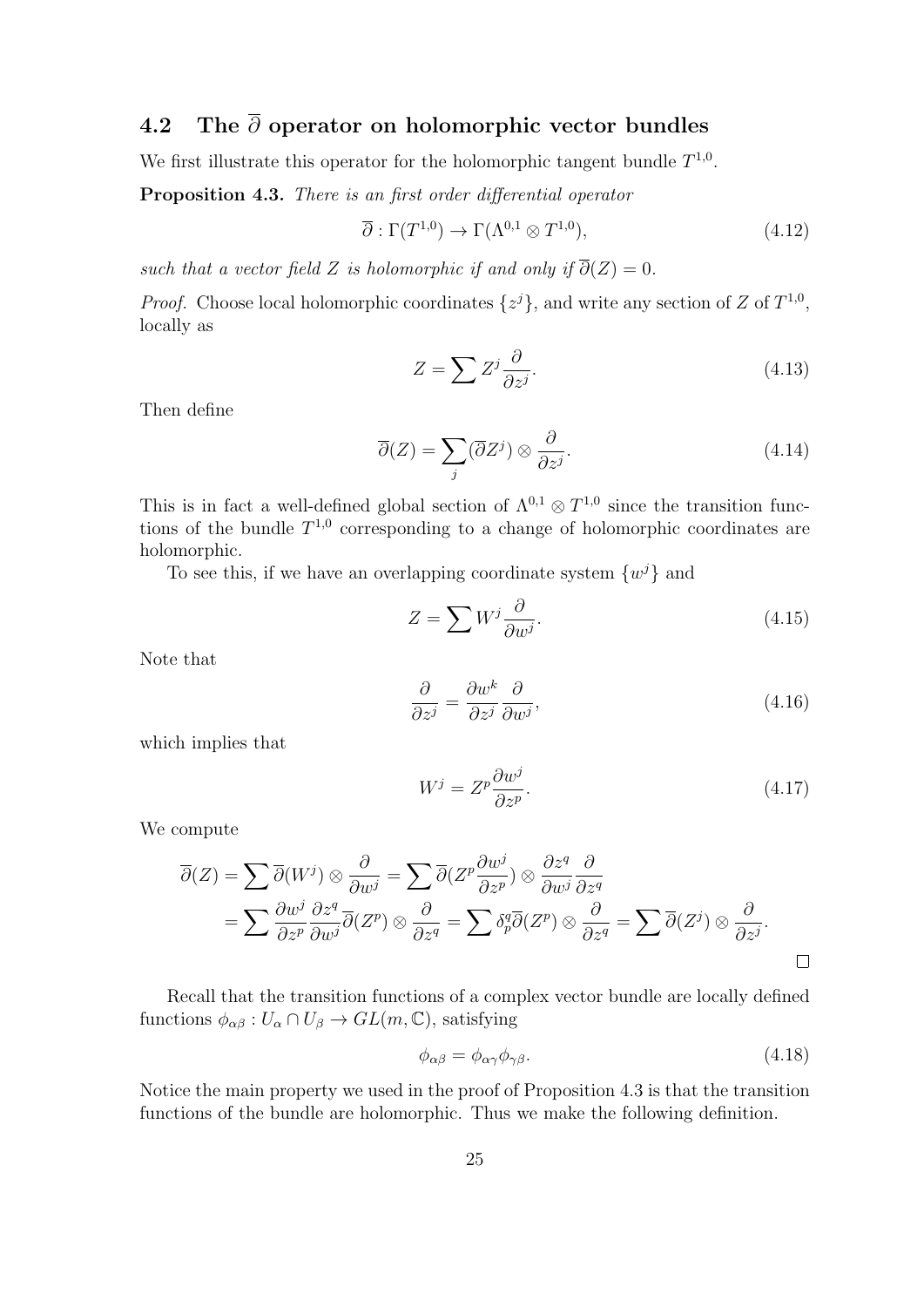# 4.2 The  $\bar{\partial}$  operator on holomorphic vector bundles

We first illustrate this operator for the holomorphic tangent bundle  $T^{1,0}$ .

Proposition 4.3. There is an first order differential operator

$$
\overline{\partial}: \Gamma(T^{1,0}) \to \Gamma(\Lambda^{0,1} \otimes T^{1,0}), \tag{4.12}
$$

such that a vector field Z is holomorphic if and only if  $\overline{\partial}(Z) = 0$ .

*Proof.* Choose local holomorphic coordinates  $\{z^{j}\}\$ , and write any section of Z of  $T^{1,0}$ , locally as

$$
Z = \sum Z^j \frac{\partial}{\partial z^j}.
$$
\n(4.13)

Then define

$$
\overline{\partial}(Z) = \sum_{j} (\overline{\partial}Z^{j}) \otimes \frac{\partial}{\partial z^{j}}.
$$
\n(4.14)

This is in fact a well-defined global section of  $\Lambda^{0,1} \otimes T^{1,0}$  since the transition functions of the bundle  $T^{1,0}$  corresponding to a change of holomorphic coordinates are holomorphic.

To see this, if we have an overlapping coordinate system  $\{w^j\}$  and

$$
Z = \sum W^j \frac{\partial}{\partial w^j}.
$$
\n(4.15)

Note that

$$
\frac{\partial}{\partial z^j} = \frac{\partial w^k}{\partial z^j} \frac{\partial}{\partial w^j},\tag{4.16}
$$

which implies that

$$
W^j = Z^p \frac{\partial w^j}{\partial z^p}.
$$
\n(4.17)

We compute

$$
\overline{\partial}(Z) = \sum \overline{\partial}(W^j) \otimes \frac{\partial}{\partial w^j} = \sum \overline{\partial}(Z^p \frac{\partial w^j}{\partial z^p}) \otimes \frac{\partial z^q}{\partial w^j} \frac{\partial}{\partial z^q}
$$
  
= 
$$
\sum \frac{\partial w^j}{\partial z^p} \frac{\partial z^q}{\partial w^j} \overline{\partial}(Z^p) \otimes \frac{\partial}{\partial z^q} = \sum \delta^q_p \overline{\partial}(Z^p) \otimes \frac{\partial}{\partial z^q} = \sum \overline{\partial}(Z^j) \otimes \frac{\partial}{\partial z^j}.
$$

Recall that the transition functions of a complex vector bundle are locally defined functions  $\phi_{\alpha\beta}: U_{\alpha} \cap U_{\beta} \to GL(m, \mathbb{C}),$  satisfying

$$
\phi_{\alpha\beta} = \phi_{\alpha\gamma}\phi_{\gamma\beta}.\tag{4.18}
$$

Notice the main property we used in the proof of Proposition 4.3 is that the transition functions of the bundle are holomorphic. Thus we make the following definition.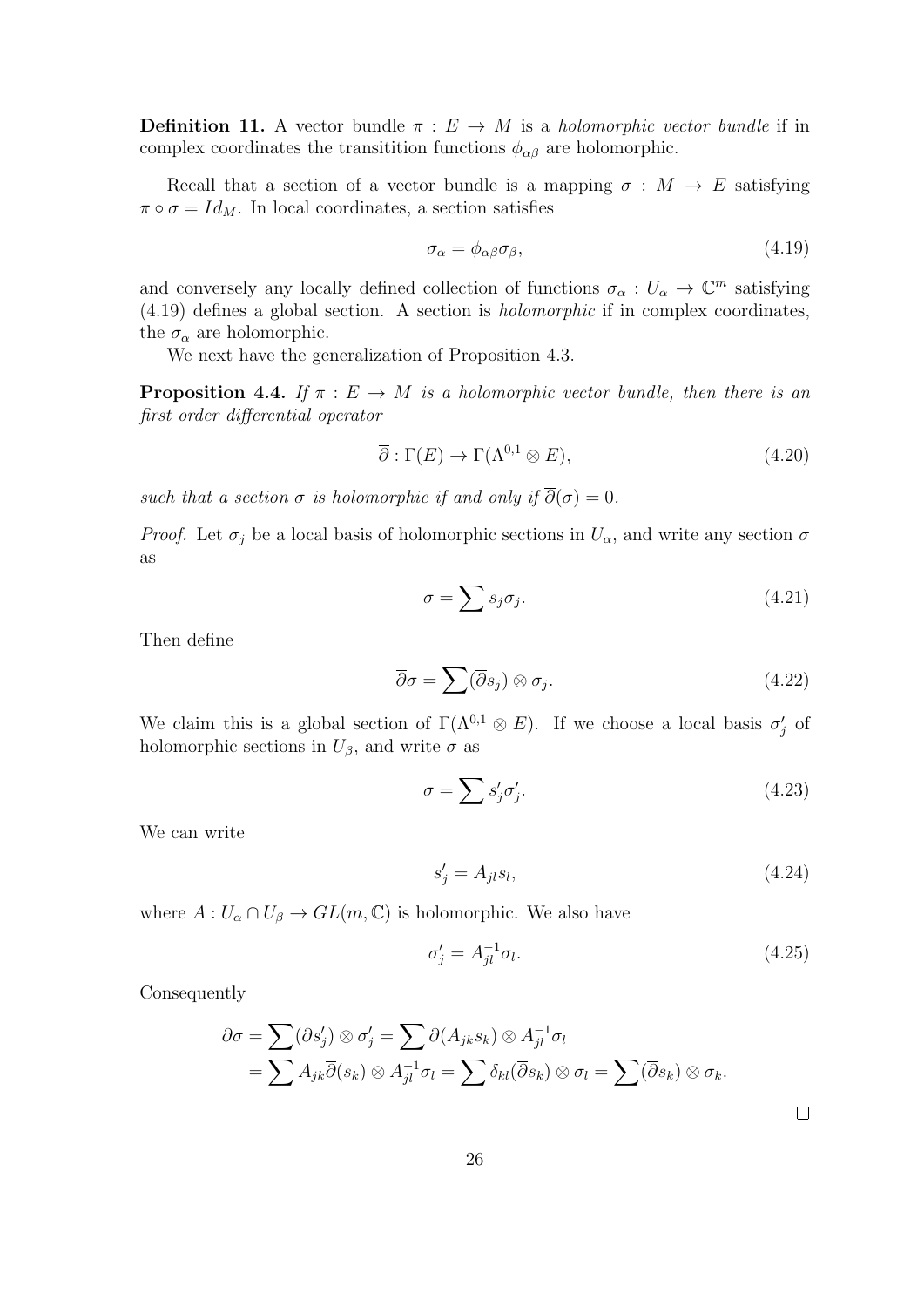**Definition 11.** A vector bundle  $\pi : E \to M$  is a *holomorphic vector bundle* if in complex coordinates the transition functions  $\phi_{\alpha\beta}$  are holomorphic.

Recall that a section of a vector bundle is a mapping  $\sigma : M \to E$  satisfying  $\pi \circ \sigma = Id_M$ . In local coordinates, a section satisfies

$$
\sigma_{\alpha} = \phi_{\alpha\beta}\sigma_{\beta},\tag{4.19}
$$

and conversely any locally defined collection of functions  $\sigma_{\alpha}: U_{\alpha} \to \mathbb{C}^m$  satisfying (4.19) defines a global section. A section is holomorphic if in complex coordinates, the  $\sigma_{\alpha}$  are holomorphic.

We next have the generalization of Proposition 4.3.

**Proposition 4.4.** If  $\pi : E \to M$  is a holomorphic vector bundle, then there is an first order differential operator

$$
\overline{\partial}: \Gamma(E) \to \Gamma(\Lambda^{0,1} \otimes E), \tag{4.20}
$$

such that a section  $\sigma$  is holomorphic if and only if  $\overline{\partial}(\sigma) = 0$ .

*Proof.* Let  $\sigma_j$  be a local basis of holomorphic sections in  $U_\alpha$ , and write any section  $\sigma$ as

$$
\sigma = \sum s_j \sigma_j. \tag{4.21}
$$

Then define

$$
\overline{\partial}\sigma = \sum (\overline{\partial}s_j) \otimes \sigma_j. \tag{4.22}
$$

We claim this is a global section of  $\Gamma(\Lambda^{0,1} \otimes E)$ . If we choose a local basis  $\sigma'_j$  of holomorphic sections in  $U_{\beta}$ , and write  $\sigma$  as

$$
\sigma = \sum s'_j \sigma'_j. \tag{4.23}
$$

We can write

$$
s_j' = A_{jl} s_l,\tag{4.24}
$$

where  $A: U_{\alpha} \cap U_{\beta} \to GL(m, \mathbb{C})$  is holomorphic. We also have

$$
\sigma_j' = A_{jl}^{-1} \sigma_l. \tag{4.25}
$$

 $\Box$ 

Consequently

$$
\overline{\partial}\sigma = \sum (\overline{\partial}s'_j) \otimes \sigma'_j = \sum \overline{\partial}(A_{jk}s_k) \otimes A_{jl}^{-1}\sigma_l
$$
  
=  $\sum A_{jk}\overline{\partial}(s_k) \otimes A_{jl}^{-1}\sigma_l = \sum \delta_{kl}(\overline{\partial}s_k) \otimes \sigma_l = \sum (\overline{\partial}s_k) \otimes \sigma_k.$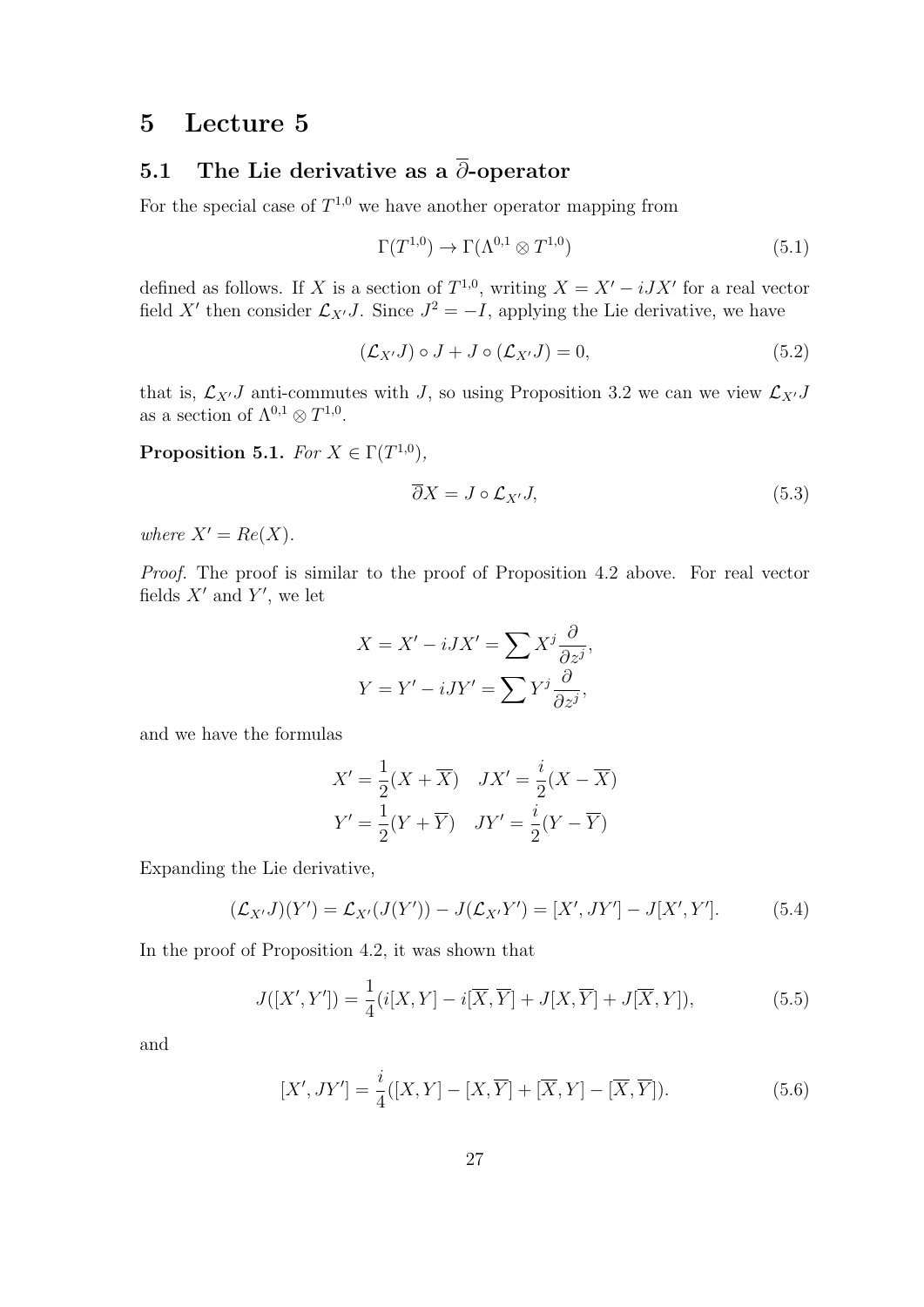# 5 Lecture 5

# 5.1 The Lie derivative as a  $\overline{\partial}$ -operator

For the special case of  $T^{1,0}$  we have another operator mapping from

$$
\Gamma(T^{1,0}) \to \Gamma(\Lambda^{0,1} \otimes T^{1,0})
$$
\n
$$
(5.1)
$$

defined as follows. If X is a section of  $T^{1,0}$ , writing  $X = X' - iJX'$  for a real vector field X' then consider  $\mathcal{L}_{X'}J$ . Since  $J^2 = -I$ , applying the Lie derivative, we have

$$
(\mathcal{L}_{X'}J) \circ J + J \circ (\mathcal{L}_{X'}J) = 0, \tag{5.2}
$$

that is,  $\mathcal{L}_{X'}J$  anti-commutes with J, so using Proposition 3.2 we can we view  $\mathcal{L}_{X'}J$ as a section of  $\Lambda^{0,1} \otimes T^{1,0}$ .

**Proposition 5.1.** For  $X \in \Gamma(T^{1,0}),$ 

$$
\overline{\partial}X = J \circ \mathcal{L}_{X'}J,\tag{5.3}
$$

where  $X' = Re(X)$ .

Proof. The proof is similar to the proof of Proposition 4.2 above. For real vector fields  $X'$  and  $Y'$ , we let

$$
X = X' - iJX' = \sum X^j \frac{\partial}{\partial z^j},
$$
  

$$
Y = Y' - iJY' = \sum Y^j \frac{\partial}{\partial z^j},
$$

and we have the formulas

$$
X' = \frac{1}{2}(X + \overline{X}) \quad JX' = \frac{i}{2}(X - \overline{X})
$$

$$
Y' = \frac{1}{2}(Y + \overline{Y}) \quad JY' = \frac{i}{2}(Y - \overline{Y})
$$

Expanding the Lie derivative,

$$
(\mathcal{L}_{X'}J)(Y') = \mathcal{L}_{X'}(J(Y')) - J(\mathcal{L}_{X'}Y') = [X', JY'] - J[X', Y'].
$$
 (5.4)

In the proof of Proposition 4.2, it was shown that

$$
J([X',Y']) = \frac{1}{4}(i[X,Y] - i[\overline{X},\overline{Y}] + J[X,\overline{Y}] + J[\overline{X},Y]),
$$
\n
$$
(5.5)
$$

and

$$
[X', JY'] = \frac{i}{4}([X, Y] - [X, \overline{Y}] + [\overline{X}, Y] - [\overline{X}, \overline{Y}]).
$$
\n(5.6)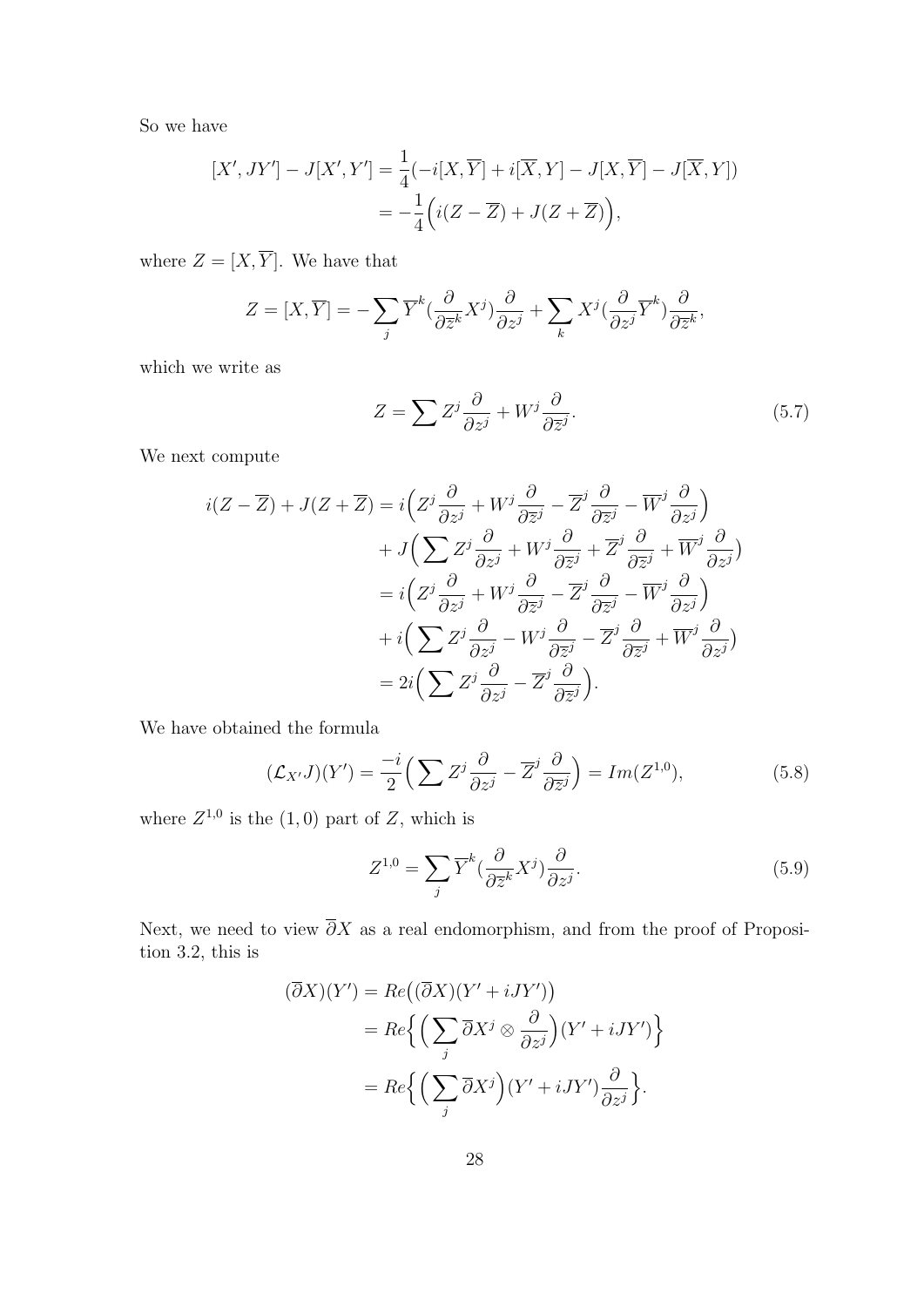So we have

$$
[X',JY'] - J[X',Y'] = \frac{1}{4}(-i[X,\overline{Y}] + i[\overline{X},Y] - J[X,\overline{Y}] - J[\overline{X},Y])
$$
  
= 
$$
-\frac{1}{4}(i(Z-\overline{Z}) + J(Z+\overline{Z})),
$$

where  $Z = [X, \overline{Y}]$ . We have that

$$
Z = [X, \overline{Y}] = -\sum_{j} \overline{Y}^{k} \left( \frac{\partial}{\partial \overline{z}^{k}} X^{j} \right) \frac{\partial}{\partial z^{j}} + \sum_{k} X^{j} \left( \frac{\partial}{\partial z^{j}} \overline{Y}^{k} \right) \frac{\partial}{\partial \overline{z}^{k}},
$$

which we write as

$$
Z = \sum Z^j \frac{\partial}{\partial z^j} + W^j \frac{\partial}{\partial \overline{z}^j}.
$$
 (5.7)

We next compute

$$
i(Z - \overline{Z}) + J(Z + \overline{Z}) = i\left(Z^j \frac{\partial}{\partial z^j} + W^j \frac{\partial}{\partial \overline{z}^j} - \overline{Z}^j \frac{\partial}{\partial \overline{z}^j} - \overline{W}^j \frac{\partial}{\partial z^j}\right) + J\left(\sum Z^j \frac{\partial}{\partial z^j} + W^j \frac{\partial}{\partial \overline{z}^j} + \overline{Z}^j \frac{\partial}{\partial \overline{z}^j} + \overline{W}^j \frac{\partial}{\partial z^j}\right) = i\left(Z^j \frac{\partial}{\partial z^j} + W^j \frac{\partial}{\partial \overline{z}^j} - \overline{Z}^j \frac{\partial}{\partial \overline{z}^j} - \overline{W}^j \frac{\partial}{\partial z^j}\right) + i\left(\sum Z^j \frac{\partial}{\partial z^j} - W^j \frac{\partial}{\partial \overline{z}^j} - \overline{Z}^j \frac{\partial}{\partial \overline{z}^j} + \overline{W}^j \frac{\partial}{\partial z^j}\right) = 2i\left(\sum Z^j \frac{\partial}{\partial z^j} - \overline{Z}^j \frac{\partial}{\partial \overline{z}^j}\right).
$$

We have obtained the formula

$$
(\mathcal{L}_{X'}J)(Y') = \frac{-i}{2} \left( \sum Z^j \frac{\partial}{\partial z^j} - \overline{Z}^j \frac{\partial}{\partial \overline{z}^j} \right) = Im(Z^{1,0}),\tag{5.8}
$$

where  $Z^{1,0}$  is the  $(1,0)$  part of Z, which is

$$
Z^{1,0} = \sum_{j} \overline{Y}^{k} \left( \frac{\partial}{\partial \overline{z}^{k}} X^{j} \right) \frac{\partial}{\partial z^{j}}.
$$
\n(5.9)

Next, we need to view  $\overline{\partial}X$  as a real endomorphism, and from the proof of Proposition 3.2, this is

$$
(\overline{\partial}X)(Y') = Re((\overline{\partial}X)(Y' + iJY'))
$$
  
= Re $\left\{ \left( \sum_{j} \overline{\partial}X^{j} \otimes \frac{\partial}{\partial z^{j}} \right) (Y' + iJY') \right\}$   
= Re $\left\{ \left( \sum_{j} \overline{\partial}X^{j} \right) (Y' + iJY') \frac{\partial}{\partial z^{j}} \right\}.$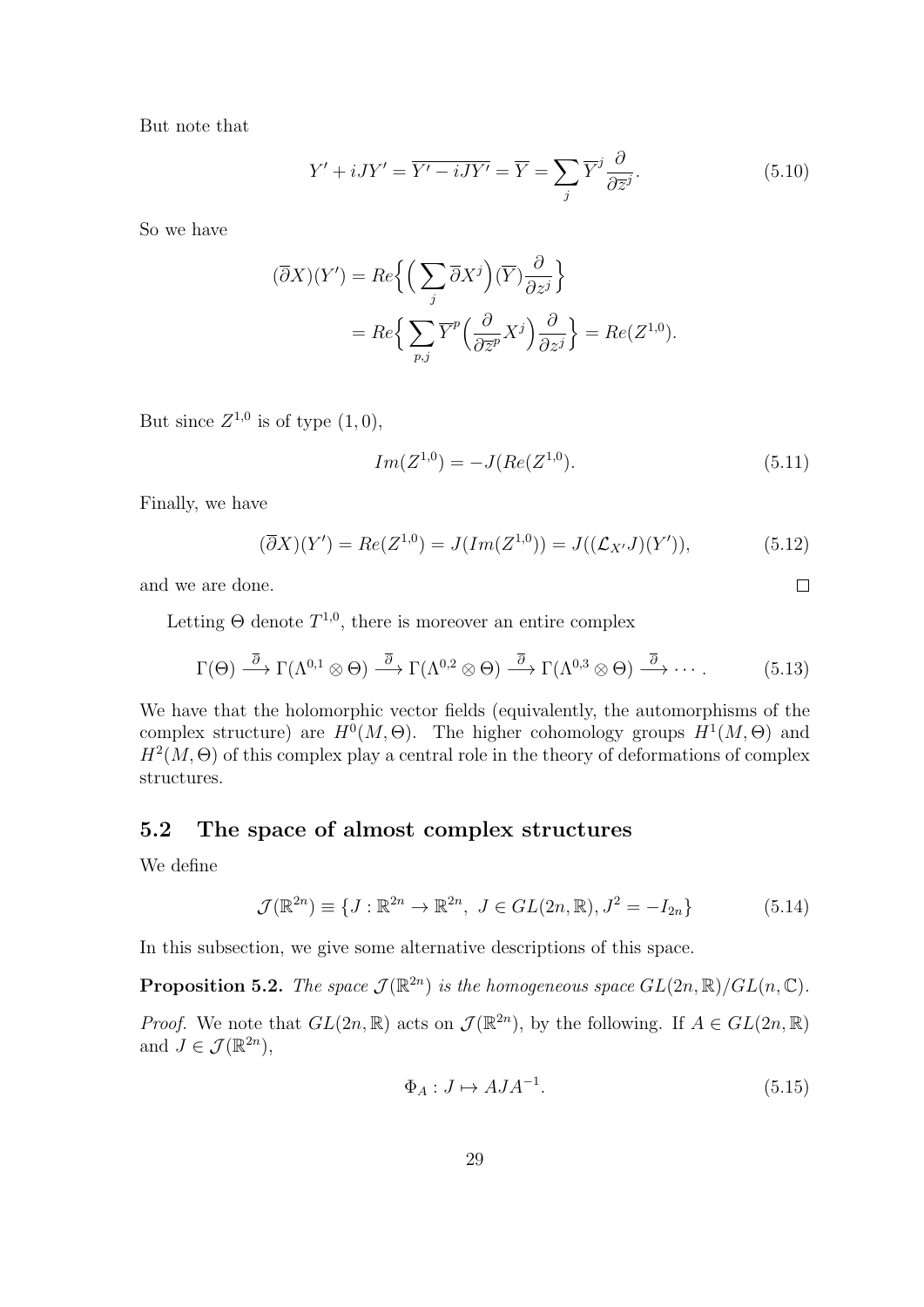But note that

$$
Y' + iJY' = \overline{Y' - iJY'} = \overline{Y} = \sum_{j} \overline{Y}^{j} \frac{\partial}{\partial \overline{z}^{j}}.
$$
 (5.10)

So we have

$$
(\overline{\partial}X)(Y') = Re\left\{ \left( \sum_{j} \overline{\partial}X^{j} \right) (\overline{Y}) \frac{\partial}{\partial z^{j}} \right\}
$$
  
=  $Re\left\{ \sum_{p,j} \overline{Y}^{p} \left( \frac{\partial}{\partial \overline{z}^{p}} X^{j} \right) \frac{\partial}{\partial z^{j}} \right\} = Re(Z^{1,0}).$ 

But since  $Z^{1,0}$  is of type  $(1,0)$ ,

$$
Im(Z^{1,0}) = -J(Re(Z^{1,0}). \tag{5.11}
$$

Finally, we have

$$
(\overline{\partial}X)(Y') = Re(Z^{1,0}) = J(Im(Z^{1,0})) = J((\mathcal{L}_{X'}J)(Y')), \qquad (5.12)
$$

and we are done.

Letting  $\Theta$  denote  $T^{1,0}$ , there is moreover an entire complex

$$
\Gamma(\Theta) \stackrel{\overline{\partial}}{\longrightarrow} \Gamma(\Lambda^{0,1} \otimes \Theta) \stackrel{\overline{\partial}}{\longrightarrow} \Gamma(\Lambda^{0,2} \otimes \Theta) \stackrel{\overline{\partial}}{\longrightarrow} \Gamma(\Lambda^{0,3} \otimes \Theta) \stackrel{\overline{\partial}}{\longrightarrow} \cdots
$$
 (5.13)

We have that the holomorphic vector fields (equivalently, the automorphisms of the complex structure) are  $H^0(M, \Theta)$ . The higher cohomology groups  $H^1(M, \Theta)$  and  $H^2(M, \Theta)$  of this complex play a central role in the theory of deformations of complex structures.

### 5.2 The space of almost complex structures

We define

$$
\mathcal{J}(\mathbb{R}^{2n}) \equiv \{ J : \mathbb{R}^{2n} \to \mathbb{R}^{2n}, \ J \in GL(2n, \mathbb{R}), J^2 = -I_{2n} \}
$$
(5.14)

In this subsection, we give some alternative descriptions of this space.

**Proposition 5.2.** The space  $\mathcal{J}(\mathbb{R}^{2n})$  is the homogeneous space  $GL(2n,\mathbb{R})/GL(n,\mathbb{C})$ .

*Proof.* We note that  $GL(2n,\mathbb{R})$  acts on  $\mathcal{J}(\mathbb{R}^{2n})$ , by the following. If  $A \in GL(2n,\mathbb{R})$ and  $J \in \mathcal{J}(\mathbb{R}^{2n}),$ 

$$
\Phi_A: J \mapsto AJA^{-1}.\tag{5.15}
$$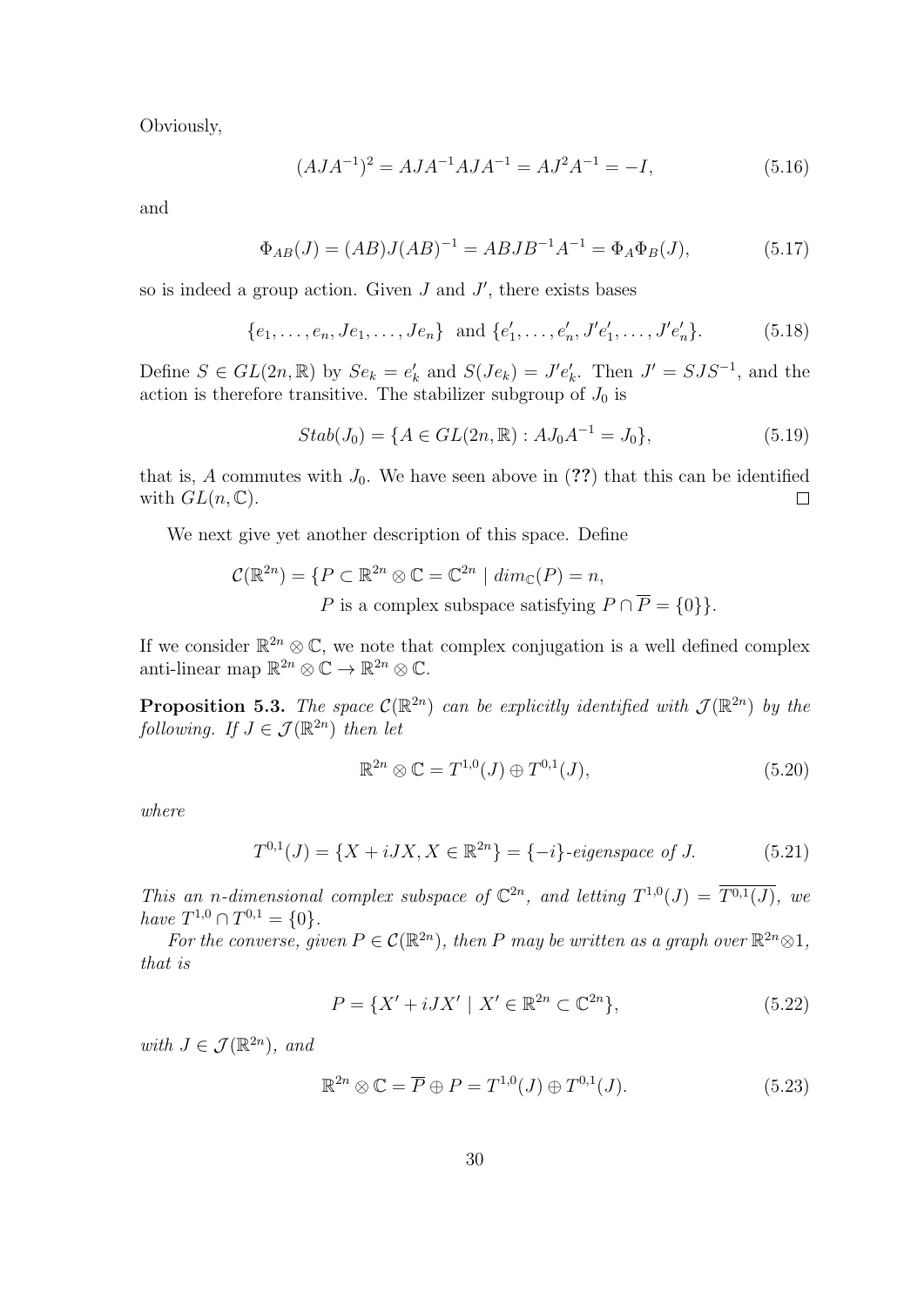Obviously,

$$
(A J A^{-1})^2 = A J A^{-1} A J A^{-1} = A J^2 A^{-1} = -I,
$$
\n(5.16)

and

$$
\Phi_{AB}(J) = (AB)J(AB)^{-1} = ABJB^{-1}A^{-1} = \Phi_A \Phi_B(J), \tag{5.17}
$$

so is indeed a group action. Given  $J$  and  $J'$ , there exists bases

$$
\{e_1, \ldots, e_n, Je_1, \ldots, Je_n\} \text{ and } \{e'_1, \ldots, e'_n, J'e'_1, \ldots, J'e'_n\}. \tag{5.18}
$$

Define  $S \in GL(2n, \mathbb{R})$  by  $Se_k = e'_k$  and  $S(Je_k) = J'e'_k$ . Then  $J' = SJS^{-1}$ , and the action is therefore transitive. The stabilizer subgroup of  $J_0$  is

$$
Stab(J_0) = \{ A \in GL(2n, \mathbb{R}) : AJ_0A^{-1} = J_0 \},
$$
\n(5.19)

that is, A commutes with  $J_0$ . We have seen above in (??) that this can be identified with  $GL(n,\mathbb{C})$ .  $\Box$ 

We next give yet another description of this space. Define

$$
\mathcal{C}(\mathbb{R}^{2n}) = \{ P \subset \mathbb{R}^{2n} \otimes \mathbb{C} = \mathbb{C}^{2n} \mid dim_{\mathbb{C}}(P) = n,
$$
  
 P is a complex subspace satisfying  $P \cap \overline{P} = \{0\} \}.$ 

If we consider  $\mathbb{R}^{2n} \otimes \mathbb{C}$ , we note that complex conjugation is a well defined complex anti-linear map  $\mathbb{R}^{2n} \otimes \mathbb{C} \to \mathbb{R}^{2n} \otimes \mathbb{C}$ .

**Proposition 5.3.** The space  $\mathcal{C}(\mathbb{R}^{2n})$  can be explicitly identified with  $\mathcal{J}(\mathbb{R}^{2n})$  by the following. If  $J \in \mathcal{J}(\mathbb{R}^{2n})$  then let

$$
\mathbb{R}^{2n} \otimes \mathbb{C} = T^{1,0}(J) \oplus T^{0,1}(J),\tag{5.20}
$$

where

$$
T^{0,1}(J) = \{X + iJX, X \in \mathbb{R}^{2n}\} = \{-i\} \text{ -eigenspace of } J. \tag{5.21}
$$

This an n-dimensional complex subspace of  $\mathbb{C}^{2n}$ , and letting  $T^{1,0}(J) = \overline{T^{0,1}(J)}$ , we have  $T^{1,0} \cap T^{0,1} = \{0\}.$ 

For the converse, given  $P \in \mathcal{C}(\mathbb{R}^{2n})$ , then P may be written as a graph over  $\mathbb{R}^{2n} \otimes 1$ , that is

$$
P = \{X' + iJX' \mid X' \in \mathbb{R}^{2n} \subset \mathbb{C}^{2n}\},\tag{5.22}
$$

with  $J \in \mathcal{J}(\mathbb{R}^{2n})$ , and

$$
\mathbb{R}^{2n} \otimes \mathbb{C} = \overline{P} \oplus P = T^{1,0}(J) \oplus T^{0,1}(J). \tag{5.23}
$$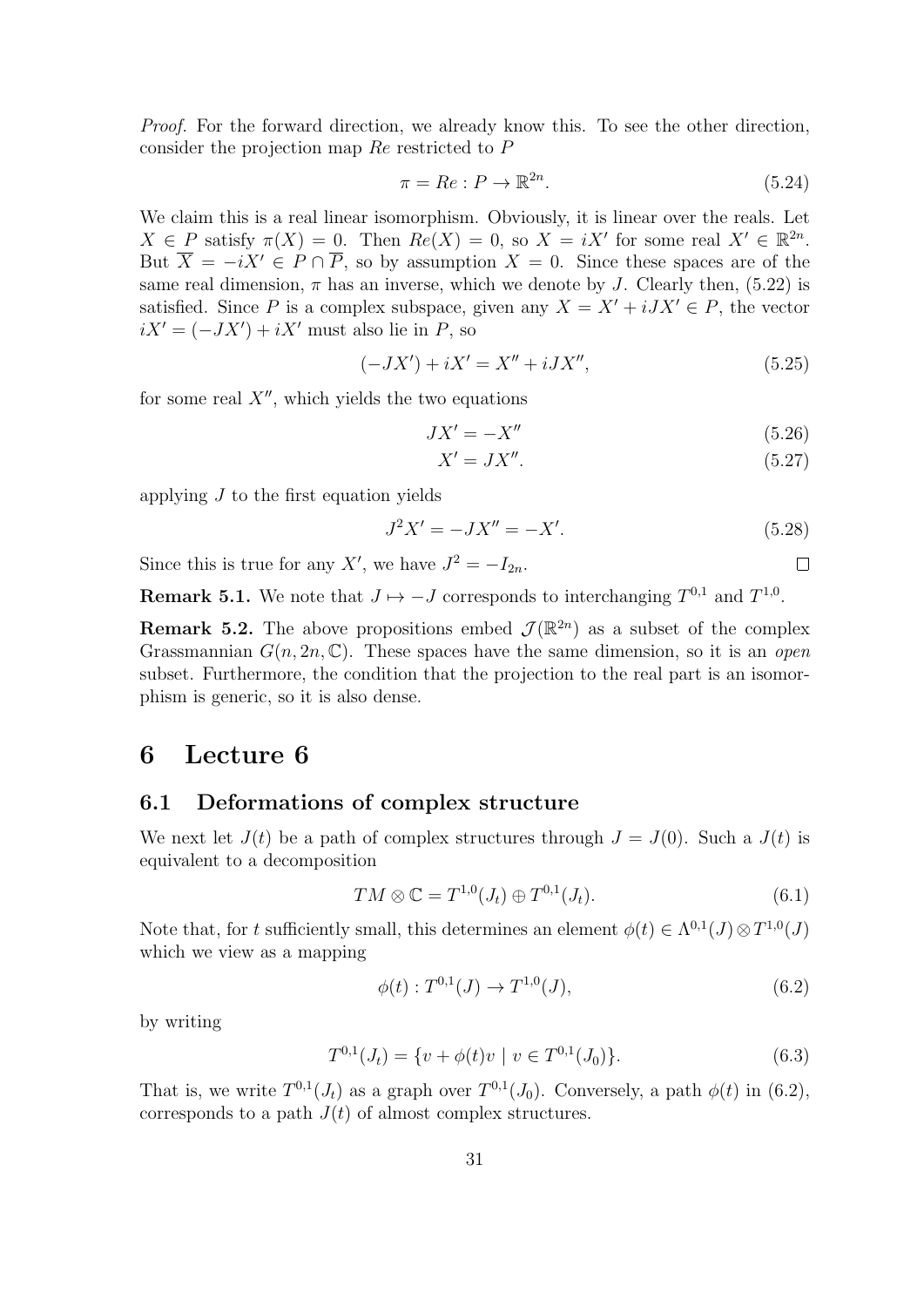Proof. For the forward direction, we already know this. To see the other direction, consider the projection map Re restricted to P

$$
\pi = Re : P \to \mathbb{R}^{2n}.
$$
\n
$$
(5.24)
$$

We claim this is a real linear isomorphism. Obviously, it is linear over the reals. Let  $X \in P$  satisfy  $\pi(X) = 0$ . Then  $Re(X) = 0$ , so  $X = iX'$  for some real  $X' \in \mathbb{R}^{2n}$ . But  $\overline{X} = -iX' \in P \cap \overline{P}$ , so by assumption  $X = 0$ . Since these spaces are of the same real dimension,  $\pi$  has an inverse, which we denote by J. Clearly then, (5.22) is satisfied. Since P is a complex subspace, given any  $X = X' + iJX' \in P$ , the vector  $iX' = (-JX') + iX'$  must also lie in P, so

$$
(-JX') + iX' = X'' + iJX'',
$$
\n(5.25)

for some real  $X''$ , which yields the two equations

$$
JX' = -X''
$$
\n<sup>(5.26)</sup>

$$
X' = JX''.
$$
\n<sup>(5.27)</sup>

 $\Box$ 

applying  $J$  to the first equation yields

$$
J^2 X' = -JX'' = -X'.\tag{5.28}
$$

Since this is true for any X', we have  $J^2 = -I_{2n}$ .

**Remark 5.1.** We note that  $J \mapsto -J$  corresponds to interchanging  $T^{0,1}$  and  $T^{1,0}$ .

**Remark 5.2.** The above propositions embed  $\mathcal{J}(\mathbb{R}^{2n})$  as a subset of the complex Grassmannian  $G(n, 2n, \mathbb{C})$ . These spaces have the same dimension, so it is an *open* subset. Furthermore, the condition that the projection to the real part is an isomorphism is generic, so it is also dense.

# 6 Lecture 6

#### 6.1 Deformations of complex structure

We next let  $J(t)$  be a path of complex structures through  $J = J(0)$ . Such a  $J(t)$  is equivalent to a decomposition

$$
TM \otimes \mathbb{C} = T^{1,0}(J_t) \oplus T^{0,1}(J_t). \tag{6.1}
$$

Note that, for t sufficiently small, this determines an element  $\phi(t) \in \Lambda^{0,1}(J) \otimes T^{1,0}(J)$ which we view as a mapping

$$
\phi(t) : T^{0,1}(J) \to T^{1,0}(J), \tag{6.2}
$$

by writing

$$
T^{0,1}(J_t) = \{ v + \phi(t)v \mid v \in T^{0,1}(J_0) \}.
$$
\n(6.3)

That is, we write  $T^{0,1}(J_t)$  as a graph over  $T^{0,1}(J_0)$ . Conversely, a path  $\phi(t)$  in (6.2), corresponds to a path  $J(t)$  of almost complex structures.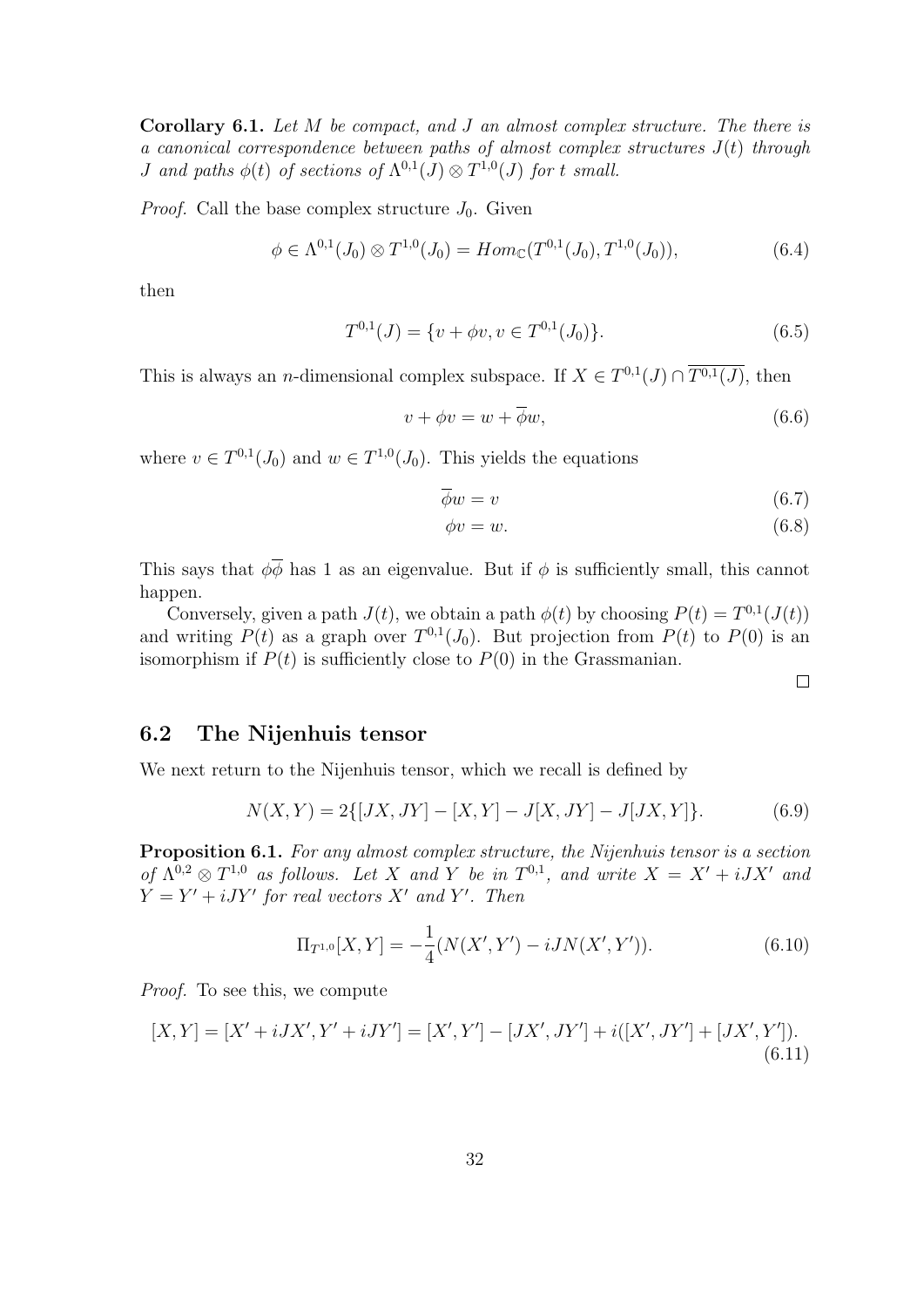Corollary 6.1. Let M be compact, and J an almost complex structure. The there is a canonical correspondence between paths of almost complex structures  $J(t)$  through *J* and paths  $\phi(t)$  of sections of  $\Lambda^{0,1}(J) \otimes T^{1,0}(J)$  for t small.

*Proof.* Call the base complex structure  $J_0$ . Given

$$
\phi \in \Lambda^{0,1}(J_0) \otimes T^{1,0}(J_0) = Hom_{\mathbb{C}}(T^{0,1}(J_0), T^{1,0}(J_0)),
$$
\n(6.4)

then

$$
T^{0,1}(J) = \{v + \phi v, v \in T^{0,1}(J_0)\}.
$$
\n(6.5)

This is always an *n*-dimensional complex subspace. If  $X \in T^{0,1}(J) \cap \overline{T^{0,1}(J)}$ , then

$$
v + \phi v = w + \overline{\phi}w,\tag{6.6}
$$

where  $v \in T^{0,1}(J_0)$  and  $w \in T^{1,0}(J_0)$ . This yields the equations

$$
\overline{\phi}w = v \tag{6.7}
$$

$$
\phi v = w. \tag{6.8}
$$

This says that  $\phi \overline{\phi}$  has 1 as an eigenvalue. But if  $\phi$  is sufficiently small, this cannot happen.

Conversely, given a path  $J(t)$ , we obtain a path  $\phi(t)$  by choosing  $P(t) = T^{0,1}(J(t))$ and writing  $P(t)$  as a graph over  $T^{0,1}(J_0)$ . But projection from  $P(t)$  to  $P(0)$  is an isomorphism if  $P(t)$  is sufficiently close to  $P(0)$  in the Grassmanian.

 $\Box$ 

#### 6.2 The Nijenhuis tensor

We next return to the Nijenhuis tensor, which we recall is defined by

$$
N(X,Y) = 2\{[JX,JY] - [X,Y] - J[X,JY] - J[JX,Y]\}.
$$
\n(6.9)

Proposition 6.1. For any almost complex structure, the Nijenhuis tensor is a section of  $\Lambda^{0,2} \otimes T^{1,0}$  as follows. Let X and Y be in  $T^{0,1}$ , and write  $X = X' + iJX'$  and  $Y = Y' + iJY'$  for real vectors X' and Y'. Then

$$
\Pi_{T^{1,0}}[X,Y] = -\frac{1}{4}(N(X',Y') - iJN(X',Y')).
$$
\n(6.10)

Proof. To see this, we compute

$$
[X,Y] = [X' + iJX', Y' + iJY'] = [X', Y'] - [JX', JY'] + i([X', JY'] + [JX', Y']). \tag{6.11}
$$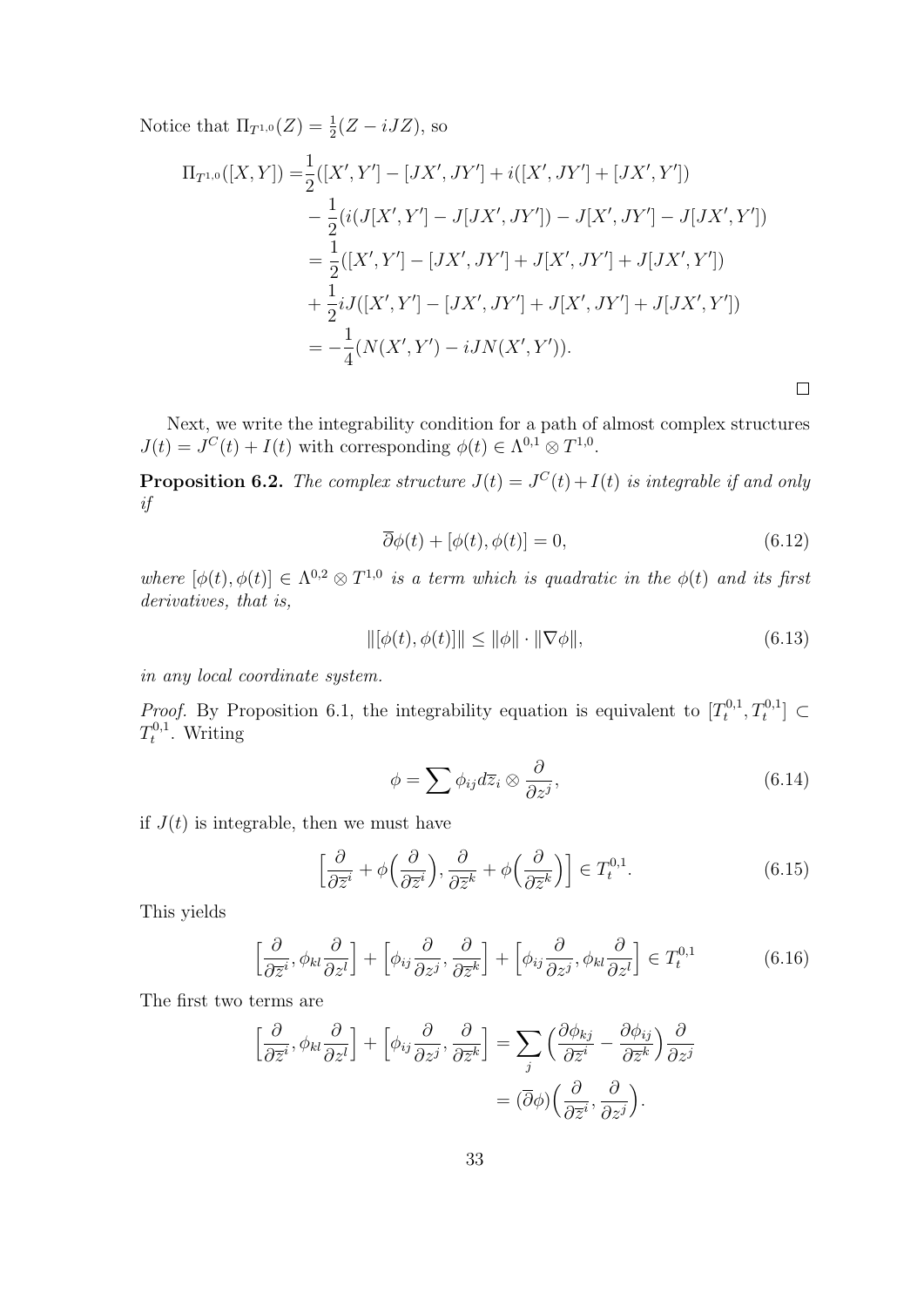Notice that  $\Pi_{T^{1,0}}(Z) = \frac{1}{2}(Z - iJZ)$ , so

$$
\Pi_{T^{1,0}}([X,Y]) = \frac{1}{2}([X',Y'] - [JX',JY'] + i([X',JY'] + [JX',Y'])
$$
  
\n
$$
- \frac{1}{2}(i(J[X',Y'] - J[JX',JY']) - J[X',JY'] - J[JX',Y'])
$$
  
\n
$$
= \frac{1}{2}([X',Y'] - [JX',JY'] + J[X',JY'] + J[JX',Y'])
$$
  
\n
$$
+ \frac{1}{2}iJ([X',Y'] - [JX',JY'] + J[X',JY'] + J[JX',Y'])
$$
  
\n
$$
= -\frac{1}{4}(N(X',Y') - iJN(X',Y')).
$$

Next, we write the integrability condition for a path of almost complex structures  $J(t) = J^C(t) + I(t)$  with corresponding  $\phi(t) \in \Lambda^{0,1} \otimes T^{1,0}$ .

**Proposition 6.2.** The complex structure  $J(t) = J^{C}(t) + I(t)$  is integrable if and only if

$$
\overline{\partial}\phi(t) + [\phi(t), \phi(t)] = 0,\tag{6.12}
$$

 $\Box$ 

where  $[\phi(t), \phi(t)] \in \Lambda^{0,2} \otimes T^{1,0}$  is a term which is quadratic in the  $\phi(t)$  and its first derivatives, that is,

$$
\|[\phi(t), \phi(t)]\| \le \|\phi\| \cdot \|\nabla \phi\|,\tag{6.13}
$$

in any local coordinate system.

*Proof.* By Proposition 6.1, the integrability equation is equivalent to  $[T_t^{0,1}]$  $T_t^{0,1}, T_t^{0,1}] \subset$  $T_t^{0,1}$  $t^{0,1}$ . Writing

$$
\phi = \sum \phi_{ij} d\overline{z}_i \otimes \frac{\partial}{\partial z^j},\tag{6.14}
$$

if  $J(t)$  is integrable, then we must have

$$
\left[\frac{\partial}{\partial \overline{z}^i} + \phi\left(\frac{\partial}{\partial \overline{z}^i}\right), \frac{\partial}{\partial \overline{z}^k} + \phi\left(\frac{\partial}{\partial \overline{z}^k}\right)\right] \in T_t^{0,1}.
$$
 (6.15)

This yields

$$
\left[\frac{\partial}{\partial \overline{z}^i}, \phi_{kl} \frac{\partial}{\partial z^l}\right] + \left[\phi_{ij} \frac{\partial}{\partial z^j}, \frac{\partial}{\partial \overline{z}^k}\right] + \left[\phi_{ij} \frac{\partial}{\partial z^j}, \phi_{kl} \frac{\partial}{\partial z^l}\right] \in T_t^{0,1}
$$
(6.16)

The first two terms are

$$
\left[\frac{\partial}{\partial \overline{z}^i}, \phi_{kl} \frac{\partial}{\partial z^l}\right] + \left[\phi_{ij} \frac{\partial}{\partial z^j}, \frac{\partial}{\partial \overline{z}^k}\right] = \sum_j \left(\frac{\partial \phi_{kj}}{\partial \overline{z}^i} - \frac{\partial \phi_{ij}}{\partial \overline{z}^k}\right) \frac{\partial}{\partial z^j}
$$

$$
= (\overline{\partial}\phi) \left(\frac{\partial}{\partial \overline{z}^i}, \frac{\partial}{\partial z^j}\right).
$$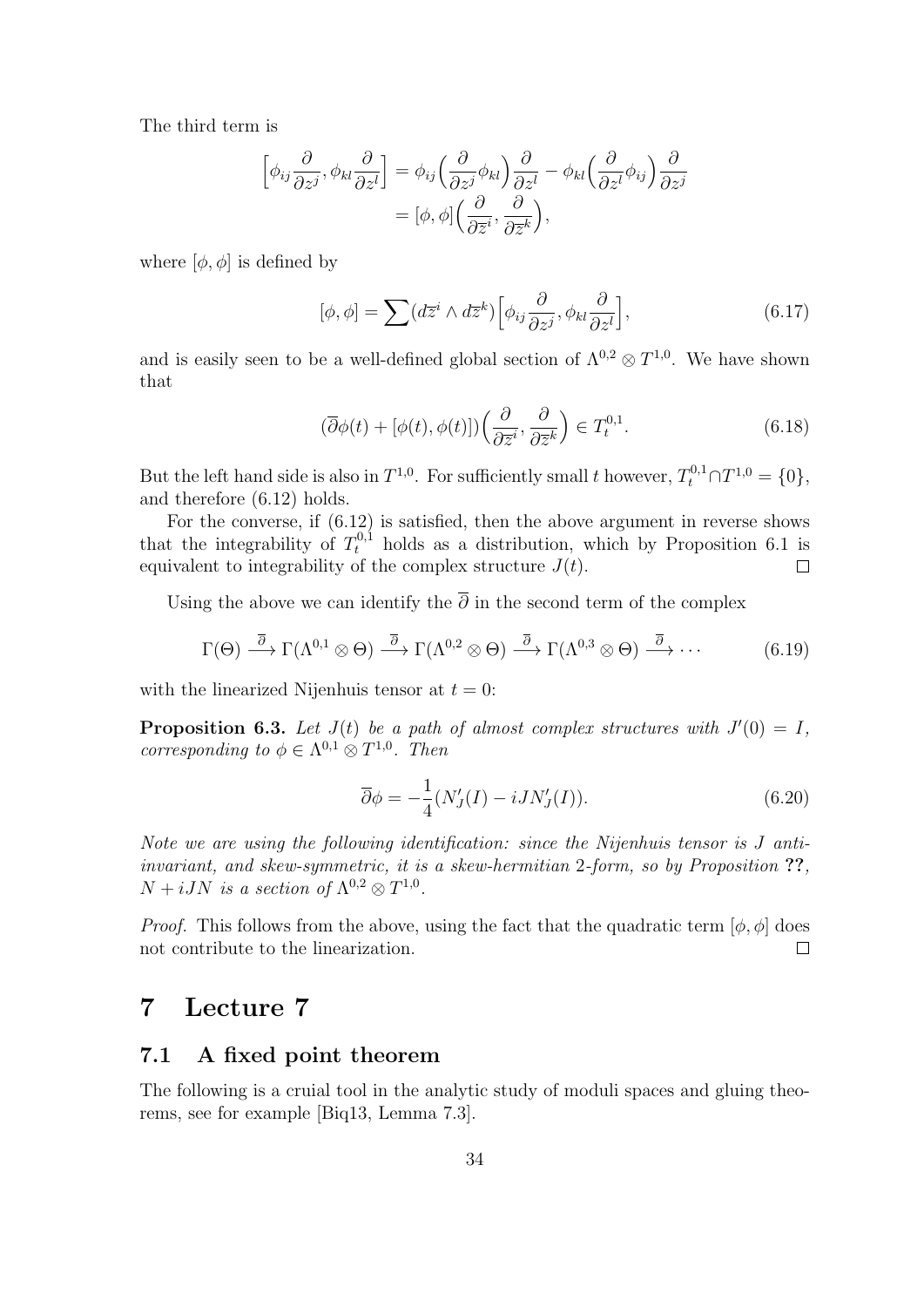The third term is

$$
\[\phi_{ij}\frac{\partial}{\partial z^j}, \phi_{kl}\frac{\partial}{\partial z^l}\] = \phi_{ij}\Big(\frac{\partial}{\partial z^j}\phi_{kl}\Big)\frac{\partial}{\partial z^l} - \phi_{kl}\Big(\frac{\partial}{\partial z^l}\phi_{ij}\Big)\frac{\partial}{\partial z^j} = [\phi, \phi]\Big(\frac{\partial}{\partial \overline{z}^i}, \frac{\partial}{\partial \overline{z}^k}\Big),\]
$$

where  $[\phi, \phi]$  is defined by

$$
[\phi, \phi] = \sum (d\overline{z}^i \wedge d\overline{z}^k) \Big[ \phi_{ij} \frac{\partial}{\partial z^j}, \phi_{kl} \frac{\partial}{\partial z^l} \Big],\tag{6.17}
$$

and is easily seen to be a well-defined global section of  $\Lambda^{0,2} \otimes T^{1,0}$ . We have shown that

$$
(\overline{\partial}\phi(t) + [\phi(t), \phi(t)])\left(\frac{\partial}{\partial \overline{z}^i}, \frac{\partial}{\partial \overline{z}^k}\right) \in T_t^{0,1}.
$$
 (6.18)

But the left hand side is also in  $T^{1,0}$ . For sufficiently small t however,  $T_t^{0,1} \cap T^{1,0} = \{0\}$ , and therefore (6.12) holds.

For the converse, if  $(6.12)$  is satisfied, then the above argument in reverse shows that the integrability of  $T_t^{0,1}$  holds as a distribution, which by Proposition 6.1 is equivalent to integrability of the complex structure  $J(t)$ .  $\Box$ 

Using the above we can identify the  $\overline{\partial}$  in the second term of the complex

$$
\Gamma(\Theta) \stackrel{\overline{\partial}}{\longrightarrow} \Gamma(\Lambda^{0,1} \otimes \Theta) \stackrel{\overline{\partial}}{\longrightarrow} \Gamma(\Lambda^{0,2} \otimes \Theta) \stackrel{\overline{\partial}}{\longrightarrow} \Gamma(\Lambda^{0,3} \otimes \Theta) \stackrel{\overline{\partial}}{\longrightarrow} \cdots
$$
 (6.19)

with the linearized Nijenhuis tensor at  $t = 0$ :

**Proposition 6.3.** Let  $J(t)$  be a path of almost complex structures with  $J'(0) = I$ , corresponding to  $\phi \in \Lambda^{0,1} \otimes T^{1,0}$ . Then

$$
\overline{\partial}\phi = -\frac{1}{4}(N_J'(I) - iJN_J'(I)).\tag{6.20}
$$

Note we are using the following identification: since the Nijenhuis tensor is J antiinvariant, and skew-symmetric, it is a skew-hermitian 2-form, so by Proposition ??,  $N + iJN$  is a section of  $\Lambda^{0,2} \otimes T^{1,0}$ .

*Proof.* This follows from the above, using the fact that the quadratic term  $[\phi, \phi]$  does not contribute to the linearization.  $\Box$ 

# 7 Lecture 7

#### 7.1 A fixed point theorem

The following is a cruial tool in the analytic study of moduli spaces and gluing theorems, see for example [Biq13, Lemma 7.3].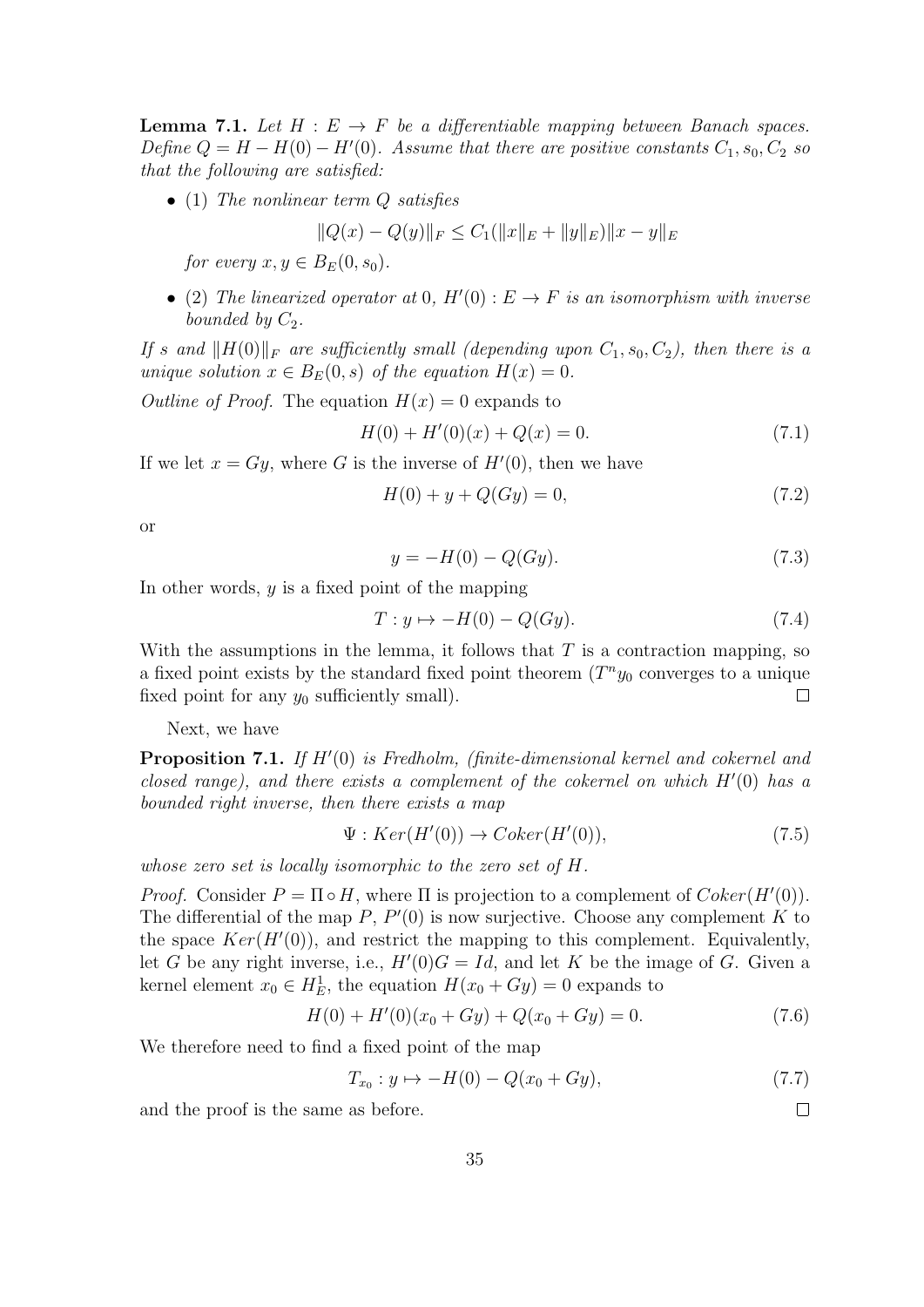**Lemma 7.1.** Let  $H : E \to F$  be a differentiable mapping between Banach spaces. Define  $Q = H - H(0) - H'(0)$ . Assume that there are positive constants  $C_1$ ,  $s_0$ ,  $C_2$  so that the following are satisfied:

• (1) The nonlinear term Q satisfies

$$
||Q(x) - Q(y)||_F \le C_1(||x||_E + ||y||_E) ||x - y||_E
$$

for every  $x, y \in B_E(0, s_0)$ .

• (2) The linearized operator at 0,  $H'(0): E \to F$  is an isomorphism with inverse bounded by  $C_2$ .

If s and  $||H(0)||_F$  are sufficiently small (depending upon  $C_1$ , s<sub>0</sub>,  $C_2$ ), then there is a unique solution  $x \in B_E(0, s)$  of the equation  $H(x) = 0$ .

Outline of Proof. The equation  $H(x) = 0$  expands to

$$
H(0) + H'(0)(x) + Q(x) = 0.
$$
\n(7.1)

If we let  $x = Gy$ , where G is the inverse of  $H'(0)$ , then we have

$$
H(0) + y + Q(Gy) = 0,\t(7.2)
$$

or

$$
y = -H(0) - Q(Gy).
$$
 (7.3)

In other words,  $y$  is a fixed point of the mapping

$$
T: y \mapsto -H(0) - Q(Gy). \tag{7.4}
$$

With the assumptions in the lemma, it follows that  $T$  is a contraction mapping, so a fixed point exists by the standard fixed point theorem  $(T^n y_0)$  converges to a unique fixed point for any  $y_0$  sufficiently small).  $\Box$ 

Next, we have

**Proposition 7.1.** If  $H'(0)$  is Fredholm, (finite-dimensional kernel and cokernel and closed range), and there exists a complement of the cokernel on which  $H'(0)$  has a bounded right inverse, then there exists a map

$$
\Psi: Ker(H'(0)) \to Coker(H'(0)), \tag{7.5}
$$

whose zero set is locally isomorphic to the zero set of H.

*Proof.* Consider  $P = \Pi \circ H$ , where  $\Pi$  is projection to a complement of  $Coker(H'(0))$ . The differential of the map  $P, P'(0)$  is now surjective. Choose any complement K to the space  $Ker(H'(0))$ , and restrict the mapping to this complement. Equivalently, let G be any right inverse, i.e.,  $H'(0)G = Id$ , and let K be the image of G. Given a kernel element  $x_0 \in H_E^1$ , the equation  $H(x_0 + Gy) = 0$  expands to

$$
H(0) + H'(0)(x_0 + Gy) + Q(x_0 + Gy) = 0.
$$
\n(7.6)

We therefore need to find a fixed point of the map

$$
T_{x_0}: y \mapsto -H(0) - Q(x_0 + Gy), \tag{7.7}
$$

 $\Box$ 

and the proof is the same as before.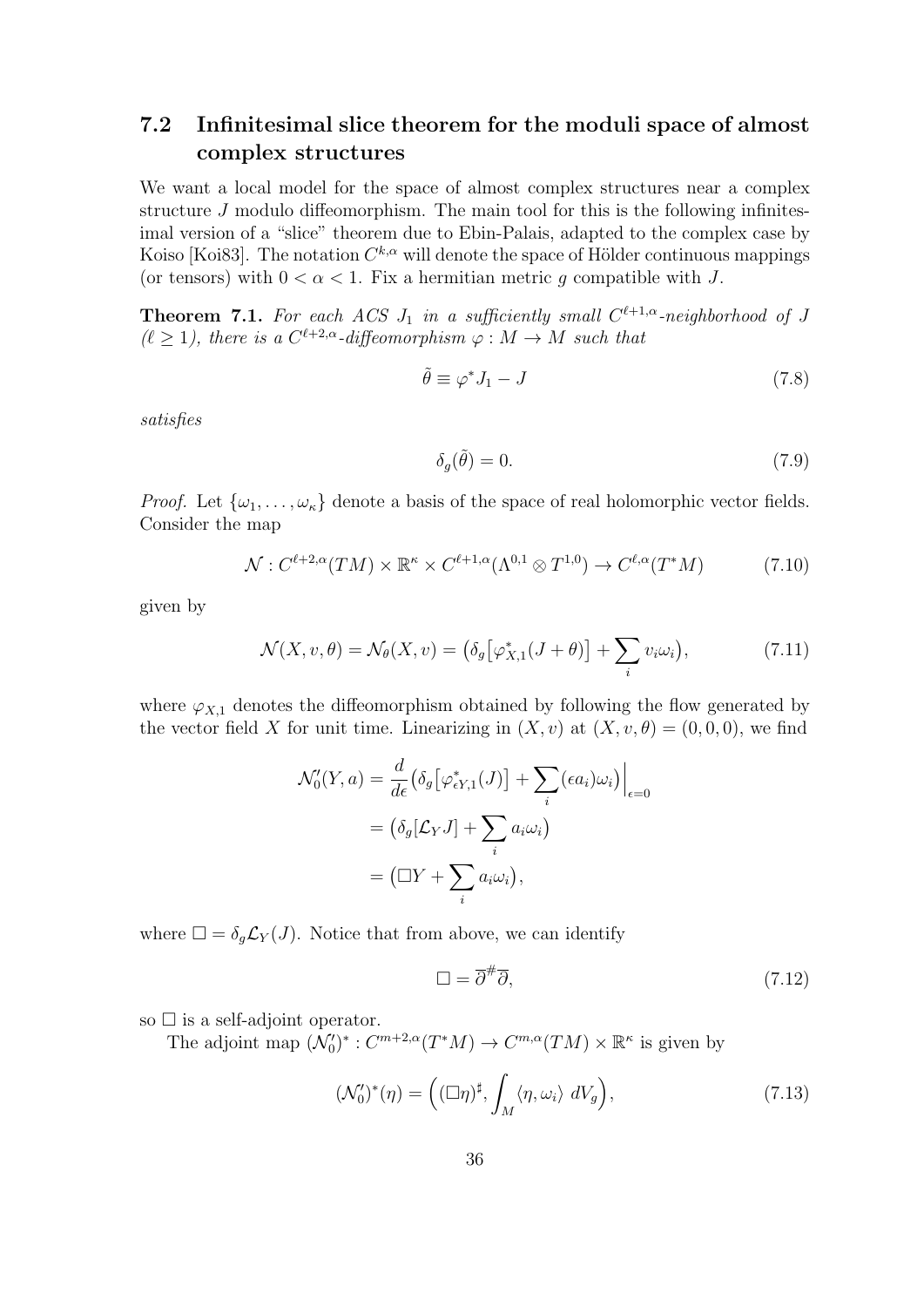# 7.2 Infinitesimal slice theorem for the moduli space of almost complex structures

We want a local model for the space of almost complex structures near a complex structure J modulo diffeomorphism. The main tool for this is the following infinitesimal version of a "slice" theorem due to Ebin-Palais, adapted to the complex case by Koiso [Koi83]. The notation  $C^{k,\alpha}$  will denote the space of Hölder continuous mappings (or tensors) with  $0 < \alpha < 1$ . Fix a hermitian metric g compatible with J.

**Theorem 7.1.** For each ACS  $J_1$  in a sufficiently small  $C^{\ell+1,\alpha}$ -neighborhood of J  $(\ell \geq 1)$ , there is a  $C^{\ell+2,\alpha}$ -diffeomorphism  $\varphi : M \to M$  such that

$$
\tilde{\theta} \equiv \varphi^* J_1 - J \tag{7.8}
$$

satisfies

$$
\delta_g(\tilde{\theta}) = 0. \tag{7.9}
$$

*Proof.* Let  $\{\omega_1, \ldots, \omega_k\}$  denote a basis of the space of real holomorphic vector fields. Consider the map

$$
\mathcal{N}: C^{\ell+2,\alpha}(TM) \times \mathbb{R}^{\kappa} \times C^{\ell+1,\alpha}(\Lambda^{0,1} \otimes T^{1,0}) \to C^{\ell,\alpha}(T^*M) \tag{7.10}
$$

given by

$$
\mathcal{N}(X, v, \theta) = \mathcal{N}_{\theta}(X, v) = \left(\delta_g \left[\varphi_{X,1}^*(J + \theta)\right] + \sum_i v_i \omega_i\right),\tag{7.11}
$$

where  $\varphi_{X,1}$  denotes the diffeomorphism obtained by following the flow generated by the vector field X for unit time. Linearizing in  $(X, v)$  at  $(X, v, \theta) = (0, 0, 0)$ , we find

$$
\mathcal{N}'_0(Y, a) = \frac{d}{d\epsilon} \big( \delta_g \big[ \varphi_{\epsilon Y, 1}^*(J) \big] + \sum_i (\epsilon a_i) \omega_i \big) \Big|_{\epsilon = 0}
$$
  
=  $\big( \delta_g [\mathcal{L}_Y J] + \sum_i a_i \omega_i \big)$   
=  $\big( \Box Y + \sum_i a_i \omega_i \big),$ 

where  $\square = \delta_g \mathcal{L}_Y(J)$ . Notice that from above, we can identify

$$
\Box = \overline{\partial}^{\#}\overline{\partial},\tag{7.12}
$$

so  $\square$  is a self-adjoint operator.

The adjoint map  $(\mathcal{N}'_0)^* : C^{m+2,\alpha}(T^*M) \to C^{m,\alpha}(TM) \times \mathbb{R}^{\kappa}$  is given by

$$
(\mathcal{N}'_0)^*(\eta) = \left( (\Box \eta)^\sharp, \int_M \langle \eta, \omega_i \rangle \ dV_g \right), \tag{7.13}
$$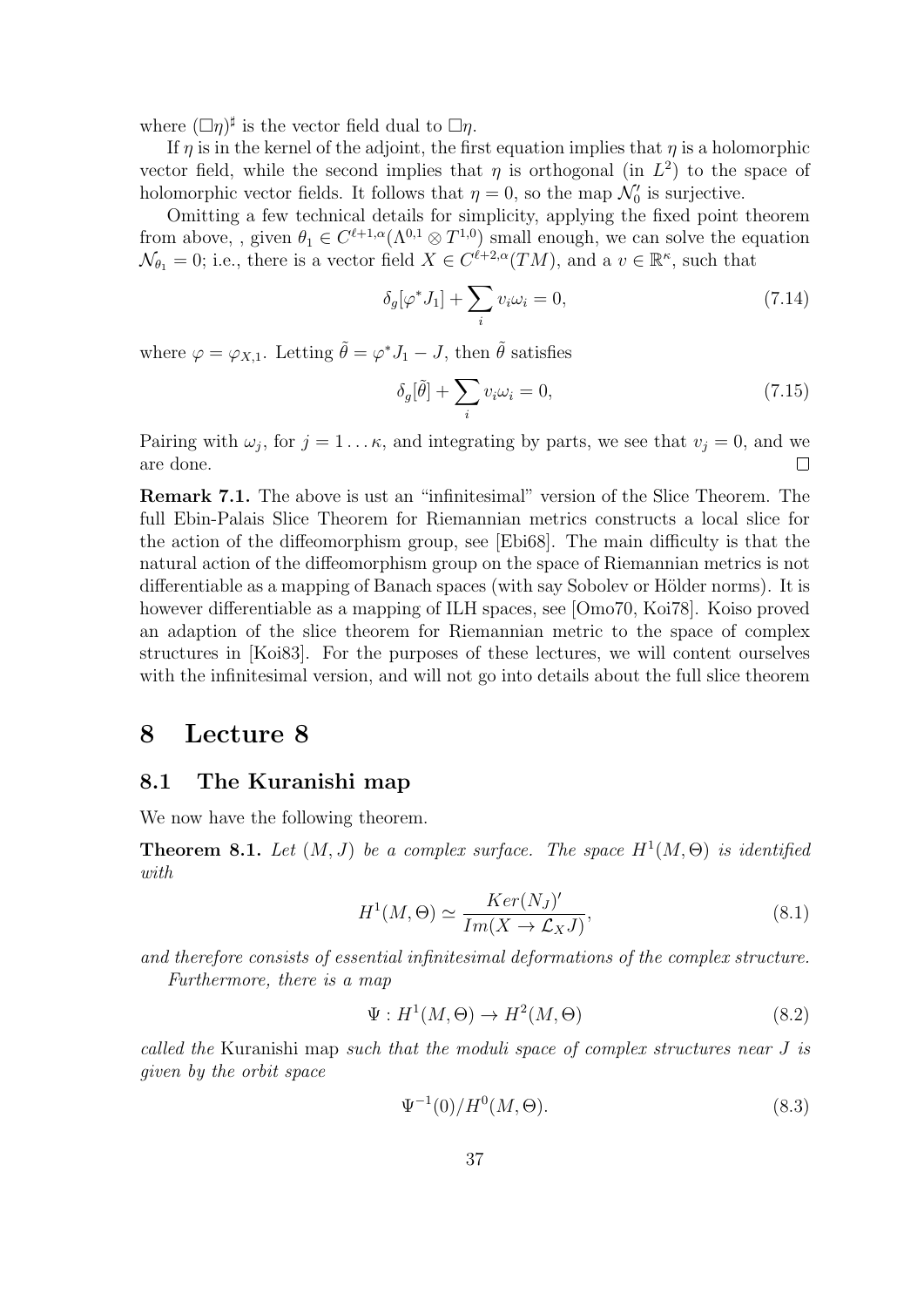where  $(\Box \eta)^\sharp$  is the vector field dual to  $\Box \eta$ .

If  $\eta$  is in the kernel of the adjoint, the first equation implies that  $\eta$  is a holomorphic vector field, while the second implies that  $\eta$  is orthogonal (in  $L^2$ ) to the space of holomorphic vector fields. It follows that  $\eta = 0$ , so the map  $\mathcal{N}'_0$  is surjective.

Omitting a few technical details for simplicity, applying the fixed point theorem from above, , given  $\theta_1 \in C^{\ell+1,\alpha}(\Lambda^{0,1} \otimes T^{1,0})$  small enough, we can solve the equation  $\mathcal{N}_{\theta_1} = 0$ ; i.e., there is a vector field  $X \in C^{\ell+2,\alpha}(TM)$ , and a  $v \in \mathbb{R}^{\kappa}$ , such that

$$
\delta_g[\varphi^* J_1] + \sum_i v_i \omega_i = 0,\tag{7.14}
$$

where  $\varphi = \varphi_{X,1}$ . Letting  $\tilde{\theta} = \varphi^* J_1 - J$ , then  $\tilde{\theta}$  satisfies

$$
\delta_g[\tilde{\theta}] + \sum_i v_i \omega_i = 0,\tag{7.15}
$$

Pairing with  $\omega_j$ , for  $j = 1 \dots \kappa$ , and integrating by parts, we see that  $v_j = 0$ , and we are done.  $\Box$ 

Remark 7.1. The above is ust an "infinitesimal" version of the Slice Theorem. The full Ebin-Palais Slice Theorem for Riemannian metrics constructs a local slice for the action of the diffeomorphism group, see [Ebi68]. The main difficulty is that the natural action of the diffeomorphism group on the space of Riemannian metrics is not differentiable as a mapping of Banach spaces (with say Sobolev or Hölder norms). It is however differentiable as a mapping of ILH spaces, see [Omo70, Koi78]. Koiso proved an adaption of the slice theorem for Riemannian metric to the space of complex structures in [Koi83]. For the purposes of these lectures, we will content ourselves with the infinitesimal version, and will not go into details about the full slice theorem

# 8 Lecture 8

#### 8.1 The Kuranishi map

We now have the following theorem.

**Theorem 8.1.** Let  $(M, J)$  be a complex surface. The space  $H^1(M, \Theta)$  is identified with

$$
H^{1}(M,\Theta) \simeq \frac{Ker(N_{J})'}{Im(X \to \mathcal{L}_{X}J)},
$$
\n(8.1)

and therefore consists of essential infinitesimal deformations of the complex structure. Furthermore, there is a map

$$
\Psi: H^1(M, \Theta) \to H^2(M, \Theta) \tag{8.2}
$$

called the Kuranishi map such that the moduli space of complex structures near J is given by the orbit space

$$
\Psi^{-1}(0)/H^0(M,\Theta). \tag{8.3}
$$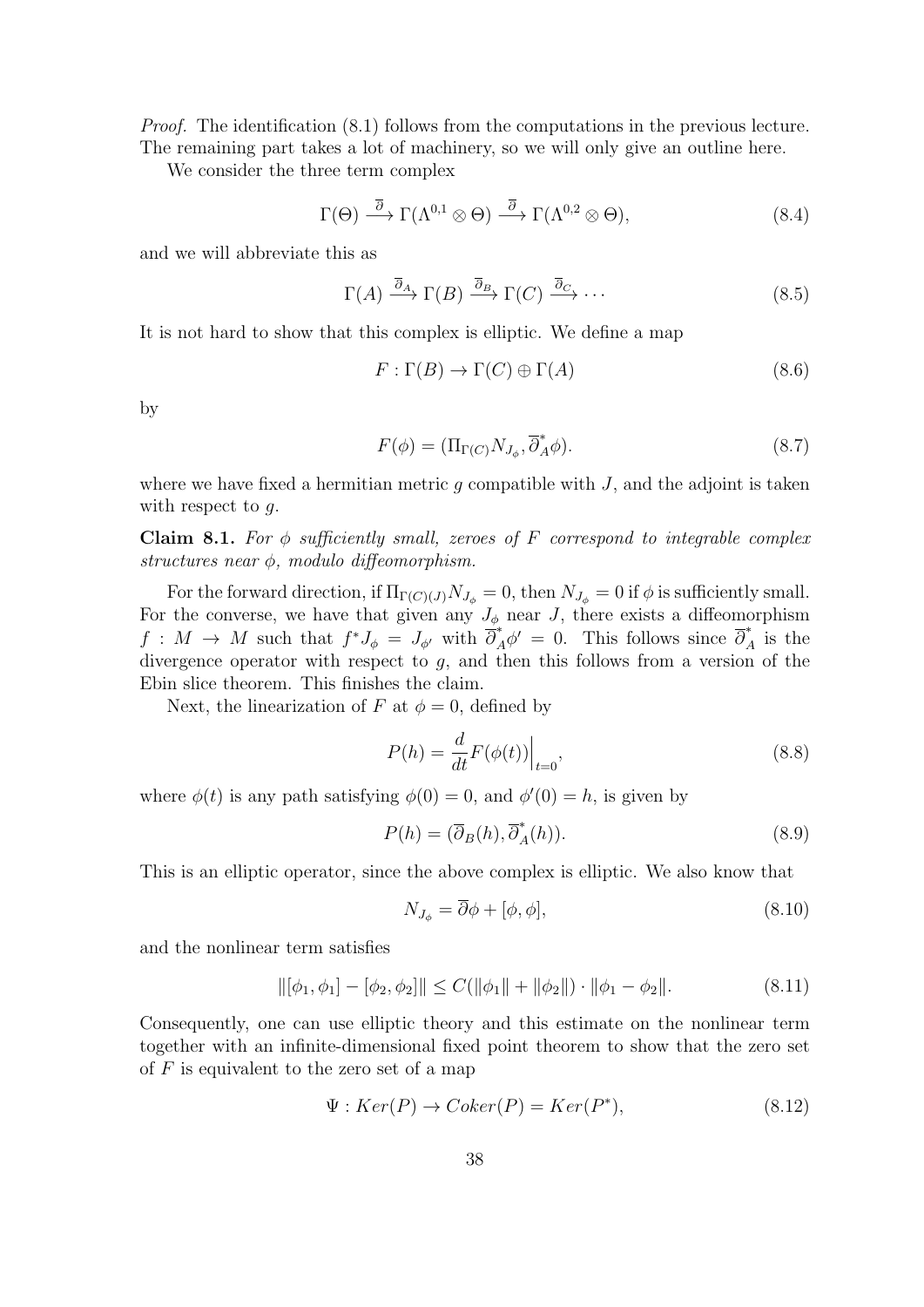Proof. The identification (8.1) follows from the computations in the previous lecture. The remaining part takes a lot of machinery, so we will only give an outline here.

We consider the three term complex

$$
\Gamma(\Theta) \stackrel{\overline{\partial}}{\longrightarrow} \Gamma(\Lambda^{0,1} \otimes \Theta) \stackrel{\overline{\partial}}{\longrightarrow} \Gamma(\Lambda^{0,2} \otimes \Theta), \tag{8.4}
$$

and we will abbreviate this as

$$
\Gamma(A) \xrightarrow{\overline{\partial}_A} \Gamma(B) \xrightarrow{\overline{\partial}_B} \Gamma(C) \xrightarrow{\overline{\partial}_C} \cdots
$$
\n(8.5)

It is not hard to show that this complex is elliptic. We define a map

$$
F: \Gamma(B) \to \Gamma(C) \oplus \Gamma(A) \tag{8.6}
$$

by

$$
F(\phi) = (\Pi_{\Gamma(C)} N_{J_{\phi}}, \overline{\partial}_{A}^{*} \phi). \tag{8.7}
$$

where we have fixed a hermitian metric  $q$  compatible with  $J$ , and the adjoint is taken with respect to g.

Claim 8.1. For  $\phi$  sufficiently small, zeroes of F correspond to integrable complex structures near  $\phi$ , modulo diffeomorphism.

For the forward direction, if  $\Pi_{\Gamma(C)(J)}N_{J_{\phi}}=0$ , then  $N_{J_{\phi}}=0$  if  $\phi$  is sufficiently small. For the converse, we have that given any  $J_{\phi}$  near J, there exists a diffeomorphism  $f: M \to M$  such that  $f^*J_{\phi} = J_{\phi'}$  with  $\overline{\partial}^*_{A} \phi' = 0$ . This follows since  $\overline{\partial}^*_{A}$  is the divergence operator with respect to  $g$ , and then this follows from a version of the Ebin slice theorem. This finishes the claim.

Next, the linearization of F at  $\phi = 0$ , defined by

$$
P(h) = \frac{d}{dt} F(\phi(t)) \Big|_{t=0},\tag{8.8}
$$

where  $\phi(t)$  is any path satisfying  $\phi(0) = 0$ , and  $\phi'(0) = h$ , is given by

$$
P(h) = (\overline{\partial}_B(h), \overline{\partial}_A^*(h)).
$$
\n(8.9)

This is an elliptic operator, since the above complex is elliptic. We also know that

$$
N_{J_{\phi}} = \overline{\partial}\phi + [\phi, \phi],\tag{8.10}
$$

and the nonlinear term satisfies

$$
\|[\phi_1, \phi_1] - [\phi_2, \phi_2]\| \le C(\|\phi_1\| + \|\phi_2\|) \cdot \|\phi_1 - \phi_2\|.
$$
 (8.11)

Consequently, one can use elliptic theory and this estimate on the nonlinear term together with an infinite-dimensional fixed point theorem to show that the zero set of  $F$  is equivalent to the zero set of a map

$$
\Psi: Ker(P) \to Coker(P) = Ker(P^*), \tag{8.12}
$$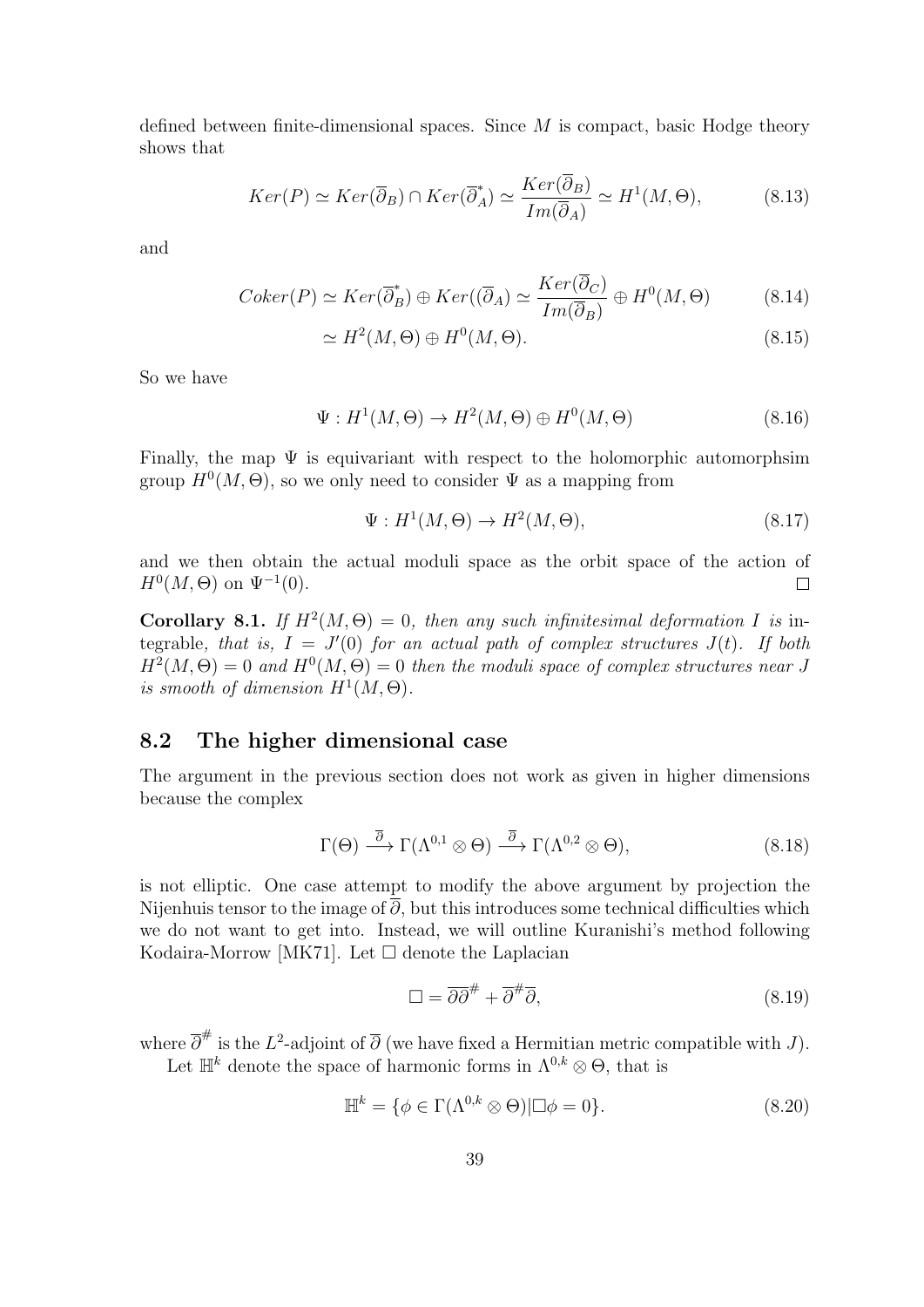defined between finite-dimensional spaces. Since  $M$  is compact, basic Hodge theory shows that

$$
Ker(P) \simeq Ker(\overline{\partial}_B) \cap Ker(\overline{\partial}_A^*) \simeq \frac{Ker(\overline{\partial}_B)}{Im(\overline{\partial}_A)} \simeq H^1(M, \Theta),\tag{8.13}
$$

and

$$
Coker(P) \simeq Ker(\overline{\partial}_B^*) \oplus Ker((\overline{\partial}_A) \simeq \frac{Ker(\overline{\partial}_C)}{Im(\overline{\partial}_B)} \oplus H^0(M, \Theta)
$$
(8.14)

$$
\simeq H^2(M,\Theta) \oplus H^0(M,\Theta). \tag{8.15}
$$

So we have

$$
\Psi: H^1(M, \Theta) \to H^2(M, \Theta) \oplus H^0(M, \Theta) \tag{8.16}
$$

Finally, the map  $\Psi$  is equivariant with respect to the holomorphic automorphsim group  $H^0(M, \Theta)$ , so we only need to consider  $\Psi$  as a mapping from

$$
\Psi: H^1(M, \Theta) \to H^2(M, \Theta), \tag{8.17}
$$

and we then obtain the actual moduli space as the orbit space of the action of  $H^0(M,\Theta)$  on  $\Psi^{-1}(0)$ .  $\Box$ 

Corollary 8.1. If  $H^2(M, \Theta) = 0$ , then any such infinitesimal deformation I is integrable, that is,  $I = J'(0)$  for an actual path of complex structures  $J(t)$ . If both  $H^2(M, \Theta) = 0$  and  $H^0(M, \Theta) = 0$  then the moduli space of complex structures near J is smooth of dimension  $H^1(M, \Theta)$ .

### 8.2 The higher dimensional case

The argument in the previous section does not work as given in higher dimensions because the complex

$$
\Gamma(\Theta) \stackrel{\overline{\partial}}{\longrightarrow} \Gamma(\Lambda^{0,1} \otimes \Theta) \stackrel{\overline{\partial}}{\longrightarrow} \Gamma(\Lambda^{0,2} \otimes \Theta), \tag{8.18}
$$

is not elliptic. One case attempt to modify the above argument by projection the Nijenhuis tensor to the image of  $\overline{\partial}$ , but this introduces some technical difficulties which we do not want to get into. Instead, we will outline Kuranishi's method following Kodaira-Morrow [MK71]. Let  $\square$  denote the Laplacian

$$
\Box = \overline{\partial \partial}^{\#} + \overline{\partial}^{\#} \overline{\partial}, \tag{8.19}
$$

where  $\overline{\partial}^{\#}$  is the L<sup>2</sup>-adjoint of  $\overline{\partial}$  (we have fixed a Hermitian metric compatible with J).

Let  $\mathbb{H}^k$  denote the space of harmonic forms in  $\Lambda^{0,k} \otimes \Theta$ , that is

$$
\mathbb{H}^{k} = \{ \phi \in \Gamma(\Lambda^{0,k} \otimes \Theta) | \Box \phi = 0 \}.
$$
\n(8.20)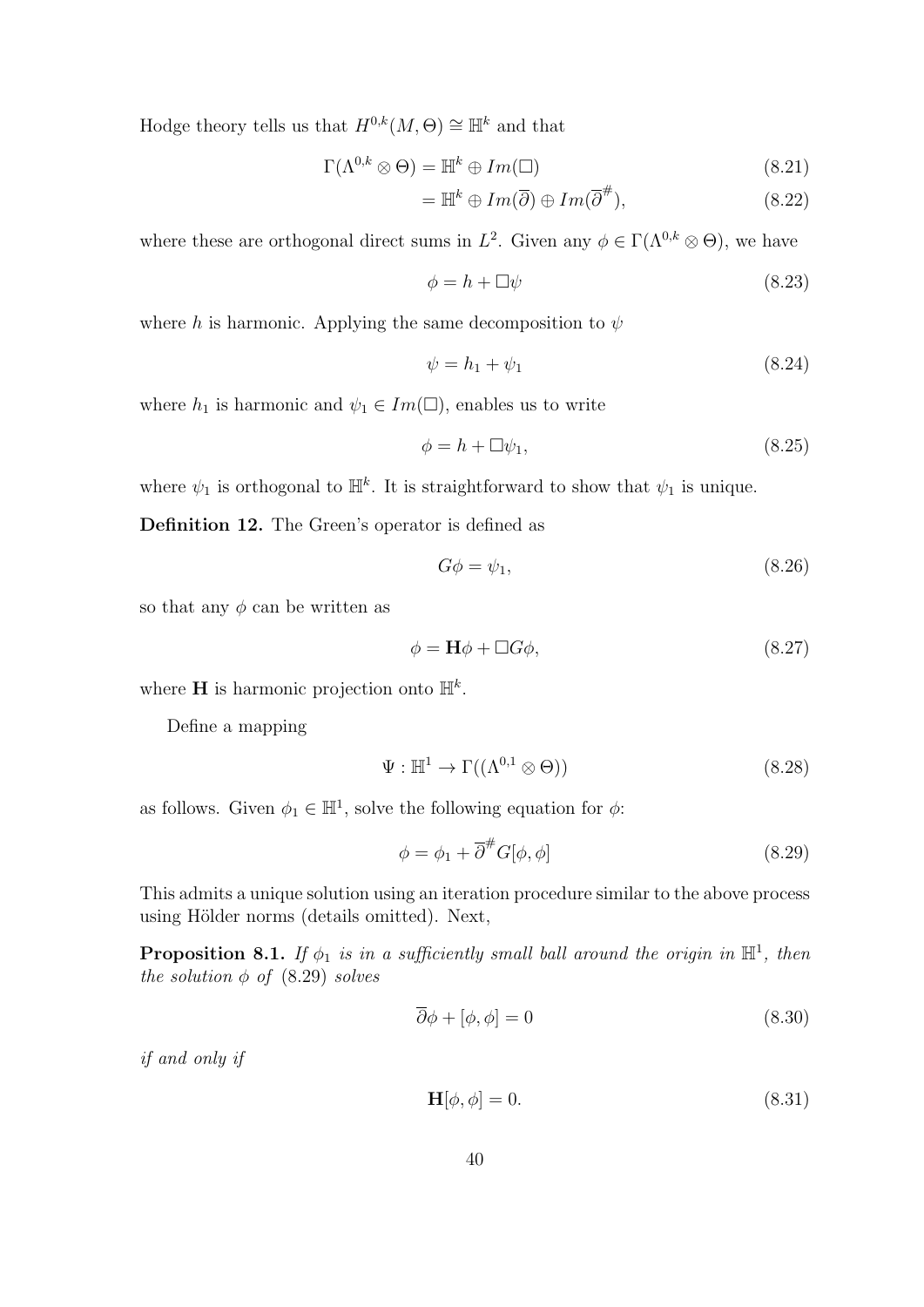Hodge theory tells us that  $H^{0,k}(M, \Theta) \cong \mathbb{H}^k$  and that

$$
\Gamma(\Lambda^{0,k} \otimes \Theta) = \mathbb{H}^k \oplus Im(\square) \tag{8.21}
$$

$$
= \mathbb{H}^k \oplus Im(\overline{\partial}) \oplus Im(\overline{\partial}^{\#}), \qquad (8.22)
$$

where these are orthogonal direct sums in  $L^2$ . Given any  $\phi \in \Gamma(\Lambda^{0,k} \otimes \Theta)$ , we have

$$
\phi = h + \Box \psi \tag{8.23}
$$

where h is harmonic. Applying the same decomposition to  $\psi$ 

$$
\psi = h_1 + \psi_1 \tag{8.24}
$$

where  $h_1$  is harmonic and  $\psi_1 \in Im(\square)$ , enables us to write

$$
\phi = h + \Box \psi_1,\tag{8.25}
$$

where  $\psi_1$  is orthogonal to  $\mathbb{H}^k$ . It is straightforward to show that  $\psi_1$  is unique.

Definition 12. The Green's operator is defined as

$$
G\phi = \psi_1,\tag{8.26}
$$

so that any  $\phi$  can be written as

$$
\phi = \mathbf{H}\phi + \Box G\phi,\tag{8.27}
$$

where **H** is harmonic projection onto  $\mathbb{H}^k$ .

Define a mapping

$$
\Psi : \mathbb{H}^1 \to \Gamma((\Lambda^{0,1} \otimes \Theta))
$$
\n(8.28)

as follows. Given  $\phi_1 \in \mathbb{H}^1$ , solve the following equation for  $\phi$ :

$$
\phi = \phi_1 + \overline{\partial}^{\#} G[\phi, \phi] \tag{8.29}
$$

This admits a unique solution using an iteration procedure similar to the above process using Hölder norms (details omitted). Next,

**Proposition 8.1.** If  $\phi_1$  is in a sufficiently small ball around the origin in  $\mathbb{H}^1$ , then the solution  $\phi$  of (8.29) solves

$$
\overline{\partial}\phi + [\phi, \phi] = 0\tag{8.30}
$$

if and only if

$$
\mathbf{H}[\phi,\phi] = 0.\tag{8.31}
$$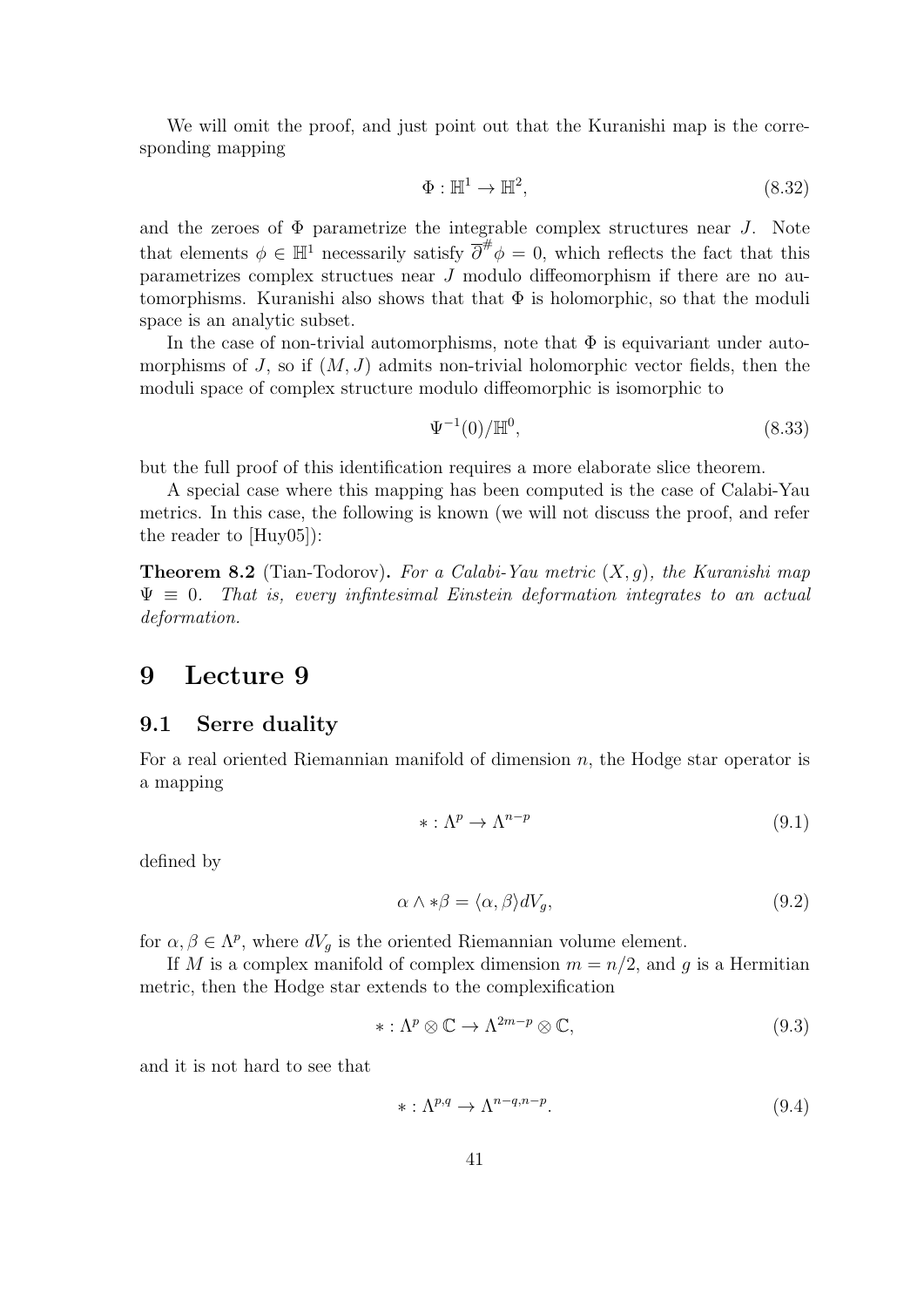We will omit the proof, and just point out that the Kuranishi map is the corresponding mapping

$$
\Phi: \mathbb{H}^1 \to \mathbb{H}^2,\tag{8.32}
$$

and the zeroes of  $\Phi$  parametrize the integrable complex structures near J. Note that elements  $\phi \in \mathbb{H}^1$  necessarily satisfy  $\overline{\partial}^{\#} \phi = 0$ , which reflects the fact that this parametrizes complex structues near J modulo diffeomorphism if there are no automorphisms. Kuranishi also shows that that  $\Phi$  is holomorphic, so that the moduli space is an analytic subset.

In the case of non-trivial automorphisms, note that  $\Phi$  is equivariant under automorphisms of J, so if  $(M, J)$  admits non-trivial holomorphic vector fields, then the moduli space of complex structure modulo diffeomorphic is isomorphic to

$$
\Psi^{-1}(0)/\mathbb{H}^0,\tag{8.33}
$$

but the full proof of this identification requires a more elaborate slice theorem.

A special case where this mapping has been computed is the case of Calabi-Yau metrics. In this case, the following is known (we will not discuss the proof, and refer the reader to [Huy05]):

**Theorem 8.2** (Tian-Todorov). For a Calabi-Yau metric  $(X, q)$ , the Kuranishi map  $\Psi \equiv 0$ . That is, every infinitesimal Einstein deformation integrates to an actual deformation.

# 9 Lecture 9

#### 9.1 Serre duality

For a real oriented Riemannian manifold of dimension n, the Hodge star operator is a mapping

$$
* : \Lambda^p \to \Lambda^{n-p} \tag{9.1}
$$

defined by

$$
\alpha \wedge * \beta = \langle \alpha, \beta \rangle dV_g,\tag{9.2}
$$

for  $\alpha, \beta \in \Lambda^p$ , where  $dV_g$  is the oriented Riemannian volume element.

If M is a complex manifold of complex dimension  $m = n/2$ , and g is a Hermitian metric, then the Hodge star extends to the complexification

$$
* : \Lambda^p \otimes \mathbb{C} \to \Lambda^{2m-p} \otimes \mathbb{C}, \tag{9.3}
$$

and it is not hard to see that

$$
* : \Lambda^{p,q} \to \Lambda^{n-q, n-p}.
$$
\n
$$
(9.4)
$$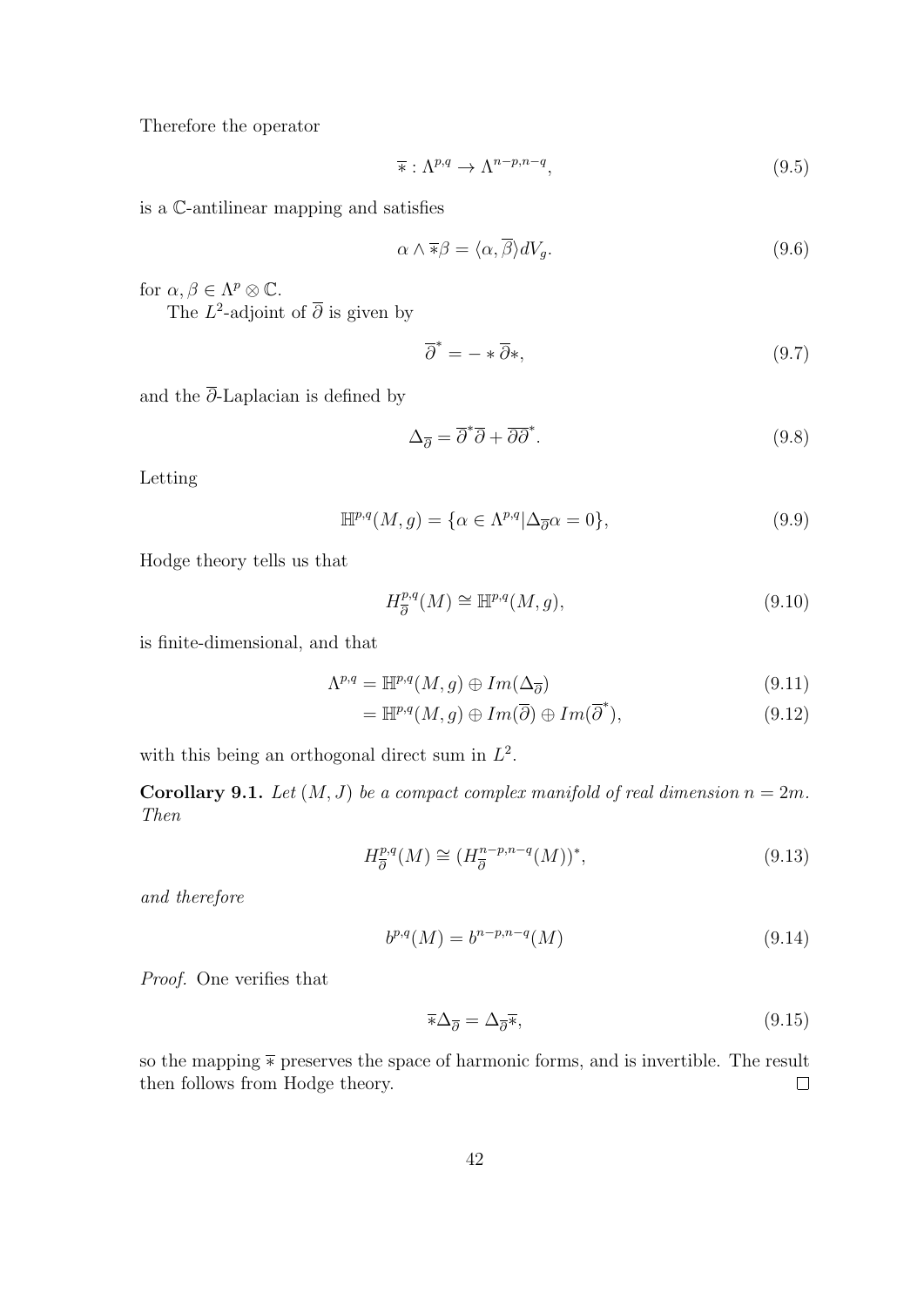Therefore the operator

$$
\overline{\ast}: \Lambda^{p,q} \to \Lambda^{n-p,n-q}, \tag{9.5}
$$

is a C-antilinear mapping and satisfies

$$
\alpha \wedge \overline{\ast} \beta = \langle \alpha, \overline{\beta} \rangle dV_g. \tag{9.6}
$$

for  $\alpha, \beta \in \Lambda^p \otimes \mathbb{C}$ .

The  $L^2$ -adjoint of  $\overline{\partial}$  is given by

$$
\overline{\partial}^* = - * \overline{\partial}*,\tag{9.7}
$$

and the  $\overline{\partial}$ -Laplacian is defined by

$$
\Delta_{\overline{\partial}} = \overline{\partial}^* \overline{\partial} + \overline{\partial} \overline{\partial}^*.
$$
\n(9.8)

Letting

$$
\mathbb{H}^{p,q}(M,g) = \{ \alpha \in \Lambda^{p,q} | \Delta_{\overline{\partial}} \alpha = 0 \},\tag{9.9}
$$

Hodge theory tells us that

$$
H^{p,q}_{\overline{\partial}}(M) \cong \mathbb{H}^{p,q}(M,g),\tag{9.10}
$$

is finite-dimensional, and that

$$
\Lambda^{p,q} = \mathbb{H}^{p,q}(M,g) \oplus Im(\Delta_{\overline{\partial}})
$$
\n(9.11)

$$
= \mathbb{H}^{p,q}(M,g) \oplus Im(\overline{\partial}) \oplus Im(\overline{\partial}^*), \tag{9.12}
$$

with this being an orthogonal direct sum in  $L^2$ .

**Corollary 9.1.** Let  $(M, J)$  be a compact complex manifold of real dimension  $n = 2m$ . Then

$$
H^{p,q}_{\overline{\partial}}(M) \cong (H^{n-p,n-q}_{\overline{\partial}}(M))^*,\tag{9.13}
$$

and therefore

$$
b^{p,q}(M) = b^{n-p,n-q}(M)
$$
\n(9.14)

Proof. One verifies that

$$
\overline{\ast}\Delta_{\overline{\partial}} = \Delta_{\overline{\partial}}\overline{\ast},\tag{9.15}
$$

so the mapping  $\overline{*}$  preserves the space of harmonic forms, and is invertible. The result then follows from Hodge theory.  $\Box$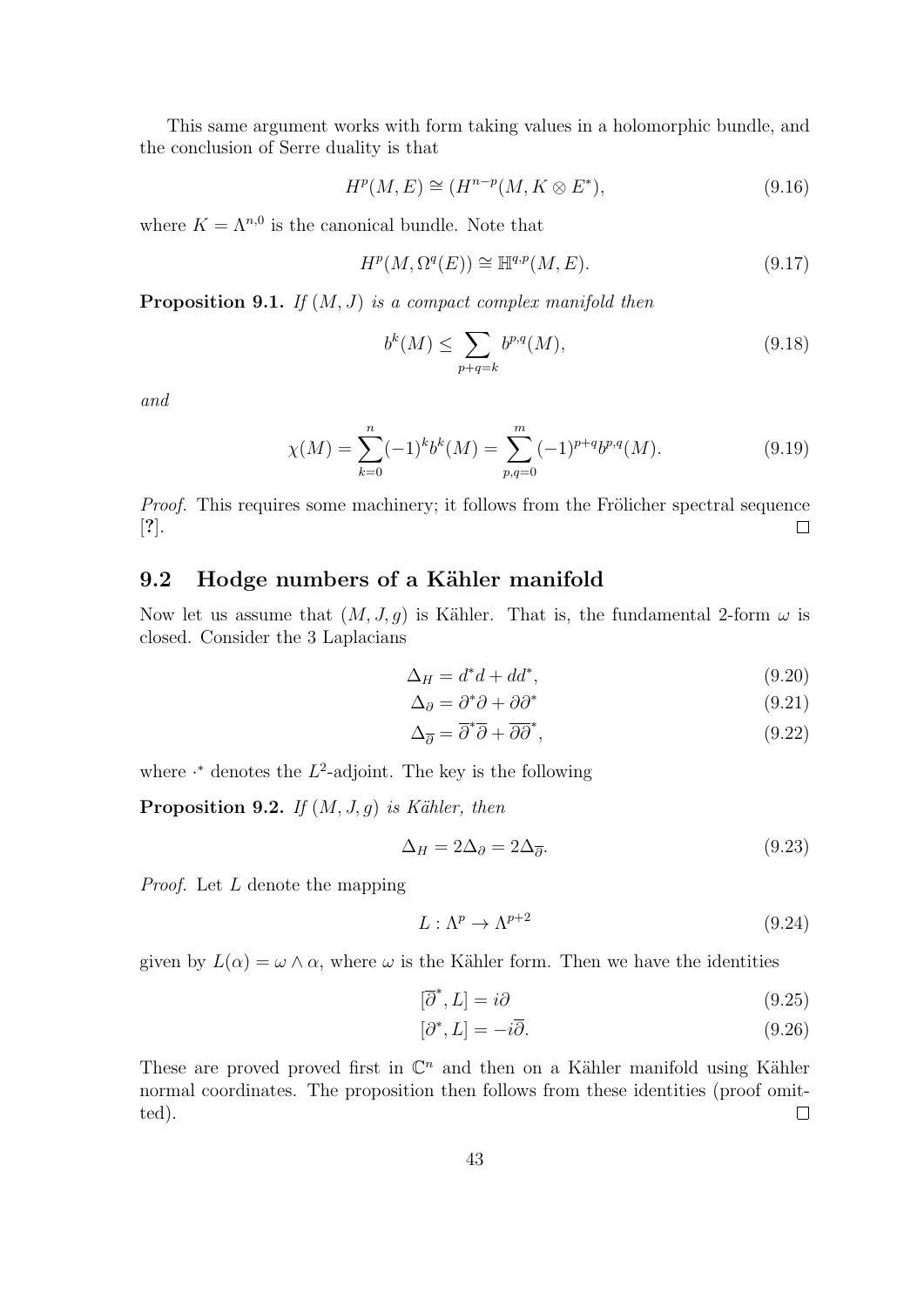This same argument works with form taking values in a holomorphic bundle, and the conclusion of Serre duality is that

$$
H^p(M, E) \cong (H^{n-p}(M, K \otimes E^*), \tag{9.16}
$$

where  $K = \Lambda^{n,0}$  is the canonical bundle. Note that

$$
H^p(M, \Omega^q(E)) \cong \mathbb{H}^{q,p}(M, E). \tag{9.17}
$$

**Proposition 9.1.** If  $(M, J)$  is a compact complex manifold then

$$
b^k(M) \le \sum_{p+q=k} b^{p,q}(M),\tag{9.18}
$$

and

$$
\chi(M) = \sum_{k=0}^{n} (-1)^{k} b^{k}(M) = \sum_{p,q=0}^{m} (-1)^{p+q} b^{p,q}(M).
$$
\n(9.19)

Proof. This requires some machinery; it follows from the Frölicher spectral sequence [?].  $\Box$ 

# 9.2 Hodge numbers of a Kähler manifold

Now let us assume that  $(M, J, g)$  is Kähler. That is, the fundamental 2-form  $\omega$  is closed. Consider the 3 Laplacians

$$
\Delta_H = d^*d + dd^*,\tag{9.20}
$$

$$
\Delta_{\partial} = \partial^* \partial + \partial \partial^* \tag{9.21}
$$

$$
\Delta_{\overline{\partial}} = \overline{\partial}^* \overline{\partial} + \overline{\partial} \overline{\partial}^*,\tag{9.22}
$$

where  $\cdot^*$  denotes the  $L^2$ -adjoint. The key is the following

**Proposition 9.2.** If  $(M, J, g)$  is Kähler, then

$$
\Delta_H = 2\Delta_\partial = 2\Delta_{\overline{\partial}}.\tag{9.23}
$$

Proof. Let L denote the mapping

$$
L: \Lambda^p \to \Lambda^{p+2} \tag{9.24}
$$

given by  $L(\alpha) = \omega \wedge \alpha$ , where  $\omega$  is the Kähler form. Then we have the identities

$$
[\overline{\partial}^*, L] = i\partial\tag{9.25}
$$

$$
[\partial^*, L] = -i\overline{\partial}.\tag{9.26}
$$

These are proved proved first in  $\mathbb{C}^n$  and then on a Kähler manifold using Kähler normal coordinates. The proposition then follows from these identities (proof omit- $\Box$ ted).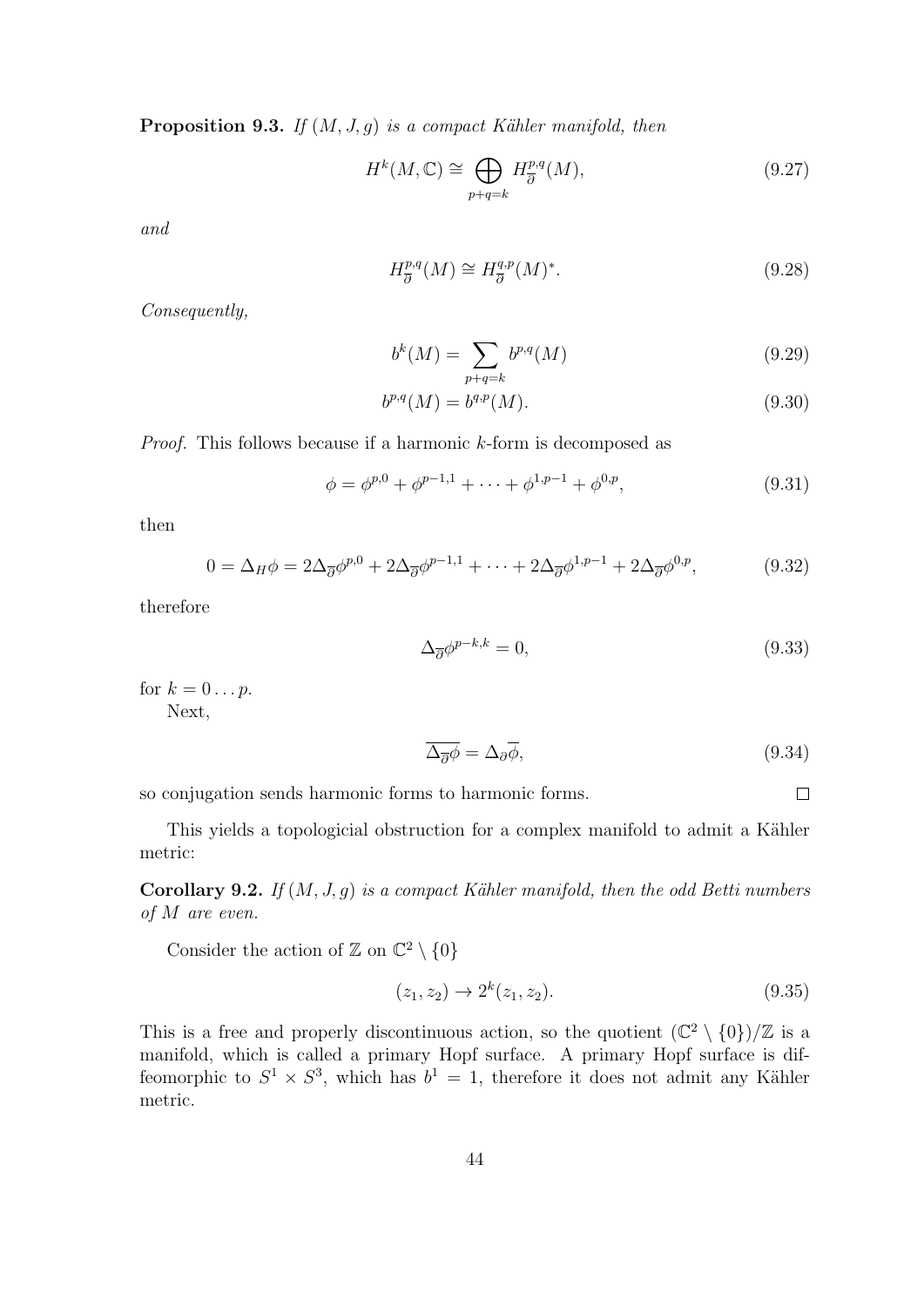**Proposition 9.3.** If  $(M, J, g)$  is a compact Kähler manifold, then

$$
H^k(M, \mathbb{C}) \cong \bigoplus_{p+q=k} H^{p,q}_{\overline{\partial}}(M), \tag{9.27}
$$

and

$$
H^{p,q}_{\overline{\partial}}(M) \cong H^{q,p}_{\overline{\partial}}(M)^*.
$$
\n(9.28)

Consequently,

$$
b^k(M) = \sum_{p+q=k} b^{p,q}(M)
$$
\n(9.29)

$$
b^{p,q}(M) = b^{q,p}(M). \tag{9.30}
$$

Proof. This follows because if a harmonic k-form is decomposed as

$$
\phi = \phi^{p,0} + \phi^{p-1,1} + \dots + \phi^{1,p-1} + \phi^{0,p},\tag{9.31}
$$

then

$$
0 = \Delta_H \phi = 2\Delta_{\overline{\partial}} \phi^{p,0} + 2\Delta_{\overline{\partial}} \phi^{p-1,1} + \dots + 2\Delta_{\overline{\partial}} \phi^{1,p-1} + 2\Delta_{\overline{\partial}} \phi^{0,p},\tag{9.32}
$$

therefore

$$
\Delta_{\overline{\partial}} \phi^{p-k,k} = 0,\tag{9.33}
$$

for  $k = 0 \dots p$ .

Next,

$$
\overline{\Delta_{\overline{\partial}}\phi} = \Delta_{\partial}\overline{\phi},\tag{9.34}
$$

 $\Box$ 

so conjugation sends harmonic forms to harmonic forms.

This yields a topologicial obstruction for a complex manifold to admit a Kähler metric:

Corollary 9.2. If  $(M, J, g)$  is a compact Kähler manifold, then the odd Betti numbers of M are even.

Consider the action of  $\mathbb{Z}$  on  $\mathbb{C}^2 \setminus \{0\}$ 

$$
(z_1, z_2) \to 2^k (z_1, z_2). \tag{9.35}
$$

This is a free and properly discontinuous action, so the quotient  $(\mathbb{C}^2 \setminus \{0\})/\mathbb{Z}$  is a manifold, which is called a primary Hopf surface. A primary Hopf surface is diffeomorphic to  $S^1 \times S^3$ , which has  $b^1 = 1$ , therefore it does not admit any Kähler metric.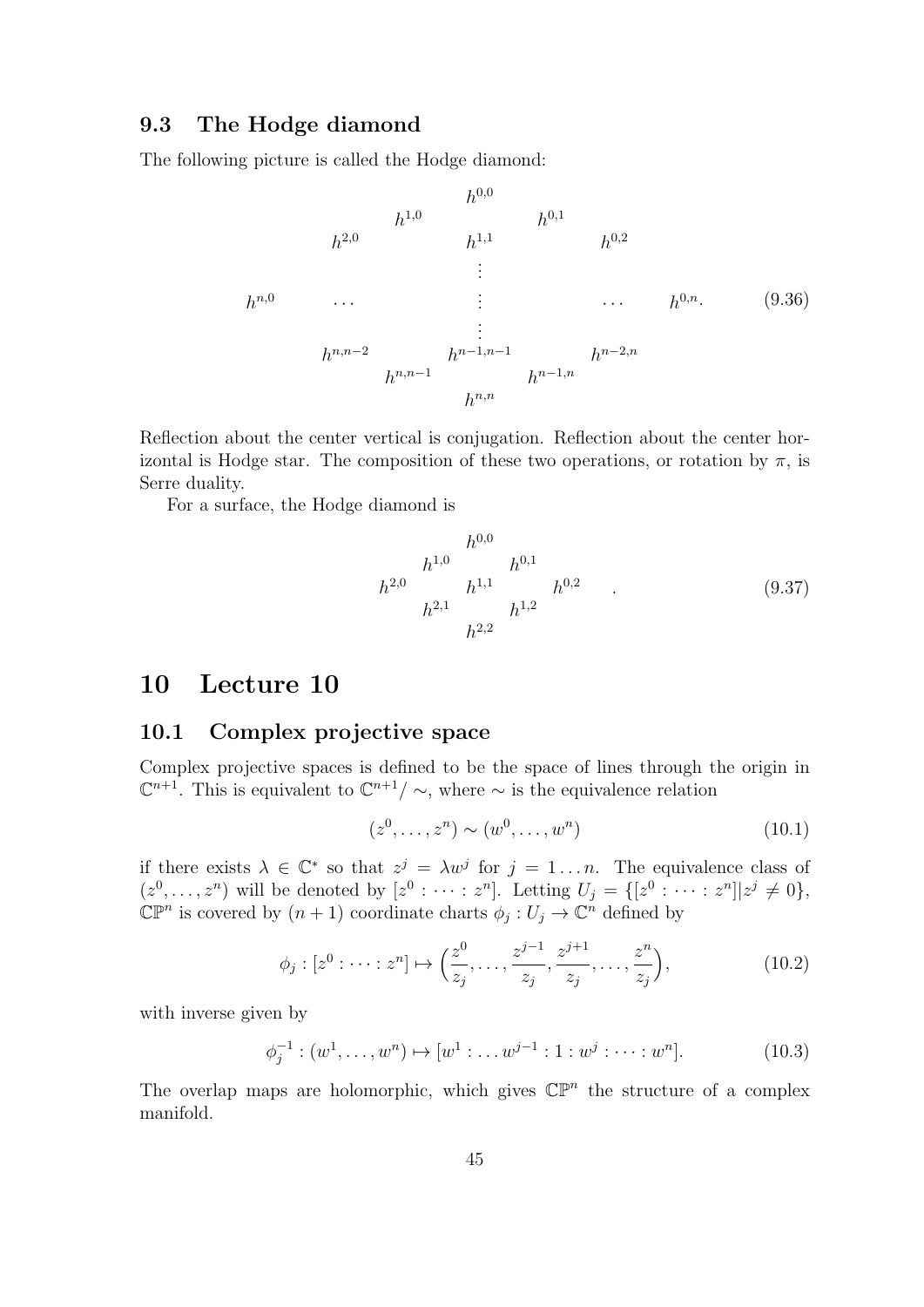#### 9.3 The Hodge diamond

The following picture is called the Hodge diamond:

$$
h^{1,0} \t h^{1,0} \t h^{0,1}
$$
\n
$$
h^{2,0} \t h^{1,1} \t h^{0,2}
$$
\n
$$
\vdots \t \t \ldots \t h^{0,n}.
$$
\n
$$
h^{n,0} \t \vdots \t \ldots \t h^{0,n}.
$$
\n
$$
(9.36)
$$
\n
$$
\vdots \t \ldots \t h^{0,n}.
$$
\n
$$
(9.36)
$$
\n
$$
h^{n,n-1} \t h^{n-1,n}
$$
\n
$$
h^{n-1,n}
$$

Reflection about the center vertical is conjugation. Reflection about the center horizontal is Hodge star. The composition of these two operations, or rotation by  $\pi$ , is Serre duality.

For a surface, the Hodge diamond is

$$
h^{1,0} \t h^{0,0} \t h^{0,1} \t h^{0,1}
$$
\n
$$
h^{2,0} \t h^{1,1} \t h^{0,2} \t . \t (9.37)
$$
\n
$$
h^{2,2} \t h^{2,2}
$$

### 10 Lecture 10

#### 10.1 Complex projective space

Complex projective spaces is defined to be the space of lines through the origin in  $\mathbb{C}^{n+1}$ . This is equivalent to  $\mathbb{C}^{n+1}/\sim$ , where  $\sim$  is the equivalence relation

$$
(z^0, \dots, z^n) \sim (w^0, \dots, w^n) \tag{10.1}
$$

if there exists  $\lambda \in \mathbb{C}^*$  so that  $z^j = \lambda w^j$  for  $j = 1...n$ . The equivalence class of  $(z^0, \ldots, z^n)$  will be denoted by  $[z^0 : \cdots : z^n]$ . Letting  $U_j = \{[z^0 : \cdots : z^n] | z^j \neq 0\},\$  $\mathbb{CP}^n$  is covered by  $(n+1)$  coordinate charts  $\phi_j: U_j \to \mathbb{C}^n$  defined by

$$
\phi_j : [z^0 : \dots : z^n] \mapsto \left(\frac{z^0}{z_j}, \dots, \frac{z^{j-1}}{z_j}, \frac{z^{j+1}}{z_j}, \dots, \frac{z^n}{z_j}\right),\tag{10.2}
$$

with inverse given by

$$
\phi_j^{-1} : (w^1, \dots, w^n) \mapsto [w^1 : \dots w^{j-1} : 1 : w^j : \dots : w^n].
$$
\n(10.3)

The overlap maps are holomorphic, which gives  $\mathbb{CP}^n$  the structure of a complex manifold.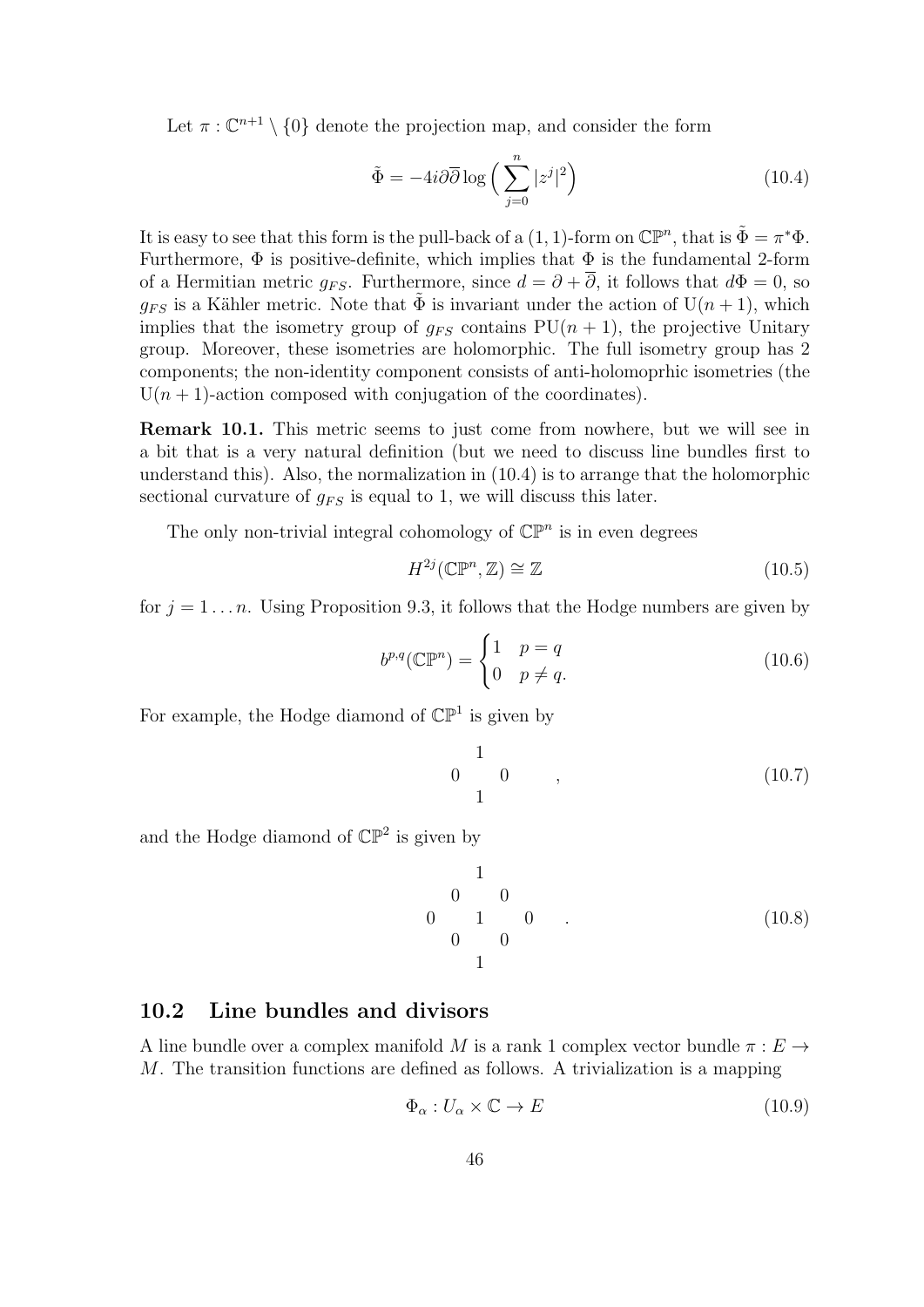Let  $\pi: \mathbb{C}^{n+1} \setminus \{0\}$  denote the projection map, and consider the form

$$
\tilde{\Phi} = -4i\partial\overline{\partial}\log\left(\sum_{j=0}^{n} |z^j|^2\right) \tag{10.4}
$$

It is easy to see that this form is the pull-back of a  $(1, 1)$ -form on  $\mathbb{CP}^n$ , that is  $\tilde{\Phi} = \pi^* \Phi$ . Furthermore,  $\Phi$  is positive-definite, which implies that  $\Phi$  is the fundamental 2-form of a Hermitian metric  $q_{FS}$ . Furthermore, since  $d = \partial + \overline{\partial}$ , it follows that  $d\Phi = 0$ , so  $q_{FS}$  is a Kähler metric. Note that  $\tilde{\Phi}$  is invariant under the action of  $U(n + 1)$ , which implies that the isometry group of  $g_{FS}$  contains  $PU(n + 1)$ , the projective Unitary group. Moreover, these isometries are holomorphic. The full isometry group has 2 components; the non-identity component consists of anti-holomoprhic isometries (the  $U(n + 1)$ -action composed with conjugation of the coordinates).

Remark 10.1. This metric seems to just come from nowhere, but we will see in a bit that is a very natural definition (but we need to discuss line bundles first to understand this). Also, the normalization in (10.4) is to arrange that the holomorphic sectional curvature of  $q_{FS}$  is equal to 1, we will discuss this later.

The only non-trivial integral cohomology of  $\mathbb{CP}^n$  is in even degrees

$$
H^{2j}(\mathbb{CP}^n, \mathbb{Z}) \cong \mathbb{Z} \tag{10.5}
$$

for  $j = 1 \ldots n$ . Using Proposition 9.3, it follows that the Hodge numbers are given by

$$
b^{p,q}(\mathbb{CP}^n) = \begin{cases} 1 & p = q \\ 0 & p \neq q. \end{cases}
$$
 (10.6)

For example, the Hodge diamond of  $\mathbb{CP}^1$  is given by

$$
\begin{array}{cccc}\n & 1 & & & \\
0 & 0 & , & & \\
1 & & & & \n\end{array}
$$
\n(10.7)

and the Hodge diamond of  $\mathbb{CP}^2$  is given by

$$
\begin{array}{cccc}\n & 1 & & & \\
 & 0 & 0 & & \\
 & 1 & 0 & . & \\
 & & 0 & 0 & \\
 & & 1 & & \n\end{array}
$$
\n(10.8)

### 10.2 Line bundles and divisors

A line bundle over a complex manifold M is a rank 1 complex vector bundle  $\pi : E \to$ M. The transition functions are defined as follows. A trivialization is a mapping

$$
\Phi_{\alpha}: U_{\alpha} \times \mathbb{C} \to E \tag{10.9}
$$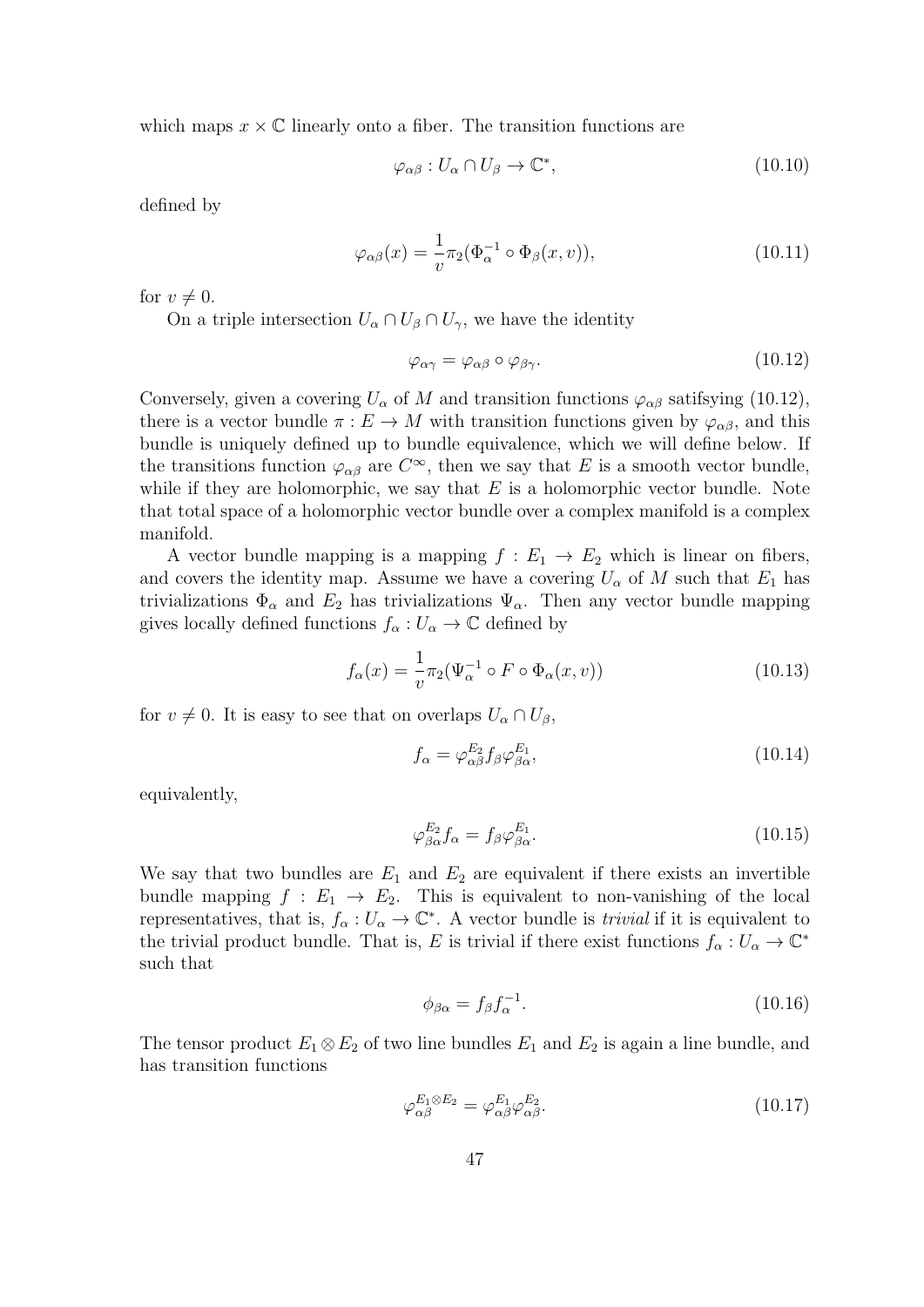which maps  $x \times \mathbb{C}$  linearly onto a fiber. The transition functions are

$$
\varphi_{\alpha\beta}: U_{\alpha}\cap U_{\beta}\to \mathbb{C}^*,\tag{10.10}
$$

defined by

$$
\varphi_{\alpha\beta}(x) = \frac{1}{v} \pi_2(\Phi_{\alpha}^{-1} \circ \Phi_{\beta}(x, v)), \qquad (10.11)
$$

for  $v \neq 0$ .

On a triple intersection  $U_{\alpha} \cap U_{\beta} \cap U_{\gamma}$ , we have the identity

$$
\varphi_{\alpha\gamma} = \varphi_{\alpha\beta} \circ \varphi_{\beta\gamma}.\tag{10.12}
$$

Conversely, given a covering  $U_{\alpha}$  of M and transition functions  $\varphi_{\alpha\beta}$  satifsying (10.12), there is a vector bundle  $\pi : E \to M$  with transition functions given by  $\varphi_{\alpha\beta}$ , and this bundle is uniquely defined up to bundle equivalence, which we will define below. If the transitions function  $\varphi_{\alpha\beta}$  are  $C^{\infty}$ , then we say that E is a smooth vector bundle, while if they are holomorphic, we say that  $E$  is a holomorphic vector bundle. Note that total space of a holomorphic vector bundle over a complex manifold is a complex manifold.

A vector bundle mapping is a mapping  $f: E_1 \to E_2$  which is linear on fibers, and covers the identity map. Assume we have a covering  $U_{\alpha}$  of M such that  $E_1$  has trivializations  $\Phi_{\alpha}$  and  $E_2$  has trivializations  $\Psi_{\alpha}$ . Then any vector bundle mapping gives locally defined functions  $f_{\alpha}: U_{\alpha} \to \mathbb{C}$  defined by

$$
f_{\alpha}(x) = \frac{1}{v} \pi_2(\Psi_{\alpha}^{-1} \circ F \circ \Phi_{\alpha}(x, v))
$$
\n(10.13)

for  $v \neq 0$ . It is easy to see that on overlaps  $U_{\alpha} \cap U_{\beta}$ ,

$$
f_{\alpha} = \varphi_{\alpha\beta}^{E_2} f_{\beta} \varphi_{\beta\alpha}^{E_1},\tag{10.14}
$$

equivalently,

$$
\varphi_{\beta\alpha}^{E_2} f_{\alpha} = f_{\beta} \varphi_{\beta\alpha}^{E_1}.
$$
\n(10.15)

We say that two bundles are  $E_1$  and  $E_2$  are equivalent if there exists an invertible bundle mapping  $f : E_1 \rightarrow E_2$ . This is equivalent to non-vanishing of the local representatives, that is,  $f_{\alpha}: U_{\alpha} \to \mathbb{C}^*$ . A vector bundle is *trivial* if it is equivalent to the trivial product bundle. That is, E is trivial if there exist functions  $f_{\alpha}: U_{\alpha} \to \mathbb{C}^*$ such that

$$
\phi_{\beta\alpha} = f_{\beta} f_{\alpha}^{-1}.\tag{10.16}
$$

The tensor product  $E_1 \otimes E_2$  of two line bundles  $E_1$  and  $E_2$  is again a line bundle, and has transition functions

$$
\varphi_{\alpha\beta}^{E_1 \otimes E_2} = \varphi_{\alpha\beta}^{E_1} \varphi_{\alpha\beta}^{E_2}.
$$
\n(10.17)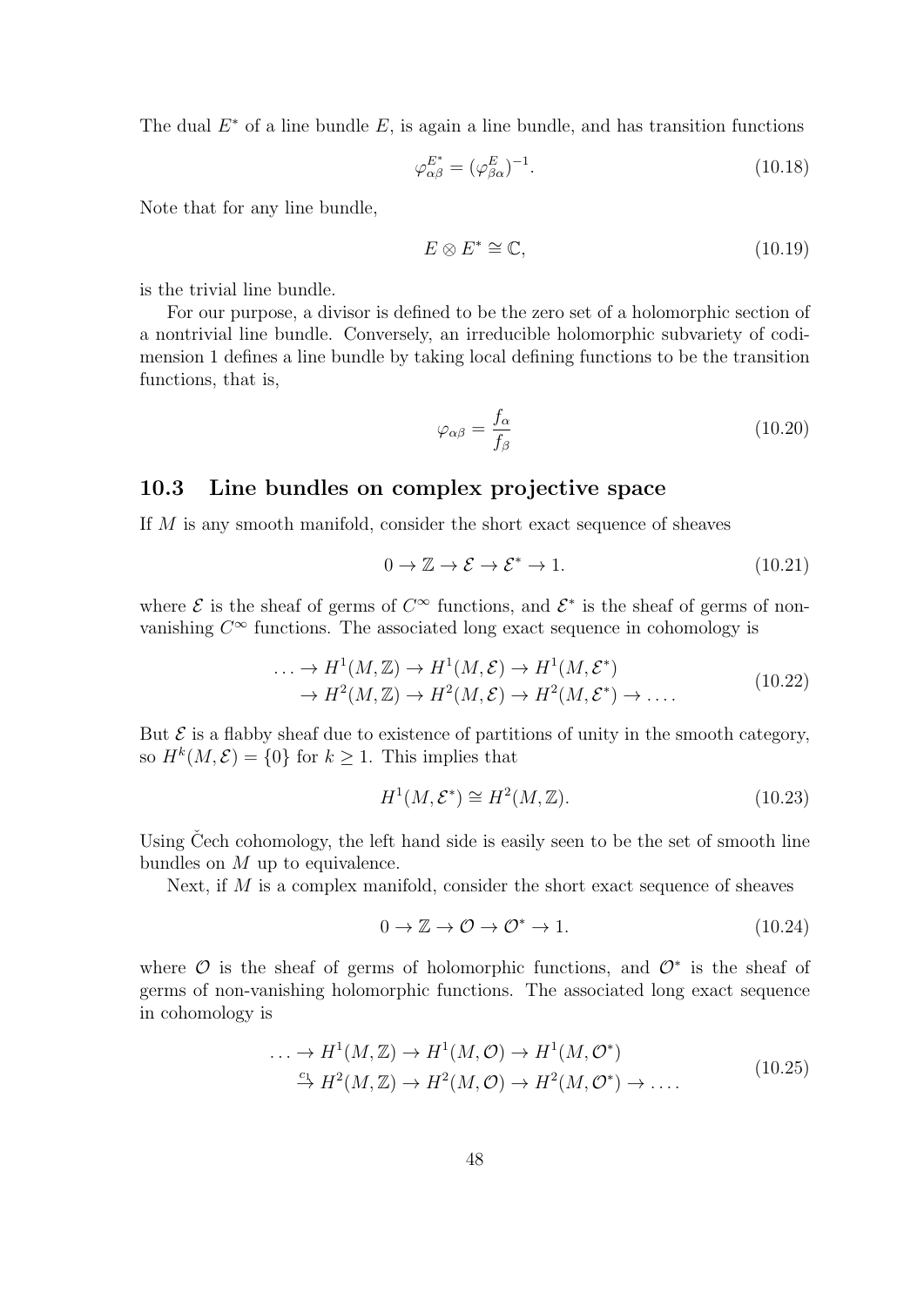The dual  $E^*$  of a line bundle  $E$ , is again a line bundle, and has transition functions

$$
\varphi_{\alpha\beta}^{E^*} = (\varphi_{\beta\alpha}^E)^{-1}.
$$
\n(10.18)

Note that for any line bundle,

$$
E \otimes E^* \cong \mathbb{C},\tag{10.19}
$$

is the trivial line bundle.

For our purpose, a divisor is defined to be the zero set of a holomorphic section of a nontrivial line bundle. Conversely, an irreducible holomorphic subvariety of codimension 1 defines a line bundle by taking local defining functions to be the transition functions, that is,

$$
\varphi_{\alpha\beta} = \frac{f_{\alpha}}{f_{\beta}} \tag{10.20}
$$

#### 10.3 Line bundles on complex projective space

If M is any smooth manifold, consider the short exact sequence of sheaves

$$
0 \to \mathbb{Z} \to \mathcal{E} \to \mathcal{E}^* \to 1. \tag{10.21}
$$

where  $\mathcal E$  is the sheaf of germs of  $C^{\infty}$  functions, and  $\mathcal E^*$  is the sheaf of germs of nonvanishing  $C^{\infty}$  functions. The associated long exact sequence in cohomology is

$$
\dots \to H^1(M, \mathbb{Z}) \to H^1(M, \mathcal{E}) \to H^1(M, \mathcal{E}^*)
$$
  
\n
$$
\to H^2(M, \mathbb{Z}) \to H^2(M, \mathcal{E}) \to H^2(M, \mathcal{E}^*) \to \dots
$$
\n(10.22)

But  $\mathcal E$  is a flabby sheaf due to existence of partitions of unity in the smooth category, so  $H^k(M, \mathcal{E}) = \{0\}$  for  $k \geq 1$ . This implies that

$$
H^1(M, \mathcal{E}^*) \cong H^2(M, \mathbb{Z}).\tag{10.23}
$$

Using Cech cohomology, the left hand side is easily seen to be the set of smooth line bundles on M up to equivalence.

Next, if M is a complex manifold, consider the short exact sequence of sheaves

$$
0 \to \mathbb{Z} \to \mathcal{O} \to \mathcal{O}^* \to 1. \tag{10.24}
$$

where  $\mathcal O$  is the sheaf of germs of holomorphic functions, and  $\mathcal O^*$  is the sheaf of germs of non-vanishing holomorphic functions. The associated long exact sequence in cohomology is

$$
\dots \to H^1(M, \mathbb{Z}) \to H^1(M, \mathcal{O}) \to H^1(M, \mathcal{O}^*)
$$
  
\n
$$
\xrightarrow{c_1} H^2(M, \mathbb{Z}) \to H^2(M, \mathcal{O}) \to H^2(M, \mathcal{O}^*) \to \dots
$$
\n(10.25)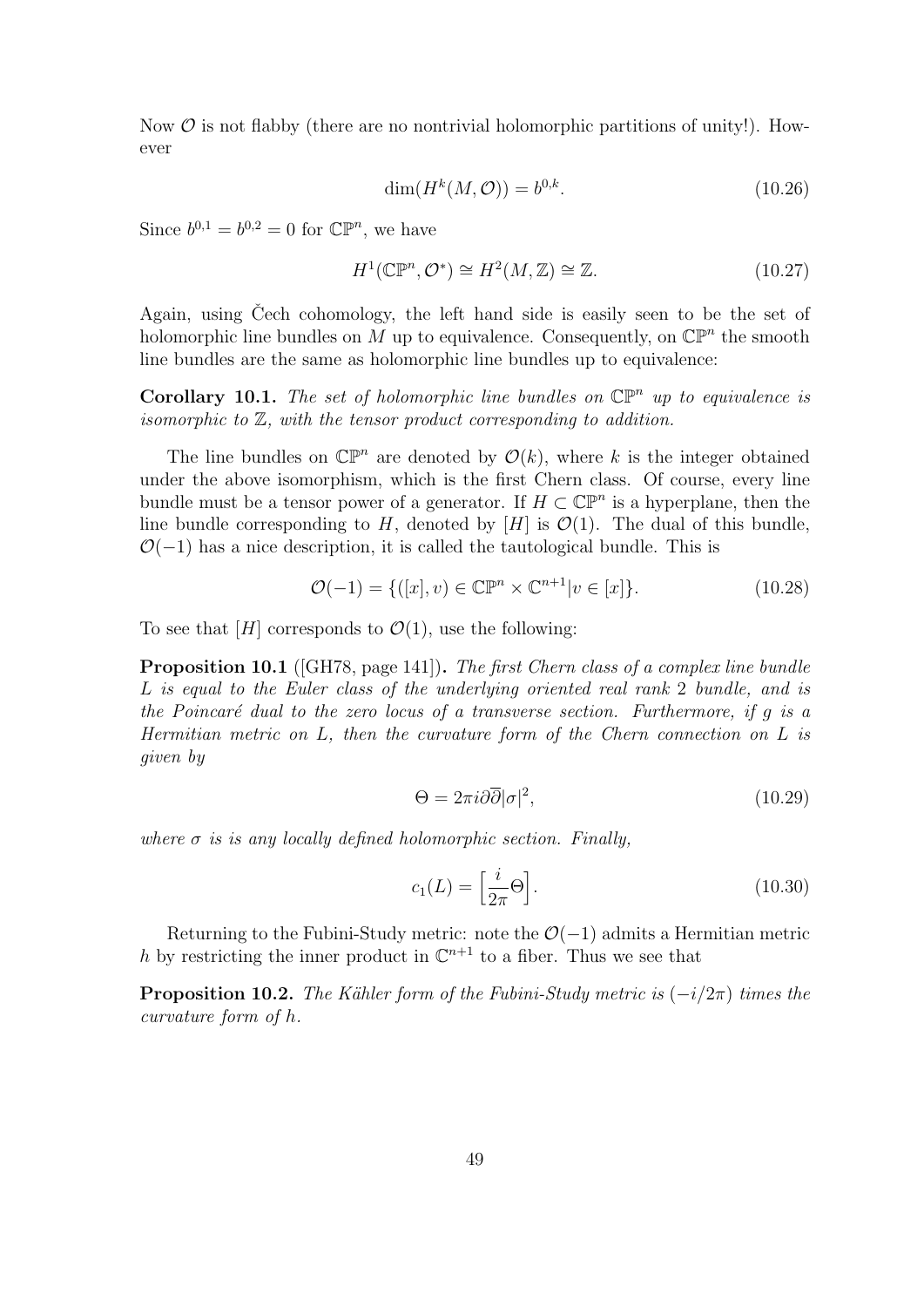Now  $\mathcal O$  is not flabby (there are no nontrivial holomorphic partitions of unity!). However

$$
\dim(H^k(M, \mathcal{O})) = b^{0,k}.\tag{10.26}
$$

Since  $b^{0,1} = b^{0,2} = 0$  for  $\mathbb{CP}^n$ , we have

$$
H^{1}(\mathbb{CP}^{n}, \mathcal{O}^{*}) \cong H^{2}(M, \mathbb{Z}) \cong \mathbb{Z}.
$$
\n(10.27)

Again, using Cech cohomology, the left hand side is easily seen to be the set of holomorphic line bundles on M up to equivalence. Consequently, on  $\mathbb{CP}^n$  the smooth line bundles are the same as holomorphic line bundles up to equivalence:

**Corollary 10.1.** The set of holomorphic line bundles on  $\mathbb{CP}^n$  up to equivalence is isomorphic to  $Z$ , with the tensor product corresponding to addition.

The line bundles on  $\mathbb{CP}^n$  are denoted by  $\mathcal{O}(k)$ , where k is the integer obtained under the above isomorphism, which is the first Chern class. Of course, every line bundle must be a tensor power of a generator. If  $H \subset \mathbb{CP}^n$  is a hyperplane, then the line bundle corresponding to H, denoted by [H] is  $\mathcal{O}(1)$ . The dual of this bundle,  $\mathcal{O}(-1)$  has a nice description, it is called the tautological bundle. This is

$$
\mathcal{O}(-1) = \{ ([x], v) \in \mathbb{CP}^n \times \mathbb{C}^{n+1} | v \in [x] \}.
$$
\n
$$
(10.28)
$$

To see that  $[H]$  corresponds to  $\mathcal{O}(1)$ , use the following:

**Proposition 10.1** ([GH78, page 141]). The first Chern class of a complex line bundle L is equal to the Euler class of the underlying oriented real rank 2 bundle, and is the Poincaré dual to the zero locus of a transverse section. Furthermore, if  $g$  is a Hermitian metric on L, then the curvature form of the Chern connection on L is given by

$$
\Theta = 2\pi i \partial \overline{\partial} |\sigma|^2,\tag{10.29}
$$

where  $\sigma$  is is any locally defined holomorphic section. Finally,

$$
c_1(L) = \left[\frac{i}{2\pi}\Theta\right].\tag{10.30}
$$

Returning to the Fubini-Study metric: note the  $\mathcal{O}(-1)$  admits a Hermitian metric h by restricting the inner product in  $\mathbb{C}^{n+1}$  to a fiber. Thus we see that

**Proposition 10.2.** The Kähler form of the Fubini-Study metric is  $(-i/2\pi)$  times the curvature form of h.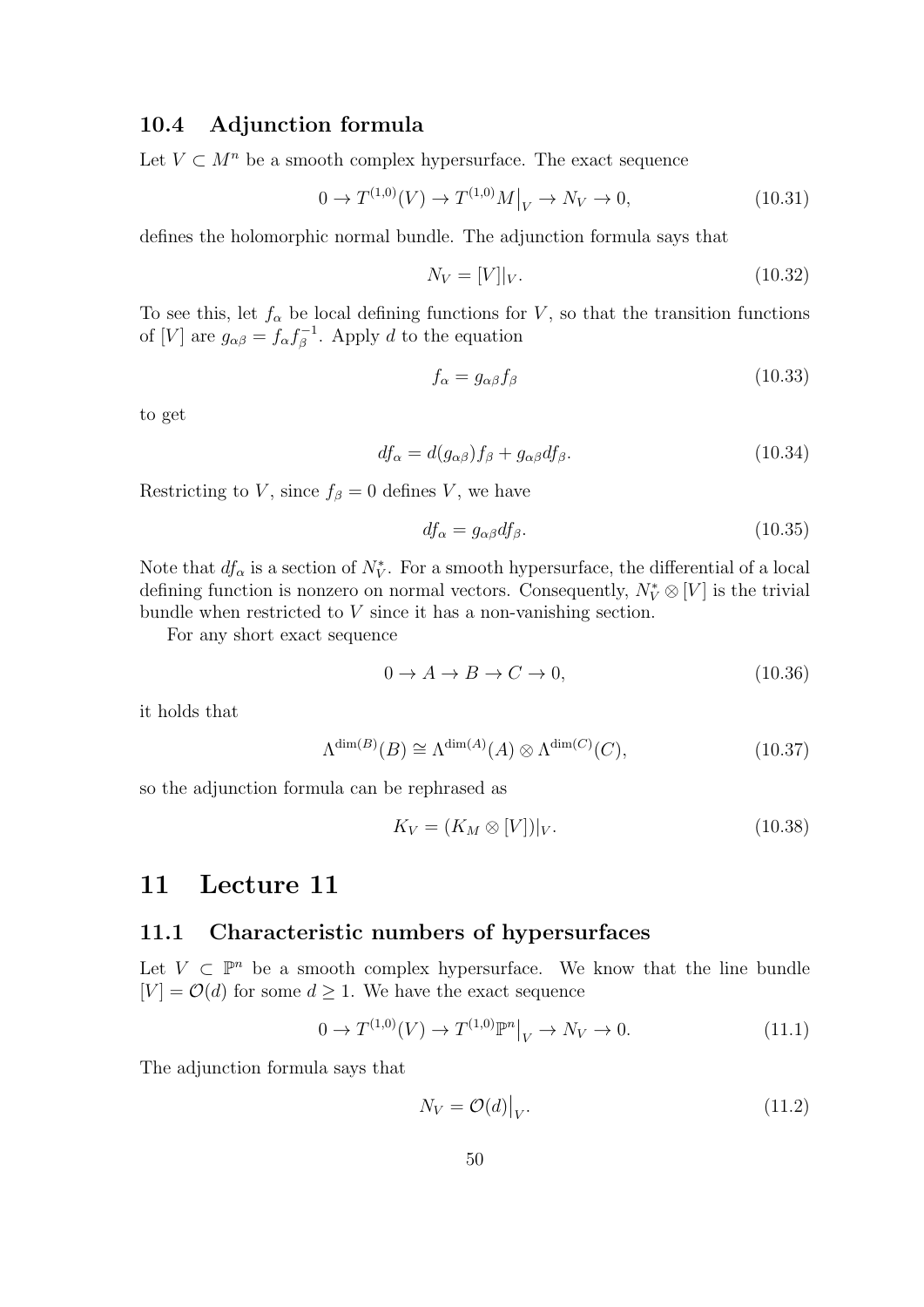### 10.4 Adjunction formula

Let  $V \subset M^n$  be a smooth complex hypersurface. The exact sequence

$$
0 \to T^{(1,0)}(V) \to T^{(1,0)}M|_V \to N_V \to 0,
$$
\n(10.31)

defines the holomorphic normal bundle. The adjunction formula says that

$$
N_V = [V]|_V. \tag{10.32}
$$

To see this, let  $f_{\alpha}$  be local defining functions for V, so that the transition functions of [V] are  $g_{\alpha\beta} = f_{\alpha} f_{\beta}^{-1}$  $\zeta_{\beta}^{-1}$ . Apply d to the equation

$$
f_{\alpha} = g_{\alpha\beta} f_{\beta} \tag{10.33}
$$

to get

$$
df_{\alpha} = d(g_{\alpha\beta})f_{\beta} + g_{\alpha\beta}df_{\beta}.
$$
\n(10.34)

Restricting to V, since  $f_\beta = 0$  defines V, we have

$$
df_{\alpha} = g_{\alpha\beta} df_{\beta}.
$$
\n(10.35)

Note that  $df_{\alpha}$  is a section of  $N_V^*$ . For a smooth hypersurface, the differential of a local defining function is nonzero on normal vectors. Consequently,  $N_V^* \otimes [V]$  is the trivial bundle when restricted to V since it has a non-vanishing section.

For any short exact sequence

$$
0 \to A \to B \to C \to 0,\tag{10.36}
$$

it holds that

$$
\Lambda^{\dim(B)}(B) \cong \Lambda^{\dim(A)}(A) \otimes \Lambda^{\dim(C)}(C),\tag{10.37}
$$

so the adjunction formula can be rephrased as

$$
K_V = (K_M \otimes [V])|_V. \tag{10.38}
$$

#### 11 Lecture 11

#### 11.1 Characteristic numbers of hypersurfaces

Let  $V \subset \mathbb{P}^n$  be a smooth complex hypersurface. We know that the line bundle  $[V] = \mathcal{O}(d)$  for some  $d \geq 1$ . We have the exact sequence

$$
0 \to T^{(1,0)}(V) \to T^{(1,0)} \mathbb{P}^n \big|_V \to N_V \to 0. \tag{11.1}
$$

The adjunction formula says that

$$
N_V = \mathcal{O}(d)|_V. \tag{11.2}
$$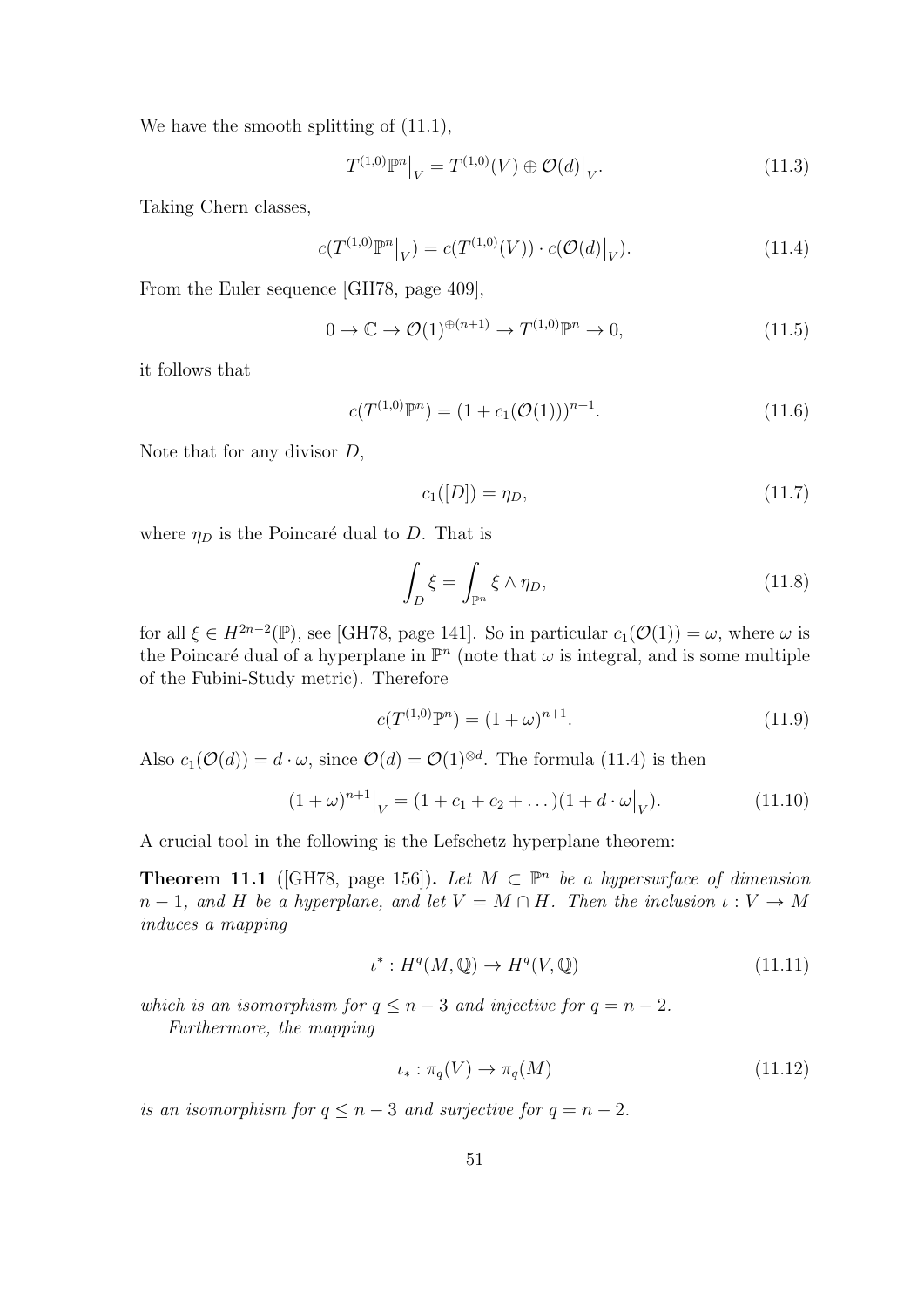We have the smooth splitting of  $(11.1)$ ,

$$
T^{(1,0)}\mathbb{P}^n\big|_V = T^{(1,0)}(V) \oplus \mathcal{O}(d)\big|_V. \tag{11.3}
$$

Taking Chern classes,

$$
c(T^{(1,0)}\mathbb{P}^n|_V) = c(T^{(1,0)}(V)) \cdot c(\mathcal{O}(d)|_V). \tag{11.4}
$$

From the Euler sequence [GH78, page 409],

$$
0 \to \mathbb{C} \to \mathcal{O}(1)^{\oplus (n+1)} \to T^{(1,0)} \mathbb{P}^n \to 0,
$$
\n(11.5)

it follows that

$$
c(T^{(1,0)}\mathbb{P}^n) = (1 + c_1(\mathcal{O}(1)))^{n+1}.
$$
\n(11.6)

Note that for any divisor D,

$$
c_1([D]) = \eta_D,\t\t(11.7)
$$

where  $\eta_D$  is the Poincaré dual to D. That is

$$
\int_{D} \xi = \int_{\mathbb{P}^n} \xi \wedge \eta_D,\tag{11.8}
$$

for all  $\xi \in H^{2n-2}(\mathbb{P})$ , see [GH78, page 141]. So in particular  $c_1(\mathcal{O}(1)) = \omega$ , where  $\omega$  is the Poincaré dual of a hyperplane in  $\mathbb{P}^n$  (note that  $\omega$  is integral, and is some multiple of the Fubini-Study metric). Therefore

$$
c(T^{(1,0)}\mathbb{P}^n) = (1+\omega)^{n+1}.
$$
\n(11.9)

Also  $c_1(\mathcal{O}(d)) = d \cdot \omega$ , since  $\mathcal{O}(d) = \mathcal{O}(1)^{\otimes d}$ . The formula (11.4) is then

$$
(1+\omega)^{n+1}\big|_V = (1+c_1+c_2+\dots)(1+d\cdot\omega\big|_V). \tag{11.10}
$$

A crucial tool in the following is the Lefschetz hyperplane theorem:

**Theorem 11.1** ([GH78, page 156]). Let  $M \text{ }\subset \mathbb{P}^n$  be a hypersurface of dimension  $n-1$ , and H be a hyperplane, and let  $V = M \cap H$ . Then the inclusion  $\iota : V \to M$ induces a mapping

$$
\iota^* : H^q(M, \mathbb{Q}) \to H^q(V, \mathbb{Q}) \tag{11.11}
$$

which is an isomorphism for  $q \leq n-3$  and injective for  $q = n-2$ .

Furthermore, the mapping

$$
\iota_* : \pi_q(V) \to \pi_q(M) \tag{11.12}
$$

is an isomorphism for  $q \leq n-3$  and surjective for  $q = n-2$ .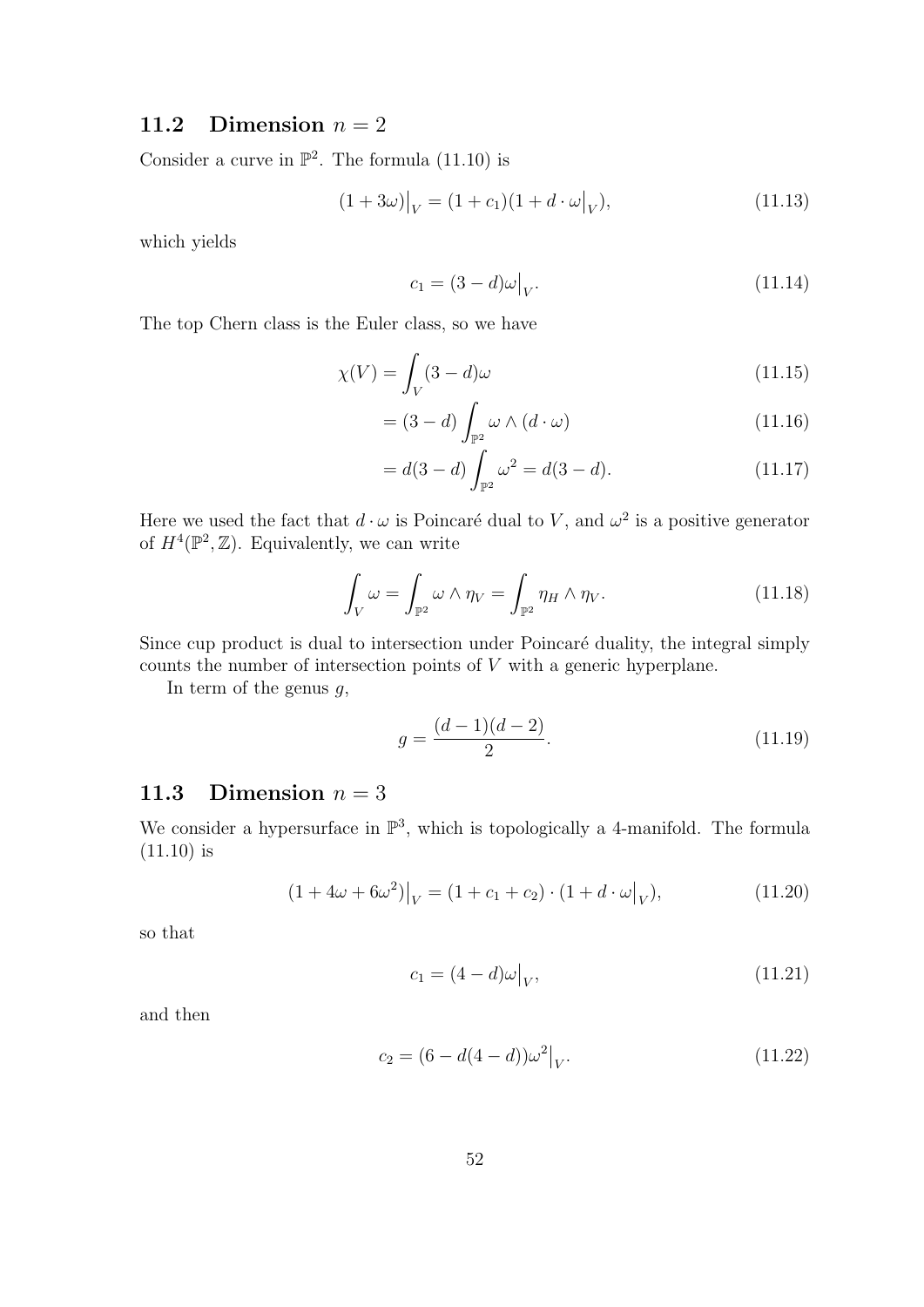# 11.2 Dimension  $n = 2$

Consider a curve in  $\mathbb{P}^2$ . The formula (11.10) is

$$
(1+3\omega)|_V = (1+c_1)(1+d \cdot \omega|_V), \tag{11.13}
$$

which yields

$$
c_1 = (3 - d)\omega\big|_V. \tag{11.14}
$$

The top Chern class is the Euler class, so we have

$$
\chi(V) = \int_{V} (3 - d)\omega \tag{11.15}
$$

$$
= (3-d) \int_{\mathbb{P}^2} \omega \wedge (d \cdot \omega) \tag{11.16}
$$

$$
= d(3-d) \int_{\mathbb{P}^2} \omega^2 = d(3-d). \tag{11.17}
$$

Here we used the fact that  $d \cdot \omega$  is Poincaré dual to V, and  $\omega^2$  is a positive generator of  $H^4(\mathbb{P}^2, \mathbb{Z})$ . Equivalently, we can write

$$
\int_{V} \omega = \int_{\mathbb{P}^2} \omega \wedge \eta_V = \int_{\mathbb{P}^2} \eta_H \wedge \eta_V. \tag{11.18}
$$

Since cup product is dual to intersection under Poincaré duality, the integral simply counts the number of intersection points of V with a generic hyperplane.

In term of the genus  $q$ ,

$$
g = \frac{(d-1)(d-2)}{2}.
$$
\n(11.19)

# 11.3 Dimension  $n = 3$

We consider a hypersurface in  $\mathbb{P}^3$ , which is topologically a 4-manifold. The formula (11.10) is

$$
(1 + 4\omega + 6\omega^2)|_V = (1 + c_1 + c_2) \cdot (1 + d \cdot \omega|_V), \tag{11.20}
$$

so that

$$
c_1 = (4 - d)\omega|_V, \t\t(11.21)
$$

and then

$$
c_2 = (6 - d(4 - d))\omega^2|_V.
$$
\n(11.22)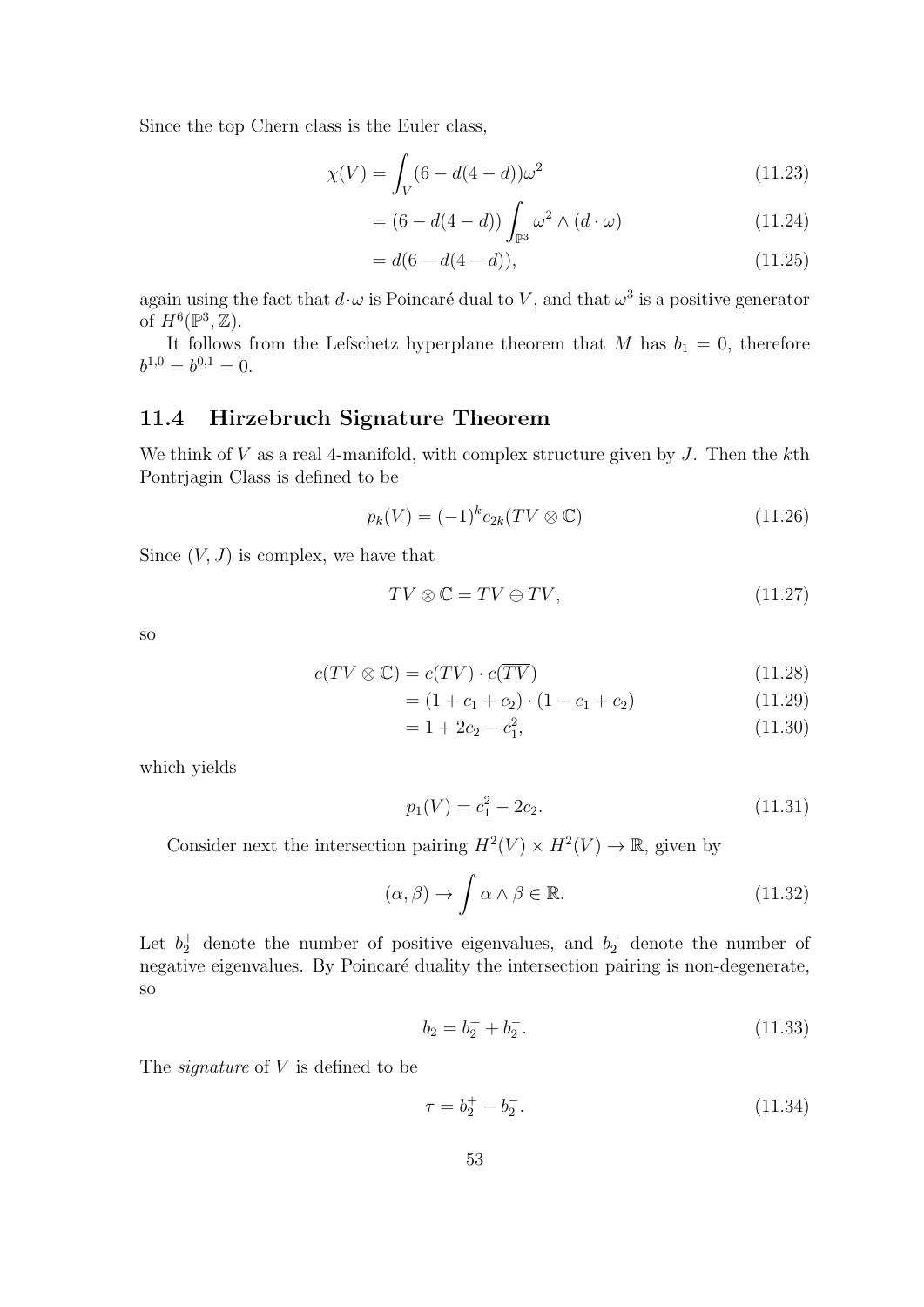Since the top Chern class is the Euler class,

$$
\chi(V) = \int_{V} (6 - d(4 - d))\omega^2 \tag{11.23}
$$

$$
= (6 - d(4 - d)) \int_{\mathbb{P}^3} \omega^2 \wedge (d \cdot \omega) \tag{11.24}
$$

$$
= d(6 - d(4 - d)), \tag{11.25}
$$

again using the fact that  $d \cdot \omega$  is Poincaré dual to V, and that  $\omega^3$  is a positive generator of  $H^6(\mathbb{P}^3, \mathbb{Z})$ .

It follows from the Lefschetz hyperplane theorem that M has  $b_1 = 0$ , therefore  $b^{1,0}=b^{0,1}=0.$ 

## 11.4 Hirzebruch Signature Theorem

We think of  $V$  as a real 4-manifold, with complex structure given by  $J$ . Then the kth Pontrjagin Class is defined to be

$$
p_k(V) = (-1)^k c_{2k}(TV \otimes \mathbb{C}) \tag{11.26}
$$

Since  $(V, J)$  is complex, we have that

$$
TV \otimes \mathbb{C} = TV \oplus \overline{TV},\tag{11.27}
$$

so

$$
c(TV \otimes \mathbb{C}) = c(TV) \cdot c(\overline{TV}) \tag{11.28}
$$

$$
= (1 + c_1 + c_2) \cdot (1 - c_1 + c_2) \tag{11.29}
$$

$$
= 1 + 2c_2 - c_1^2, \tag{11.30}
$$

which yields

$$
p_1(V) = c_1^2 - 2c_2. \tag{11.31}
$$

Consider next the intersection pairing  $H^2(V) \times H^2(V) \to \mathbb{R}$ , given by

$$
(\alpha, \beta) \to \int \alpha \wedge \beta \in \mathbb{R}.\tag{11.32}
$$

Let  $b_2^+$  denote the number of positive eigenvalues, and  $b_2^-$  denote the number of negative eigenvalues. By Poincaré duality the intersection pairing is non-degenerate, so

$$
b_2 = b_2^+ + b_2^-.
$$
\n(11.33)

The *signature* of V is defined to be

$$
\tau = b_2^+ - b_2^-.
$$
\n(11.34)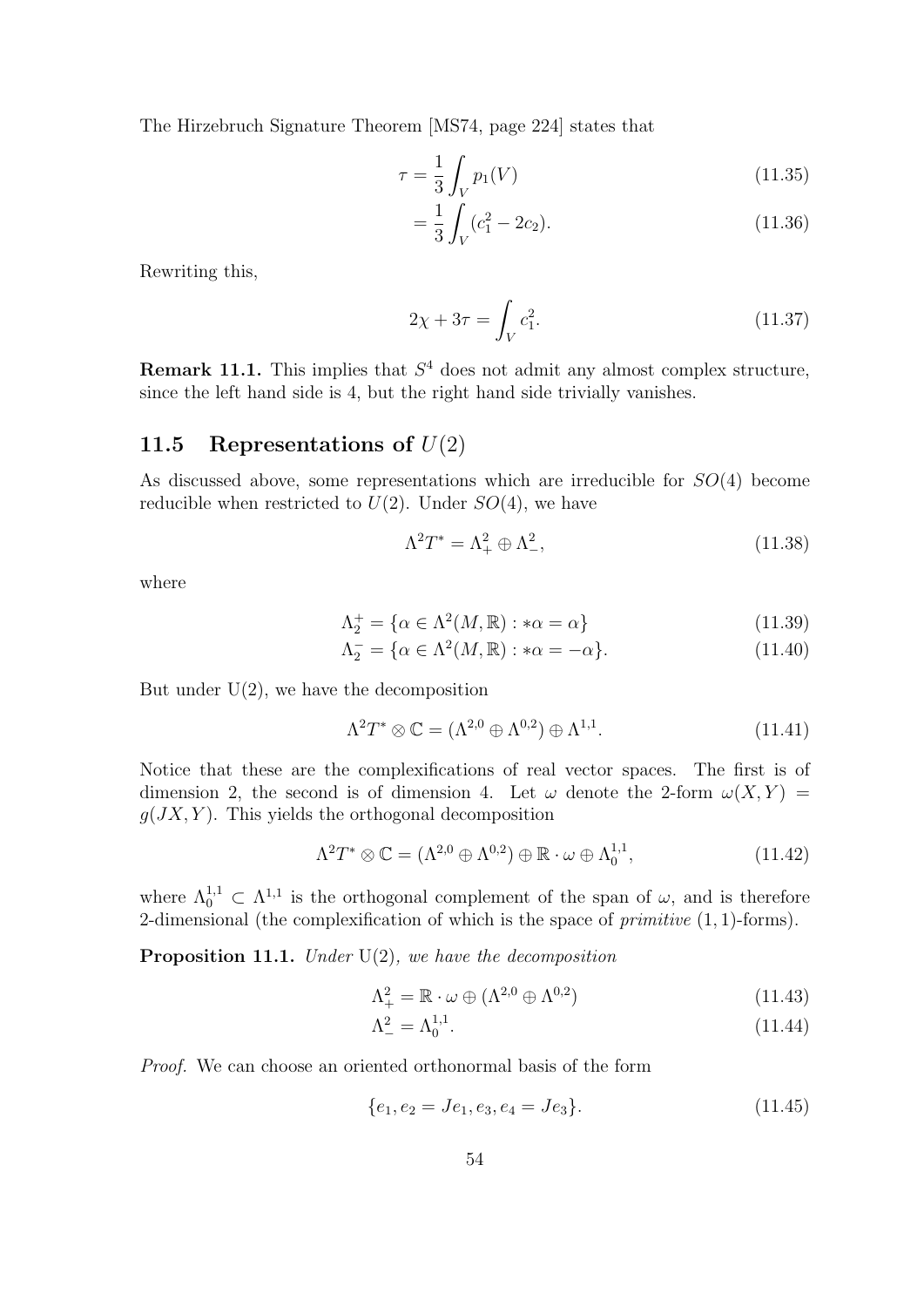The Hirzebruch Signature Theorem [MS74, page 224] states that

$$
\tau = \frac{1}{3} \int_{V} p_1(V) \tag{11.35}
$$

$$
=\frac{1}{3}\int_{V}(c_1^2-2c_2).
$$
\n(11.36)

Rewriting this,

$$
2\chi + 3\tau = \int_{V} c_1^2.
$$
 (11.37)

**Remark 11.1.** This implies that  $S<sup>4</sup>$  does not admit any almost complex structure, since the left hand side is 4, but the right hand side trivially vanishes.

## 11.5 Representations of  $U(2)$

As discussed above, some representations which are irreducible for SO(4) become reducible when restricted to  $U(2)$ . Under  $SO(4)$ , we have

$$
\Lambda^2 T^* = \Lambda_+^2 \oplus \Lambda_-^2,\tag{11.38}
$$

where

$$
\Lambda_2^+ = \{ \alpha \in \Lambda^2(M, \mathbb{R}) : * \alpha = \alpha \}
$$
\n(11.39)

$$
\Lambda_2^- = \{ \alpha \in \Lambda^2(M, \mathbb{R}) : * \alpha = -\alpha \}. \tag{11.40}
$$

But under  $U(2)$ , we have the decomposition

$$
\Lambda^2 T^* \otimes \mathbb{C} = (\Lambda^{2,0} \oplus \Lambda^{0,2}) \oplus \Lambda^{1,1}.
$$
 (11.41)

Notice that these are the complexifications of real vector spaces. The first is of dimension 2, the second is of dimension 4. Let  $\omega$  denote the 2-form  $\omega(X, Y) =$  $g(JX, Y)$ . This yields the orthogonal decomposition

$$
\Lambda^2 T^* \otimes \mathbb{C} = (\Lambda^{2,0} \oplus \Lambda^{0,2}) \oplus \mathbb{R} \cdot \omega \oplus \Lambda_0^{1,1}, \tag{11.42}
$$

where  $\Lambda_0^{1,1} \subset \Lambda^{1,1}$  is the orthogonal complement of the span of  $\omega$ , and is therefore 2-dimensional (the complexification of which is the space of *primitive*  $(1, 1)$ -forms).

**Proposition 11.1.** Under  $U(2)$ , we have the decomposition

$$
\Lambda^2_+ = \mathbb{R} \cdot \omega \oplus (\Lambda^{2,0} \oplus \Lambda^{0,2}) \tag{11.43}
$$

$$
\Lambda^2_- = \Lambda_0^{1,1}.\tag{11.44}
$$

Proof. We can choose an oriented orthonormal basis of the form

$$
\{e_1, e_2 = Je_1, e_3, e_4 = Je_3\}.
$$
\n(11.45)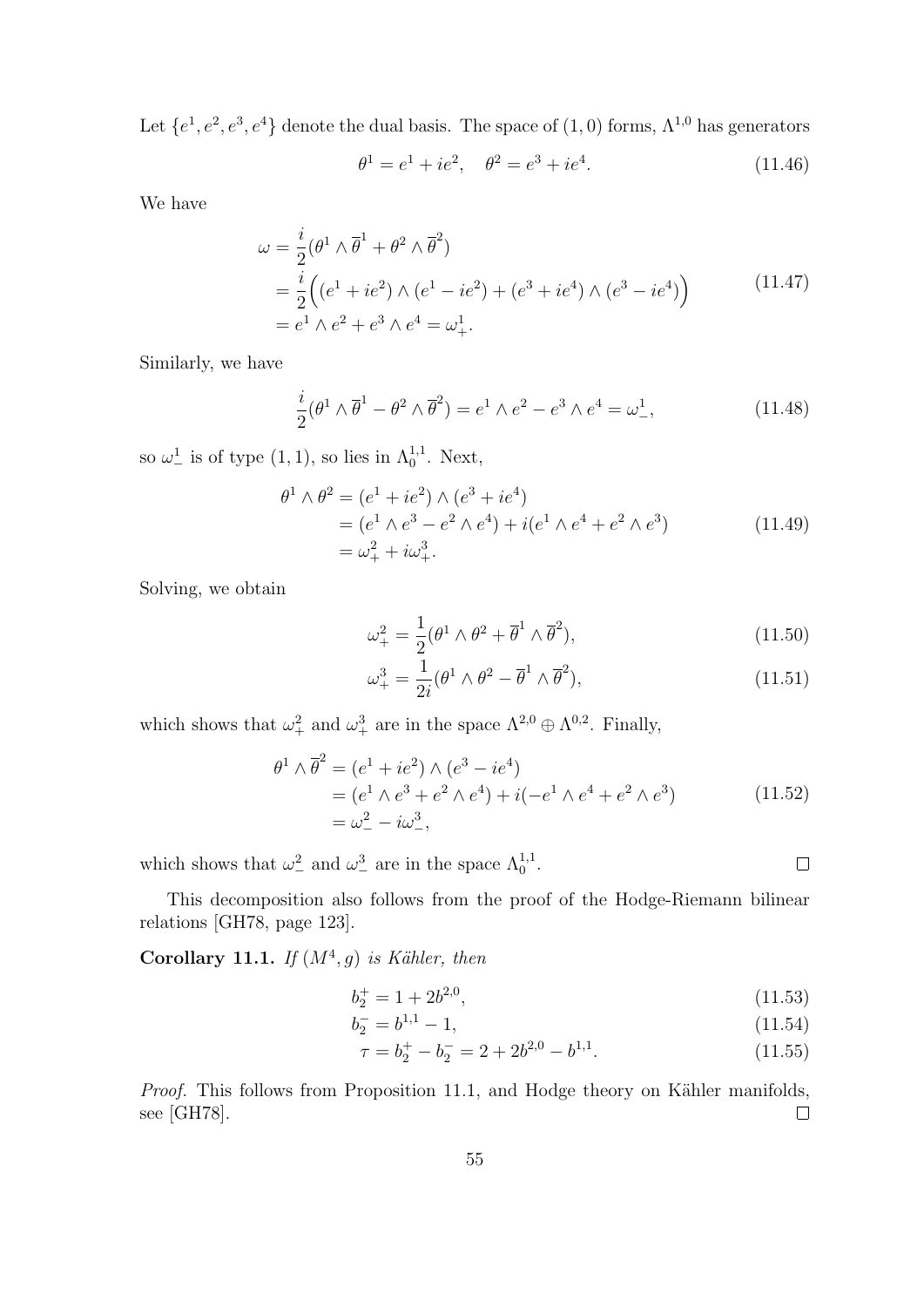Let  $\{e^1, e^2, e^3, e^4\}$  denote the dual basis. The space of  $(1,0)$  forms,  $\Lambda^{1,0}$  has generators

$$
\theta^1 = e^1 + ie^2, \quad \theta^2 = e^3 + ie^4. \tag{11.46}
$$

We have

$$
\omega = \frac{i}{2} (\theta^1 \wedge \overline{\theta}^1 + \theta^2 \wedge \overline{\theta}^2)
$$
  
=  $\frac{i}{2} ((e^1 + ie^2) \wedge (e^1 - ie^2) + (e^3 + ie^4) \wedge (e^3 - ie^4))$   
=  $e^1 \wedge e^2 + e^3 \wedge e^4 = \omega_+^1$ . (11.47)

Similarly, we have

$$
\frac{i}{2}(\theta^1 \wedge \overline{\theta}^1 - \theta^2 \wedge \overline{\theta}^2) = e^1 \wedge e^2 - e^3 \wedge e^4 = \omega^1_-,
$$
\n(11.48)

so  $\omega^1$  is of type  $(1,1)$ , so lies in  $\Lambda_0^{1,1}$ . Next,

$$
\theta^{1} \wedge \theta^{2} = (e^{1} + ie^{2}) \wedge (e^{3} + ie^{4})
$$
  
=  $(e^{1} \wedge e^{3} - e^{2} \wedge e^{4}) + i(e^{1} \wedge e^{4} + e^{2} \wedge e^{3})$   
=  $\omega_{+}^{2} + i\omega_{+}^{3}$ . (11.49)

Solving, we obtain

$$
\omega_+^2 = \frac{1}{2} (\theta^1 \wedge \theta^2 + \overline{\theta}^1 \wedge \overline{\theta}^2), \qquad (11.50)
$$

$$
\omega_+^3 = \frac{1}{2i} (\theta^1 \wedge \theta^2 - \overline{\theta}^1 \wedge \overline{\theta}^2), \qquad (11.51)
$$

which shows that  $\omega_+^2$  and  $\omega_+^3$  are in the space  $\Lambda^{2,0} \oplus \Lambda^{0,2}$ . Finally,

$$
\theta^{1} \wedge \overline{\theta}^{2} = (e^{1} + ie^{2}) \wedge (e^{3} - ie^{4})
$$
  
=  $(e^{1} \wedge e^{3} + e^{2} \wedge e^{4}) + i(-e^{1} \wedge e^{4} + e^{2} \wedge e^{3})$   
=  $\omega_{-}^{2} - i\omega_{-}^{3}$ , (11.52)

which shows that  $\omega_-^2$  and  $\omega_-^3$  are in the space  $\Lambda_0^{1,1}$ .

This decomposition also follows from the proof of the Hodge-Riemann bilinear relations [GH78, page 123].

Corollary 11.1. If  $(M^4, g)$  is Kähler, then

$$
b_2^+ = 1 + 2b^{2,0},\tag{11.53}
$$

$$
b_2^- = b^{1,1} - 1,\tag{11.54}
$$

$$
\tau = b_2^+ - b_2^- = 2 + 2b^{2,0} - b^{1,1}.\tag{11.55}
$$

Proof. This follows from Proposition 11.1, and Hodge theory on Kähler manifolds, see [GH78].  $\Box$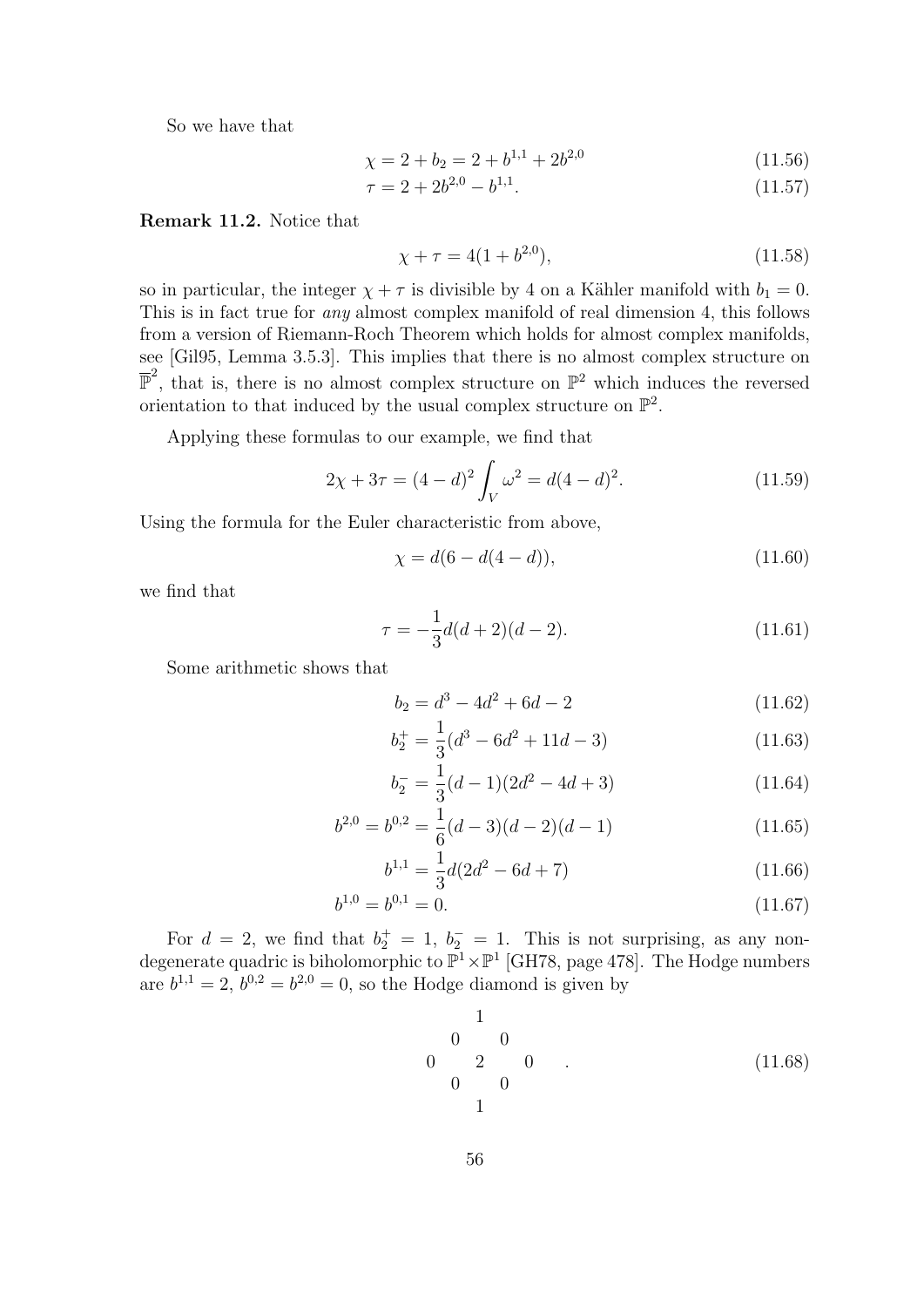So we have that

$$
\chi = 2 + b_2 = 2 + b^{1,1} + 2b^{2,0} \tag{11.56}
$$

$$
\tau = 2 + 2b^{2,0} - b^{1,1}.\tag{11.57}
$$

Remark 11.2. Notice that

$$
\chi + \tau = 4(1 + b^{2,0}),\tag{11.58}
$$

so in particular, the integer  $\chi + \tau$  is divisible by 4 on a Kähler manifold with  $b_1 = 0$ . This is in fact true for any almost complex manifold of real dimension 4, this follows from a version of Riemann-Roch Theorem which holds for almost complex manifolds, see [Gil95, Lemma 3.5.3]. This implies that there is no almost complex structure on  $\overline{\mathbb{P}}^2$ , that is, there is no almost complex structure on  $\mathbb{P}^2$  which induces the reversed orientation to that induced by the usual complex structure on  $\mathbb{P}^2$ .

Applying these formulas to our example, we find that

$$
2\chi + 3\tau = (4 - d)^2 \int_V \omega^2 = d(4 - d)^2.
$$
 (11.59)

Using the formula for the Euler characteristic from above,

$$
\chi = d(6 - d(4 - d)),\tag{11.60}
$$

we find that

$$
\tau = -\frac{1}{3}d(d+2)(d-2). \tag{11.61}
$$

Some arithmetic shows that

$$
b_2 = d^3 - 4d^2 + 6d - 2\tag{11.62}
$$

$$
b_2^+ = \frac{1}{3}(d^3 - 6d^2 + 11d - 3)
$$
 (11.63)

$$
b_2^- = \frac{1}{3}(d-1)(2d^2 - 4d + 3)
$$
 (11.64)

$$
b^{2,0} = b^{0,2} = \frac{1}{6}(d-3)(d-2)(d-1)
$$
 (11.65)

$$
b^{1,1} = \frac{1}{3}d(2d^2 - 6d + 7)
$$
\n(11.66)

$$
b^{1,0} = b^{0,1} = 0.\tag{11.67}
$$

For  $d = 2$ , we find that  $b_2^+ = 1$ ,  $b_2^- = 1$ . This is not surprising, as any nondegenerate quadric is biholomorphic to  $\mathbb{P}^1 \times \mathbb{P}^1$  [GH78, page 478]. The Hodge numbers are  $b^{1,1} = 2$ ,  $b^{0,2} = b^{2,0} = 0$ , so the Hodge diamond is given by

1 0 0 0 2 0 0 0 1 . (11.68)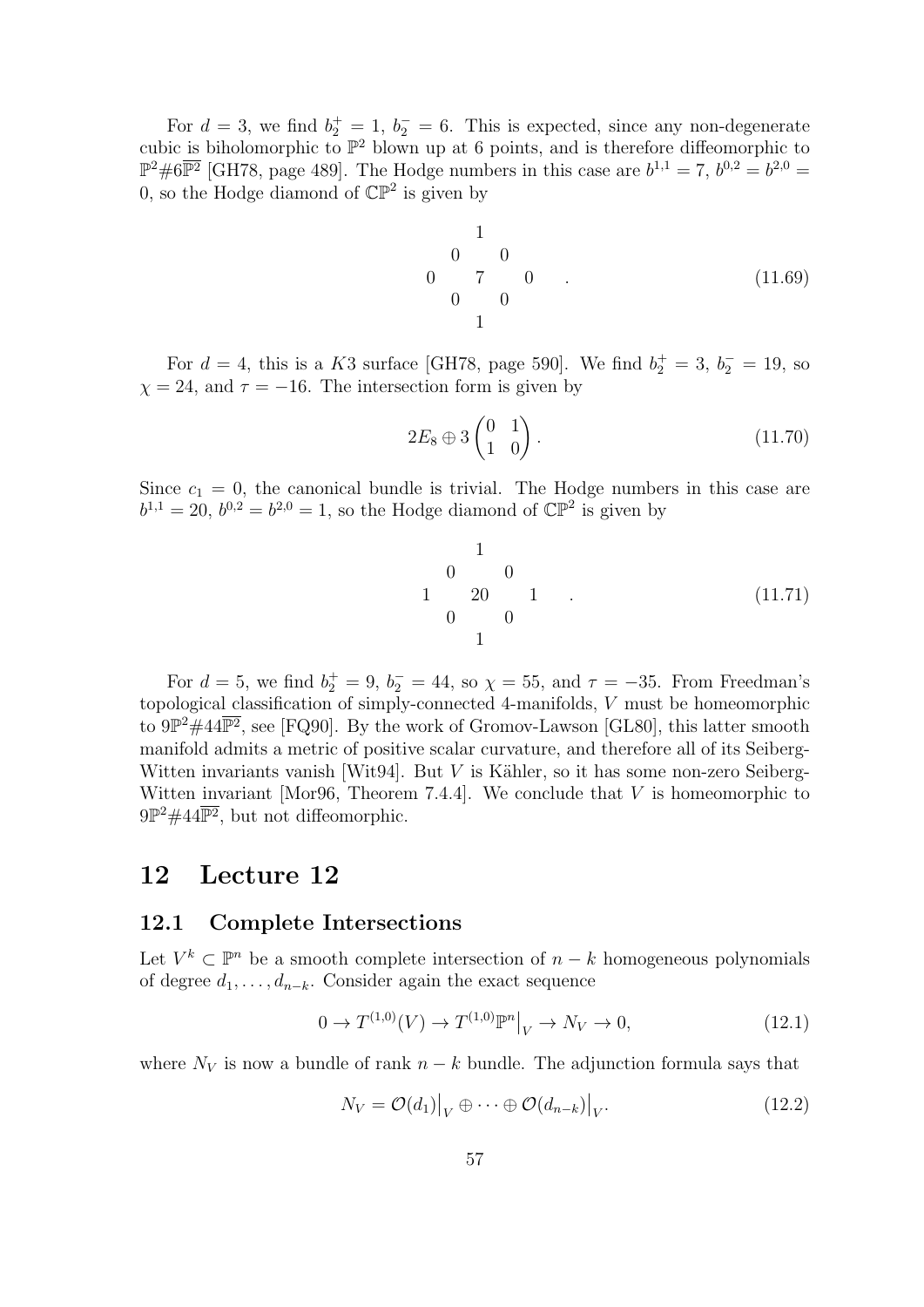For  $d = 3$ , we find  $b_2^+ = 1$ ,  $b_2^- = 6$ . This is expected, since any non-degenerate cubic is biholomorphic to  $\mathbb{P}^2$  blown up at 6 points, and is therefore diffeomorphic to  $\mathbb{P}^2 \# 6\overline{\mathbb{P}^2}$  [GH78, page 489]. The Hodge numbers in this case are  $b^{1,1} = 7$ ,  $b^{0,2} = b^{2,0} =$ 0, so the Hodge diamond of  $\mathbb{CP}^2$  is given by

$$
\begin{array}{cccc}\n & 1 & & & & \\
 & 0 & 0 & & & \\
 & 0 & 7 & 0 & . & \\
 & & 0 & 0 & & \\
 & & 1 & & & \\
\end{array}
$$
\n(11.69)

For  $d = 4$ , this is a K3 surface [GH78, page 590]. We find  $b_2^+ = 3$ ,  $b_2^- = 19$ , so  $\chi = 24$ , and  $\tau = -16$ . The intersection form is given by

$$
2E_8 \oplus 3\begin{pmatrix} 0 & 1 \\ 1 & 0 \end{pmatrix}.
$$
\n
$$
(11.70)
$$

Since  $c_1 = 0$ , the canonical bundle is trivial. The Hodge numbers in this case are  $b^{1,1} = 20, b^{0,2} = b^{2,0} = 1$ , so the Hodge diamond of  $\mathbb{CP}^2$  is given by

$$
\begin{array}{cccc}\n & 1 & & & & \\
 & 0 & 0 & & & \\
 1 & 20 & 1 & . & & \\
 & 0 & 0 & & & \\
 & & 1 & & & & \\
\end{array}
$$
\n(11.71)

For  $d = 5$ , we find  $b_2^+ = 9$ ,  $b_2^- = 44$ , so  $\chi = 55$ , and  $\tau = -35$ . From Freedman's topological classification of simply-connected 4-manifolds, V must be homeomorphic to  $9\mathbb{P}^2 \# 44\overline{\mathbb{P}^2}$ , see [FQ90]. By the work of Gromov-Lawson [GL80], this latter smooth manifold admits a metric of positive scalar curvature, and therefore all of its Seiberg-Witten invariants vanish [Wit94]. But  $V$  is Kähler, so it has some non-zero Seiberg-Witten invariant [Mor96, Theorem 7.4.4]. We conclude that  $V$  is homeomorphic to  $9\mathbb{P}^2 \# 44\overline{\mathbb{P}^2}$ , but not diffeomorphic.

# 12 Lecture 12

#### 12.1 Complete Intersections

Let  $V^k \subset \mathbb{P}^n$  be a smooth complete intersection of  $n - k$  homogeneous polynomials of degree  $d_1, \ldots, d_{n-k}$ . Consider again the exact sequence

$$
0 \to T^{(1,0)}(V) \to T^{(1,0)} \mathbb{P}^n \big|_{V} \to N_V \to 0,
$$
\n(12.1)

where  $N_V$  is now a bundle of rank  $n - k$  bundle. The adjunction formula says that

$$
N_V = \mathcal{O}(d_1)|_V \oplus \cdots \oplus \mathcal{O}(d_{n-k})|_V.
$$
 (12.2)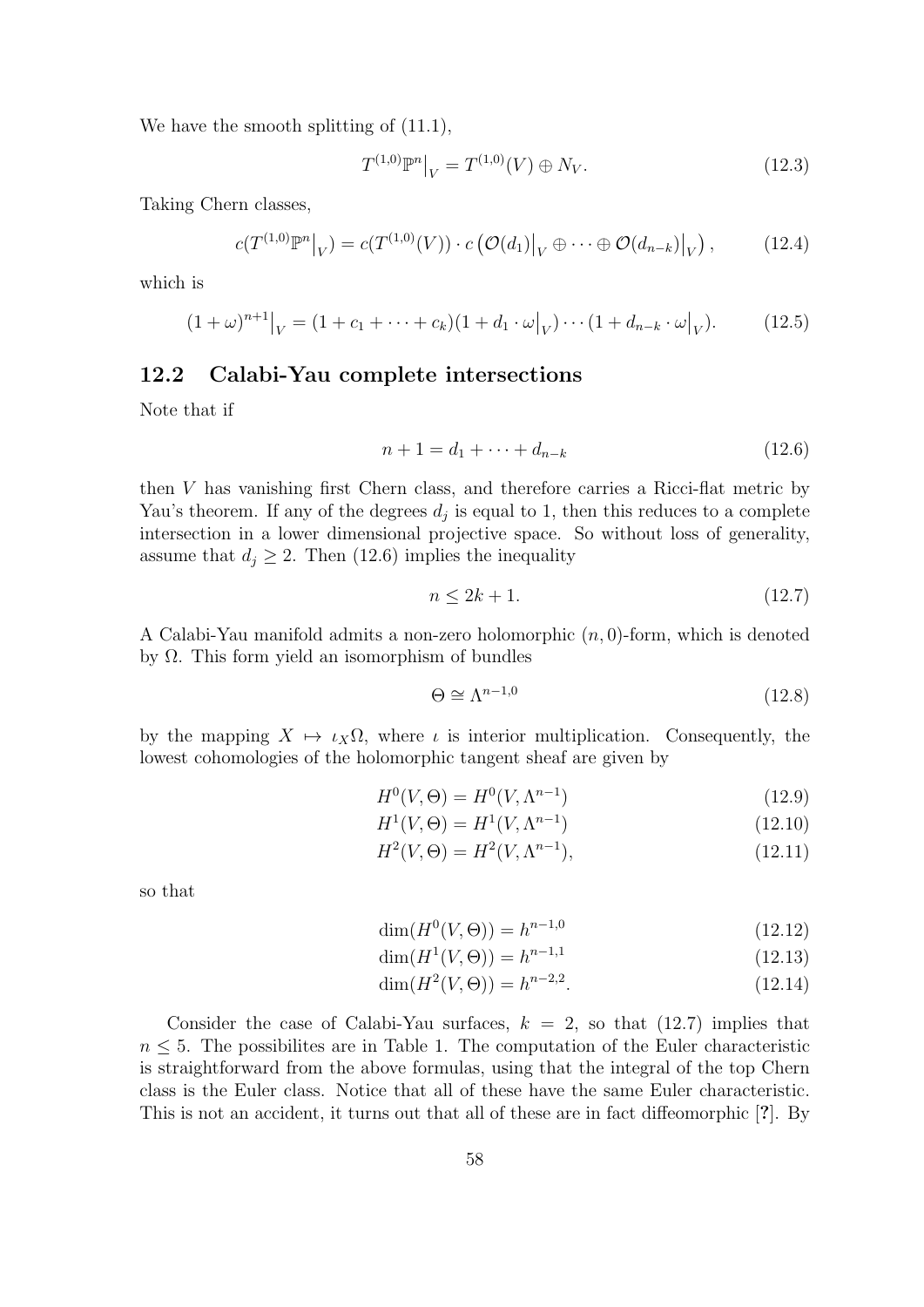We have the smooth splitting of  $(11.1)$ ,

$$
T^{(1,0)}\mathbb{P}^n\big|_V = T^{(1,0)}(V) \oplus N_V.
$$
\n(12.3)

Taking Chern classes,

$$
c(T^{(1,0)}\mathbb{P}^n|_V) = c(T^{(1,0)}(V)) \cdot c\left(\mathcal{O}(d_1)|_V \oplus \cdots \oplus \mathcal{O}(d_{n-k})|_V\right),\tag{12.4}
$$

which is

$$
(1+\omega)^{n+1}|_V = (1+c_1+\cdots+c_k)(1+d_1\cdot\omega|_V)\cdots(1+d_{n-k}\cdot\omega|_V).
$$
 (12.5)

#### 12.2 Calabi-Yau complete intersections

Note that if

$$
n + 1 = d_1 + \dots + d_{n-k} \tag{12.6}
$$

then V has vanishing first Chern class, and therefore carries a Ricci-flat metric by Yau's theorem. If any of the degrees  $d_j$  is equal to 1, then this reduces to a complete intersection in a lower dimensional projective space. So without loss of generality, assume that  $d_j \geq 2$ . Then (12.6) implies the inequality

$$
n \le 2k + 1. \tag{12.7}
$$

A Calabi-Yau manifold admits a non-zero holomorphic  $(n, 0)$ -form, which is denoted by Ω. This form yield an isomorphism of bundles

$$
\Theta \cong \Lambda^{n-1,0} \tag{12.8}
$$

by the mapping  $X \mapsto \iota_X \Omega$ , where  $\iota$  is interior multiplication. Consequently, the lowest cohomologies of the holomorphic tangent sheaf are given by

$$
H^{0}(V,\Theta) = H^{0}(V,\Lambda^{n-1})
$$
\n(12.9)

$$
H^{1}(V,\Theta) = H^{1}(V,\Lambda^{n-1})
$$
\n(12.10)

$$
H^2(V, \Theta) = H^2(V, \Lambda^{n-1}),\tag{12.11}
$$

so that

$$
\dim(H^0(V, \Theta)) = h^{n-1,0} \tag{12.12}
$$

$$
\dim(H^1(V,\Theta)) = h^{n-1,1} \tag{12.13}
$$

$$
\dim(H^2(V,\Theta)) = h^{n-2,2}.\tag{12.14}
$$

Consider the case of Calabi-Yau surfaces,  $k = 2$ , so that  $(12.7)$  implies that  $n \leq 5$ . The possibilites are in Table 1. The computation of the Euler characteristic is straightforward from the above formulas, using that the integral of the top Chern class is the Euler class. Notice that all of these have the same Euler characteristic. This is not an accident, it turns out that all of these are in fact diffeomorphic [?]. By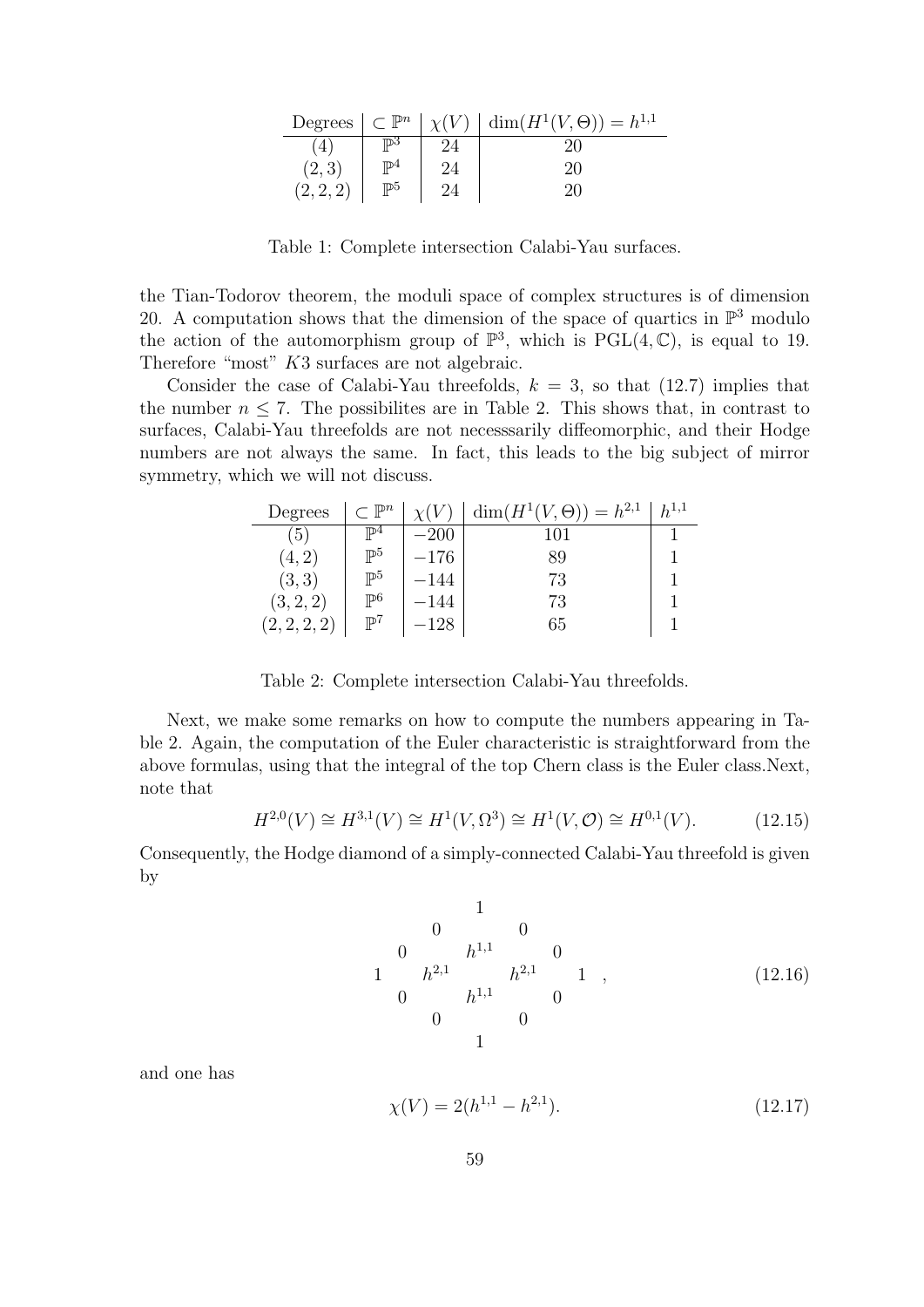| Degrees        | $\subset \mathbb{P}^n$ | $\chi(V)$ | $\dim(H^1(V,\Theta)) = h^{1,1}$ |
|----------------|------------------------|-----------|---------------------------------|
| $\overline{4}$ | ம3                     |           |                                 |
| (2,3)          | TD4                    |           | $20^{\circ}$                    |
| (2, 2, 2)      | $\mathbb{P}^5$         |           |                                 |

Table 1: Complete intersection Calabi-Yau surfaces.

the Tian-Todorov theorem, the moduli space of complex structures is of dimension 20. A computation shows that the dimension of the space of quartics in  $\mathbb{P}^3$  modulo the action of the automorphism group of  $\mathbb{P}^3$ , which is PGL(4, C), is equal to 19. Therefore "most" K3 surfaces are not algebraic.

Consider the case of Calabi-Yau threefolds,  $k = 3$ , so that (12.7) implies that the number  $n \leq 7$ . The possibilites are in Table 2. This shows that, in contrast to surfaces, Calabi-Yau threefolds are not necesssarily diffeomorphic, and their Hodge numbers are not always the same. In fact, this leads to the big subject of mirror symmetry, which we will not discuss.

| Degrees      | $\mathbb{P}^n$ |          | $\dim(H^1(V,\Theta)) = h^{2,1}$ | $h^{1,1}$ |
|--------------|----------------|----------|---------------------------------|-----------|
| (5)          | TD4            | $-200$   | 101                             |           |
| (4, 2)       | $\mathbb{P}^5$ | $-176\,$ | 89                              |           |
| (3,3)        | $\mathbb{P}^5$ | –144     | 73                              |           |
| (3, 2, 2)    | $\mathbb{P}^6$ | –144     | 73                              |           |
| (2, 2, 2, 2) | $\mathbb{P}^7$ | 128      | 65                              |           |

Table 2: Complete intersection Calabi-Yau threefolds.

Next, we make some remarks on how to compute the numbers appearing in Table 2. Again, the computation of the Euler characteristic is straightforward from the above formulas, using that the integral of the top Chern class is the Euler class.Next, note that

$$
H^{2,0}(V) \cong H^{3,1}(V) \cong H^1(V, \Omega^3) \cong H^1(V, \mathcal{O}) \cong H^{0,1}(V). \tag{12.15}
$$

Consequently, the Hodge diamond of a simply-connected Calabi-Yau threefold is given by

1 0 0 0 h <sup>1</sup>,<sup>1</sup> 0 1 h <sup>2</sup>,<sup>1</sup> h <sup>2</sup>,<sup>1</sup> 1 0 h <sup>1</sup>,<sup>1</sup> 0 0 0 1 , (12.16)

and one has

$$
\chi(V) = 2(h^{1,1} - h^{2,1}).\tag{12.17}
$$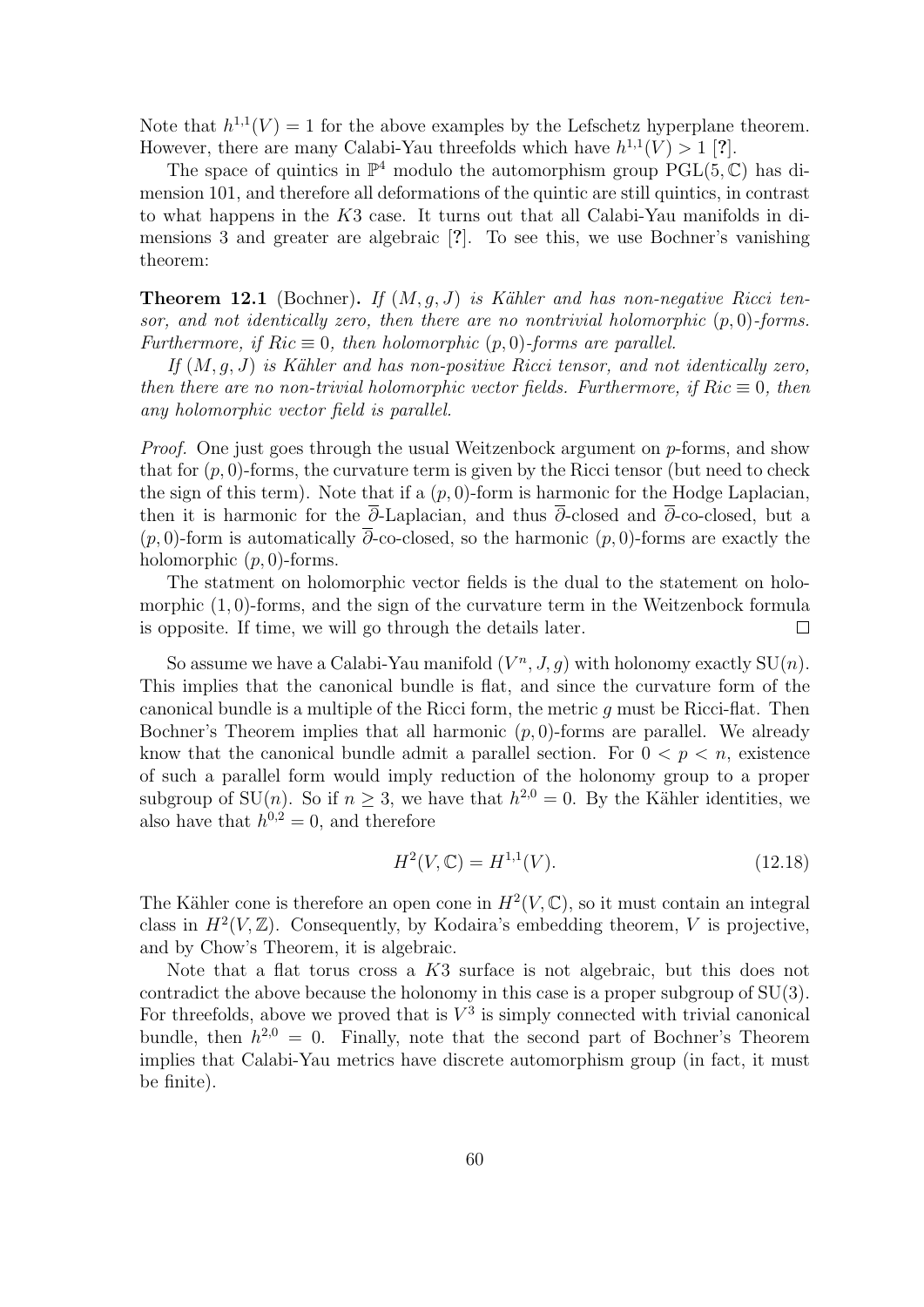Note that  $h^{1,1}(V) = 1$  for the above examples by the Lefschetz hyperplane theorem. However, there are many Calabi-Yau threefolds which have  $h^{1,1}(V) > 1$  [?].

The space of quintics in  $\mathbb{P}^4$  modulo the automorphism group  $PGL(5,\mathbb{C})$  has dimension 101, and therefore all deformations of the quintic are still quintics, in contrast to what happens in the K3 case. It turns out that all Calabi-Yau manifolds in dimensions 3 and greater are algebraic [?]. To see this, we use Bochner's vanishing theorem:

**Theorem 12.1** (Bochner). If  $(M, q, J)$  is Kähler and has non-negative Ricci tensor, and not identically zero, then there are no nontrivial holomorphic  $(p, 0)$ -forms. Furthermore, if  $Ric \equiv 0$ , then holomorphic  $(p, 0)$ -forms are parallel.

If  $(M, g, J)$  is Kähler and has non-positive Ricci tensor, and not identically zero, then there are no non-trivial holomorphic vector fields. Furthermore, if  $Ric \equiv 0$ , then any holomorphic vector field is parallel.

Proof. One just goes through the usual Weitzenbock argument on p-forms, and show that for  $(p, 0)$ -forms, the curvature term is given by the Ricci tensor (but need to check the sign of this term). Note that if a  $(p, 0)$ -form is harmonic for the Hodge Laplacian, then it is harmonic for the  $\overline{\partial}$ -Laplacian, and thus  $\overline{\partial}$ -closed and  $\overline{\partial}$ -co-closed, but a  $(p, 0)$ -form is automatically  $\overline{\partial}$ -co-closed, so the harmonic  $(p, 0)$ -forms are exactly the holomorphic  $(p, 0)$ -forms.

The statment on holomorphic vector fields is the dual to the statement on holomorphic  $(1, 0)$ -forms, and the sign of the curvature term in the Weitzenbock formula is opposite. If time, we will go through the details later.  $\Box$ 

So assume we have a Calabi-Yau manifold  $(V^n, J, g)$  with holonomy exactly  $SU(n)$ . This implies that the canonical bundle is flat, and since the curvature form of the canonical bundle is a multiple of the Ricci form, the metric  $q$  must be Ricci-flat. Then Bochner's Theorem implies that all harmonic  $(p, 0)$ -forms are parallel. We already know that the canonical bundle admit a parallel section. For  $0 < p < n$ , existence of such a parallel form would imply reduction of the holonomy group to a proper subgroup of SU(*n*). So if  $n \geq 3$ , we have that  $h^{2,0} = 0$ . By the Kähler identities, we also have that  $h^{0,2} = 0$ , and therefore

$$
H^2(V, \mathbb{C}) = H^{1,1}(V). \tag{12.18}
$$

The Kähler cone is therefore an open cone in  $H^2(V, \mathbb{C})$ , so it must contain an integral class in  $H^2(V,\mathbb{Z})$ . Consequently, by Kodaira's embedding theorem, V is projective, and by Chow's Theorem, it is algebraic.

Note that a flat torus cross a K3 surface is not algebraic, but this does not contradict the above because the holonomy in this case is a proper subgroup of SU(3). For threefolds, above we proved that is  $V^3$  is simply connected with trivial canonical bundle, then  $h^{2,0} = 0$ . Finally, note that the second part of Bochner's Theorem implies that Calabi-Yau metrics have discrete automorphism group (in fact, it must be finite).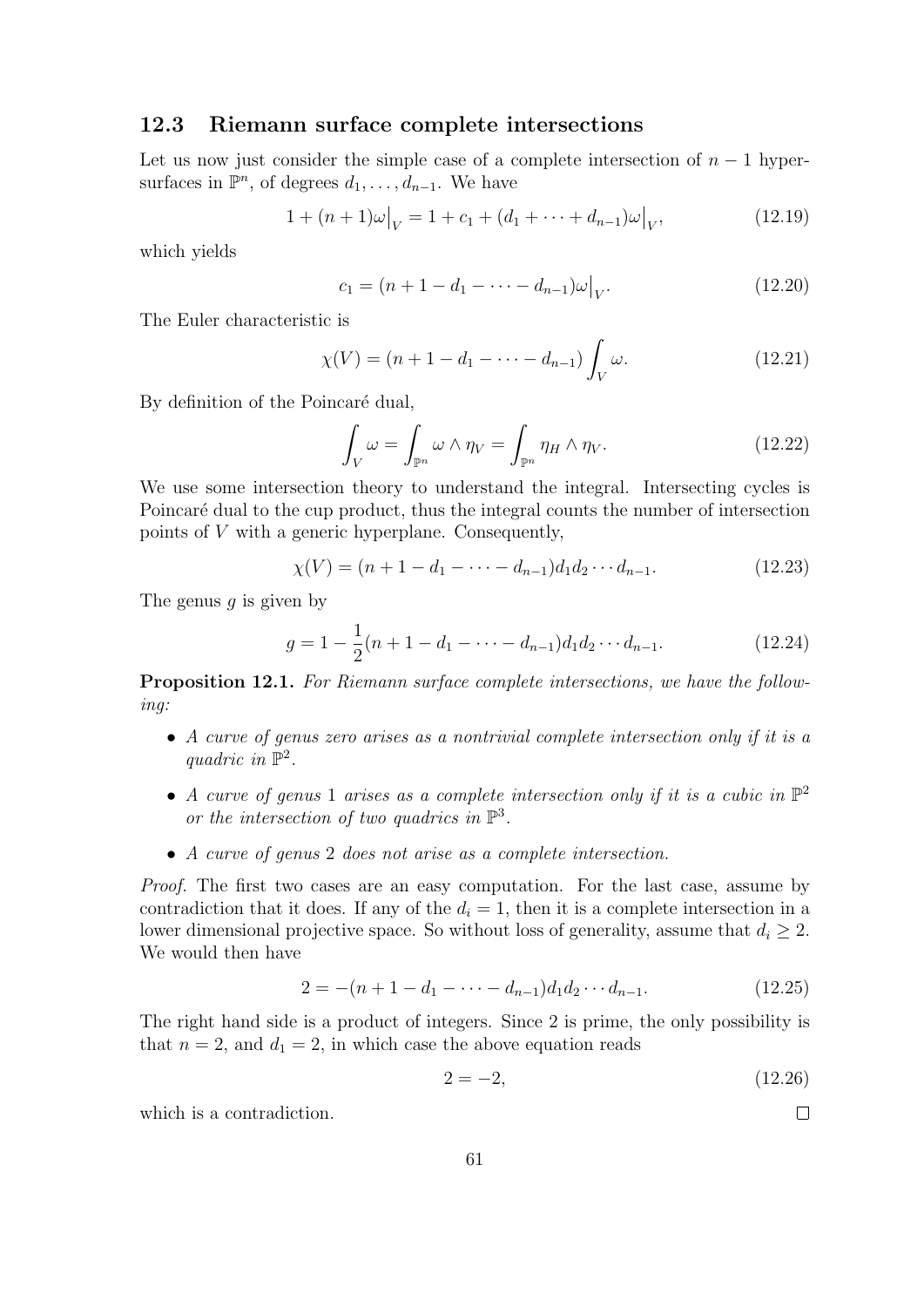#### 12.3 Riemann surface complete intersections

Let us now just consider the simple case of a complete intersection of  $n-1$  hypersurfaces in  $\mathbb{P}^n$ , of degrees  $d_1, \ldots, d_{n-1}$ . We have

$$
1 + (n+1)\omega\big|_V = 1 + c_1 + (d_1 + \dots + d_{n-1})\omega\big|_V, \tag{12.19}
$$

which yields

$$
c_1 = (n+1-d_1 - \dots - d_{n-1})\omega|_V.
$$
 (12.20)

The Euler characteristic is

$$
\chi(V) = (n+1-d_1-\dots-d_{n-1}) \int_V \omega.
$$
 (12.21)

By definition of the Poincaré dual,

$$
\int_{V} \omega = \int_{\mathbb{P}^n} \omega \wedge \eta_V = \int_{\mathbb{P}^n} \eta_H \wedge \eta_V. \tag{12.22}
$$

We use some intersection theory to understand the integral. Intersecting cycles is Poincaré dual to the cup product, thus the integral counts the number of intersection points of V with a generic hyperplane. Consequently,

$$
\chi(V) = (n+1-d_1-\dots-d_{n-1})d_1d_2\cdots d_{n-1}.
$$
\n(12.23)

The genus  $q$  is given by

$$
g = 1 - \frac{1}{2}(n + 1 - d_1 - \dots - d_{n-1})d_1d_2\cdots d_{n-1}.
$$
 (12.24)

Proposition 12.1. For Riemann surface complete intersections, we have the following:

- A curve of genus zero arises as a nontrivial complete intersection only if it is a quadric in  $\mathbb{P}^2$ .
- A curve of genus 1 arises as a complete intersection only if it is a cubic in  $\mathbb{P}^2$ or the intersection of two quadrics in  $\mathbb{P}^3$ .
- A curve of genus 2 does not arise as a complete intersection.

Proof. The first two cases are an easy computation. For the last case, assume by contradiction that it does. If any of the  $d_i = 1$ , then it is a complete intersection in a lower dimensional projective space. So without loss of generality, assume that  $d_i \geq 2$ . We would then have

$$
2 = -(n+1-d_1-\cdots-d_{n-1})d_1d_2\cdots d_{n-1}.
$$
\n(12.25)

The right hand side is a product of integers. Since 2 is prime, the only possibility is that  $n = 2$ , and  $d_1 = 2$ , in which case the above equation reads

$$
2 = -2, \t(12.26)
$$

 $\Box$ 

which is a contradiction.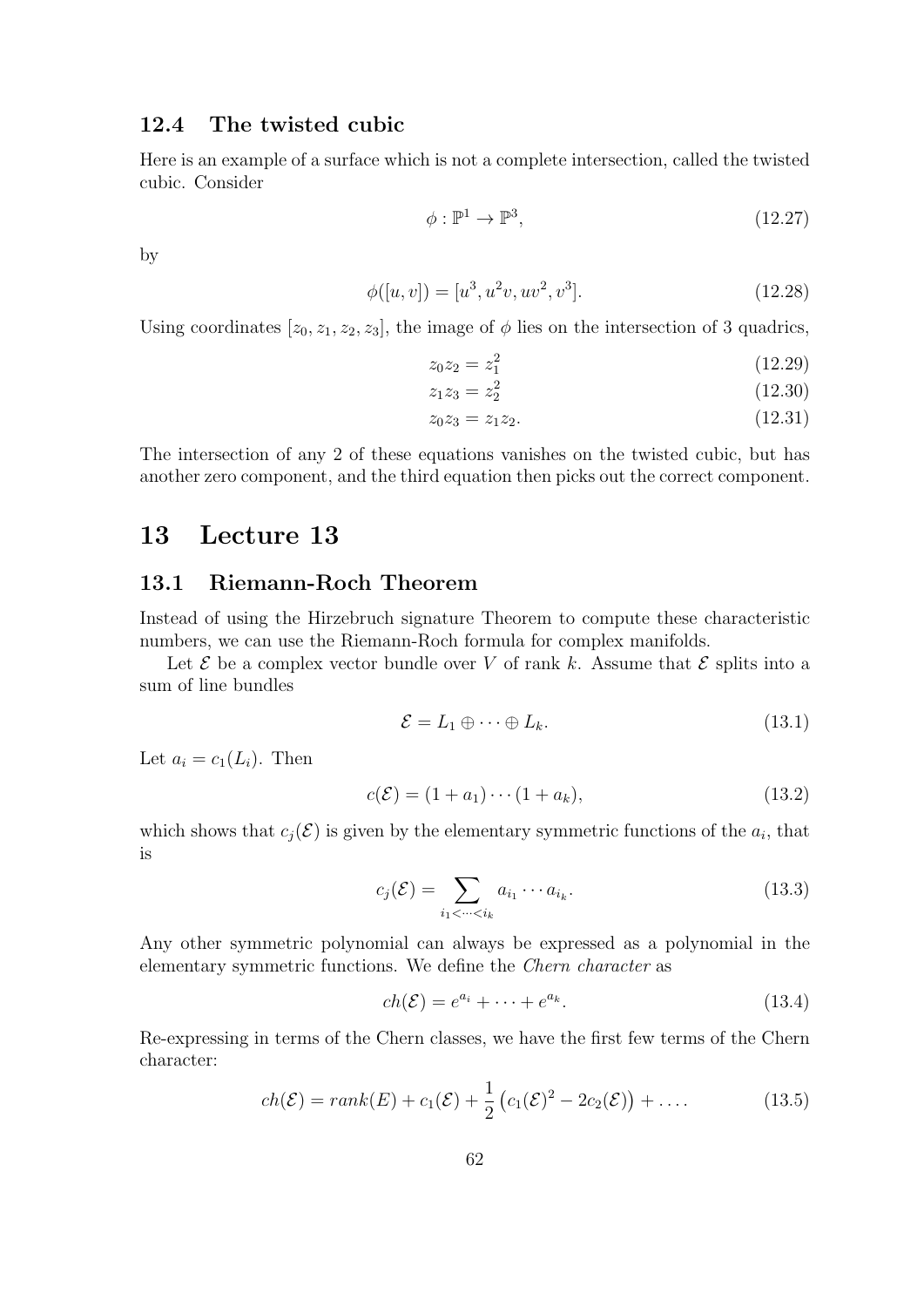#### 12.4 The twisted cubic

Here is an example of a surface which is not a complete intersection, called the twisted cubic. Consider

$$
\phi: \mathbb{P}^1 \to \mathbb{P}^3,\tag{12.27}
$$

by

$$
\phi([u, v]) = [u^3, u^2v, uv^2, v^3].
$$
\n(12.28)

Using coordinates  $[z_0, z_1, z_2, z_3]$ , the image of  $\phi$  lies on the intersection of 3 quadrics,

$$
z_0 z_2 = z_1^2 \tag{12.29}
$$

$$
z_1 z_3 = z_2^2 \tag{12.30}
$$

$$
z_0 z_3 = z_1 z_2. \tag{12.31}
$$

The intersection of any 2 of these equations vanishes on the twisted cubic, but has another zero component, and the third equation then picks out the correct component.

# 13 Lecture 13

### 13.1 Riemann-Roch Theorem

Instead of using the Hirzebruch signature Theorem to compute these characteristic numbers, we can use the Riemann-Roch formula for complex manifolds.

Let  $\mathcal E$  be a complex vector bundle over V of rank k. Assume that  $\mathcal E$  splits into a sum of line bundles

$$
\mathcal{E} = L_1 \oplus \cdots \oplus L_k. \tag{13.1}
$$

Let  $a_i = c_1(L_i)$ . Then

$$
c(\mathcal{E}) = (1 + a_1) \cdots (1 + a_k), \tag{13.2}
$$

which shows that  $c_j(\mathcal{E})$  is given by the elementary symmetric functions of the  $a_i$ , that is

$$
c_j(\mathcal{E}) = \sum_{i_1 < \dots < i_k} a_{i_1} \cdots a_{i_k}.\tag{13.3}
$$

Any other symmetric polynomial can always be expressed as a polynomial in the elementary symmetric functions. We define the Chern character as

$$
ch(\mathcal{E}) = e^{a_i} + \dots + e^{a_k}.
$$
\n(13.4)

Re-expressing in terms of the Chern classes, we have the first few terms of the Chern character:

$$
ch(\mathcal{E}) = rank(E) + c_1(\mathcal{E}) + \frac{1}{2} (c_1(\mathcal{E})^2 - 2c_2(\mathcal{E})) + \dots
$$
 (13.5)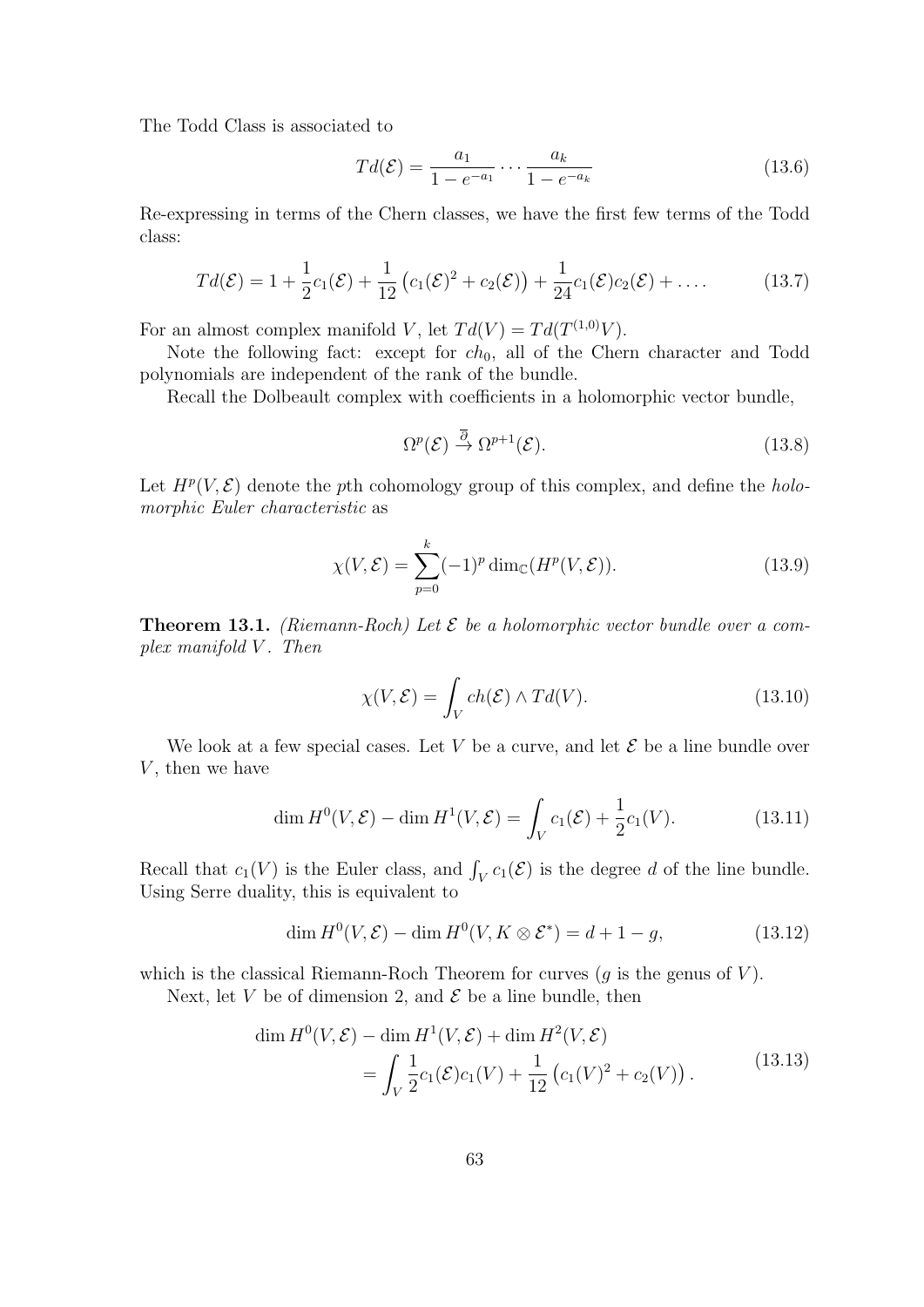The Todd Class is associated to

$$
Td(\mathcal{E}) = \frac{a_1}{1 - e^{-a_1}} \cdots \frac{a_k}{1 - e^{-a_k}}
$$
\n(13.6)

Re-expressing in terms of the Chern classes, we have the first few terms of the Todd class:

$$
Td(\mathcal{E}) = 1 + \frac{1}{2}c_1(\mathcal{E}) + \frac{1}{12}\left(c_1(\mathcal{E})^2 + c_2(\mathcal{E})\right) + \frac{1}{24}c_1(\mathcal{E})c_2(\mathcal{E}) + \dots
$$
 (13.7)

For an almost complex manifold V, let  $Td(V) = Td(T^{(1,0)}V)$ .

Note the following fact: except for  $ch_0$ , all of the Chern character and Todd polynomials are independent of the rank of the bundle.

Recall the Dolbeault complex with coefficients in a holomorphic vector bundle,

$$
\Omega^p(\mathcal{E}) \stackrel{\overline{\partial}}{\to} \Omega^{p+1}(\mathcal{E}).\tag{13.8}
$$

Let  $H^p(V,\mathcal{E})$  denote the pth cohomology group of this complex, and define the holomorphic Euler characteristic as

$$
\chi(V,\mathcal{E}) = \sum_{p=0}^{k} (-1)^p \dim_{\mathbb{C}}(H^p(V,\mathcal{E})).
$$
\n(13.9)

**Theorem 13.1.** (Riemann-Roch) Let  $\mathcal{E}$  be a holomorphic vector bundle over a com $plex \ manifold \ V. \ Then$ 

$$
\chi(V,\mathcal{E}) = \int_{V} ch(\mathcal{E}) \wedge Td(V). \tag{13.10}
$$

We look at a few special cases. Let V be a curve, and let  $\mathcal E$  be a line bundle over  $V$ , then we have

$$
\dim H^0(V,\mathcal{E}) - \dim H^1(V,\mathcal{E}) = \int_V c_1(\mathcal{E}) + \frac{1}{2}c_1(V). \tag{13.11}
$$

Recall that  $c_1(V)$  is the Euler class, and  $\int_V c_1(\mathcal{E})$  is the degree d of the line bundle. Using Serre duality, this is equivalent to

$$
\dim H^0(V, \mathcal{E}) - \dim H^0(V, K \otimes \mathcal{E}^*) = d + 1 - g,\tag{13.12}
$$

which is the classical Riemann-Roch Theorem for curves  $(g$  is the genus of  $V$ ).

Next, let V be of dimension 2, and  $\mathcal E$  be a line bundle, then

$$
\dim H^0(V, \mathcal{E}) - \dim H^1(V, \mathcal{E}) + \dim H^2(V, \mathcal{E})
$$
  
= 
$$
\int_V \frac{1}{2} c_1(\mathcal{E}) c_1(V) + \frac{1}{12} (c_1(V)^2 + c_2(V)).
$$
 (13.13)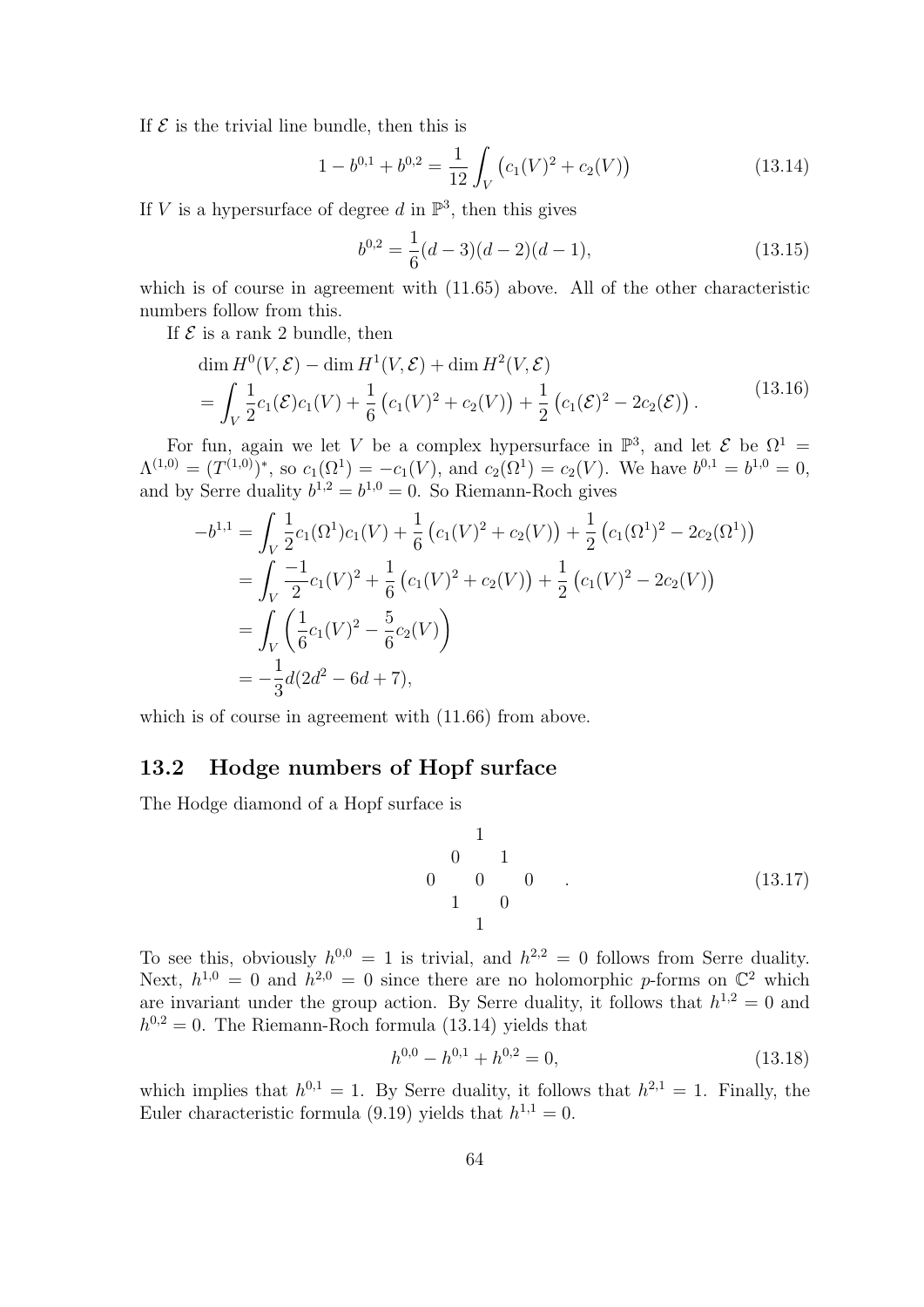If  $\mathcal E$  is the trivial line bundle, then this is

$$
1 - b^{0,1} + b^{0,2} = \frac{1}{12} \int_{V} \left( c_1(V)^2 + c_2(V) \right) \tag{13.14}
$$

If V is a hypersurface of degree d in  $\mathbb{P}^3$ , then this gives

$$
b^{0,2} = \frac{1}{6}(d-3)(d-2)(d-1),
$$
\n(13.15)

which is of course in agreement with  $(11.65)$  above. All of the other characteristic numbers follow from this.

If  $\mathcal E$  is a rank 2 bundle, then

$$
\dim H^0(V, \mathcal{E}) - \dim H^1(V, \mathcal{E}) + \dim H^2(V, \mathcal{E})
$$
\n
$$
= \int_V \frac{1}{2} c_1(\mathcal{E}) c_1(V) + \frac{1}{6} (c_1(V)^2 + c_2(V)) + \frac{1}{2} (c_1(\mathcal{E})^2 - 2c_2(\mathcal{E})). \tag{13.16}
$$

For fun, again we let V be a complex hypersurface in  $\mathbb{P}^3$ , and let E be  $\Omega^1$  =  $\Lambda^{(1,0)} = (T^{(1,0)})^*$ , so  $c_1(\Omega^1) = -c_1(V)$ , and  $c_2(\Omega^1) = c_2(V)$ . We have  $b^{0,1} = b^{1,0} = 0$ , and by Serre duality  $b^{1,2} = b^{1,0} = 0$ . So Riemann-Roch gives

$$
-b^{1,1} = \int_{V} \frac{1}{2} c_{1}(\Omega^{1}) c_{1}(V) + \frac{1}{6} (c_{1}(V)^{2} + c_{2}(V)) + \frac{1}{2} (c_{1}(\Omega^{1})^{2} - 2c_{2}(\Omega^{1}))
$$
  
= 
$$
\int_{V} \frac{-1}{2} c_{1}(V)^{2} + \frac{1}{6} (c_{1}(V)^{2} + c_{2}(V)) + \frac{1}{2} (c_{1}(V)^{2} - 2c_{2}(V))
$$
  
= 
$$
\int_{V} (\frac{1}{6} c_{1}(V)^{2} - \frac{5}{6} c_{2}(V))
$$
  
= 
$$
-\frac{1}{3} d(2d^{2} - 6d + 7),
$$

which is of course in agreement with  $(11.66)$  from above.

#### 13.2 Hodge numbers of Hopf surface

The Hodge diamond of a Hopf surface is

$$
\begin{array}{cccc}\n & 1 & & & & \\
0 & 1 & & & & \\
 & 0 & 0 & 0 & \\
 & 1 & 0 & & & \\
 & & 1 & & & \\
\end{array}
$$
\n(13.17)

To see this, obviously  $h^{0,0} = 1$  is trivial, and  $h^{2,2} = 0$  follows from Serre duality. Next,  $h^{1,0} = 0$  and  $h^{2,0} = 0$  since there are no holomorphic p-forms on  $\mathbb{C}^2$  which are invariant under the group action. By Serre duality, it follows that  $h^{1,2} = 0$  and  $h^{0,2} = 0$ . The Riemann-Roch formula (13.14) yields that

$$
h^{0,0} - h^{0,1} + h^{0,2} = 0,\t\t(13.18)
$$

which implies that  $h^{0,1} = 1$ . By Serre duality, it follows that  $h^{2,1} = 1$ . Finally, the Euler characteristic formula (9.19) yields that  $h^{1,1} = 0$ .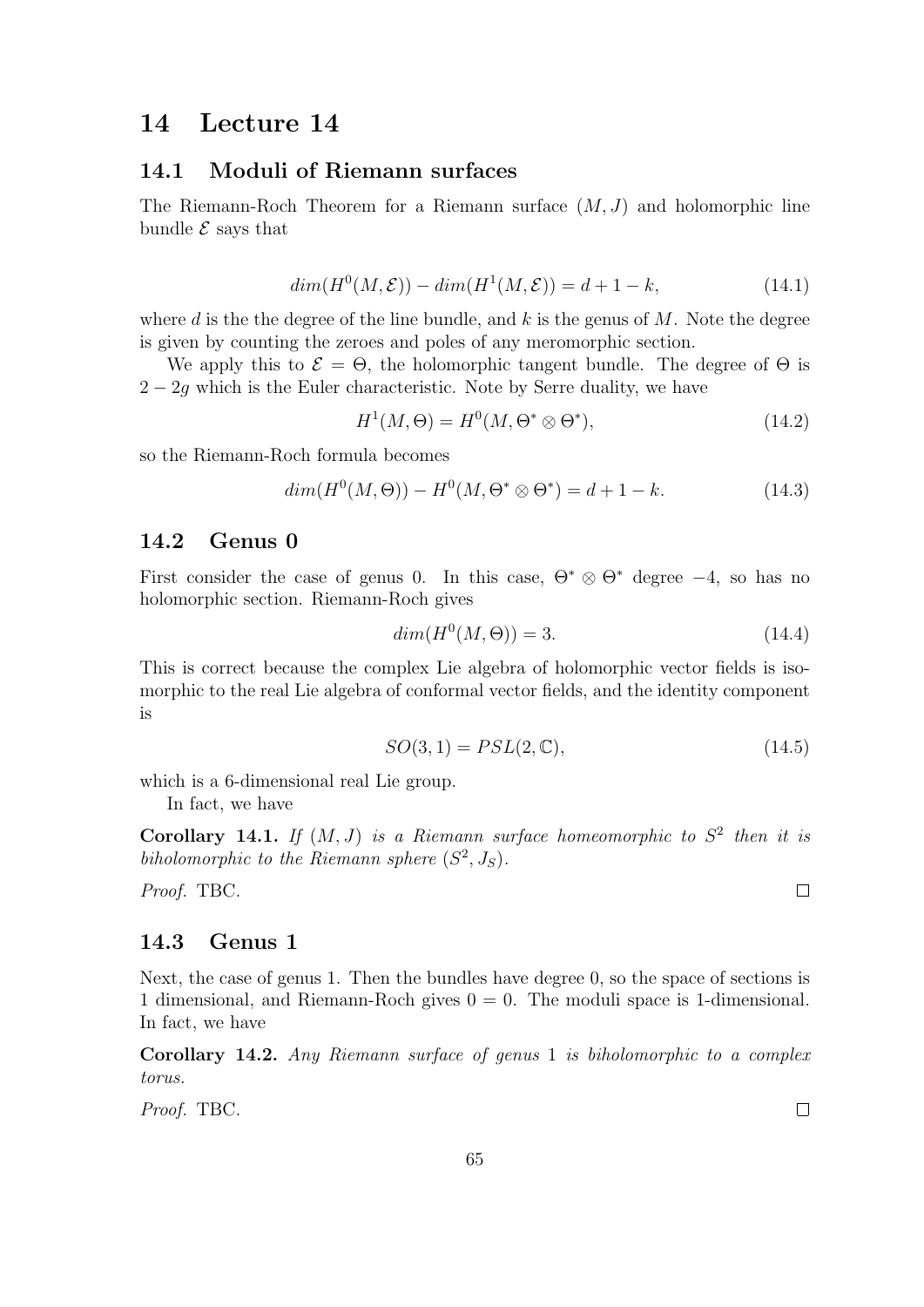# 14 Lecture 14

#### 14.1 Moduli of Riemann surfaces

The Riemann-Roch Theorem for a Riemann surface  $(M, J)$  and holomorphic line bundle  $\mathcal E$  says that

$$
dim(H^{0}(M,\mathcal{E})) - dim(H^{1}(M,\mathcal{E})) = d + 1 - k,
$$
\n(14.1)

where d is the the degree of the line bundle, and k is the genus of  $M$ . Note the degree is given by counting the zeroes and poles of any meromorphic section.

We apply this to  $\mathcal{E} = \Theta$ , the holomorphic tangent bundle. The degree of  $\Theta$  is  $2 - 2g$  which is the Euler characteristic. Note by Serre duality, we have

$$
H^1(M, \Theta) = H^0(M, \Theta^* \otimes \Theta^*),\tag{14.2}
$$

so the Riemann-Roch formula becomes

$$
dim(H^{0}(M,\Theta)) - H^{0}(M,\Theta^{*} \otimes \Theta^{*}) = d + 1 - k.
$$
 (14.3)

### 14.2 Genus 0

First consider the case of genus 0. In this case,  $\Theta^* \otimes \Theta^*$  degree  $-4$ , so has no holomorphic section. Riemann-Roch gives

$$
dim(H^0(M,\Theta)) = 3.
$$
\n
$$
(14.4)
$$

This is correct because the complex Lie algebra of holomorphic vector fields is isomorphic to the real Lie algebra of conformal vector fields, and the identity component is

$$
SO(3,1) = PSL(2,\mathbb{C}),\tag{14.5}
$$

which is a 6-dimensional real Lie group.

In fact, we have

Corollary 14.1. If  $(M, J)$  is a Riemann surface homeomorphic to  $S<sup>2</sup>$  then it is biholomorphic to the Riemann sphere  $(S^2, J_S)$ .

Proof. TBC.

#### 14.3 Genus 1

Next, the case of genus 1. Then the bundles have degree 0, so the space of sections is 1 dimensional, and Riemann-Roch gives 0 = 0. The moduli space is 1-dimensional. In fact, we have

Corollary 14.2. Any Riemann surface of genus 1 is biholomorphic to a complex torus.

Proof. TBC.

 $\Box$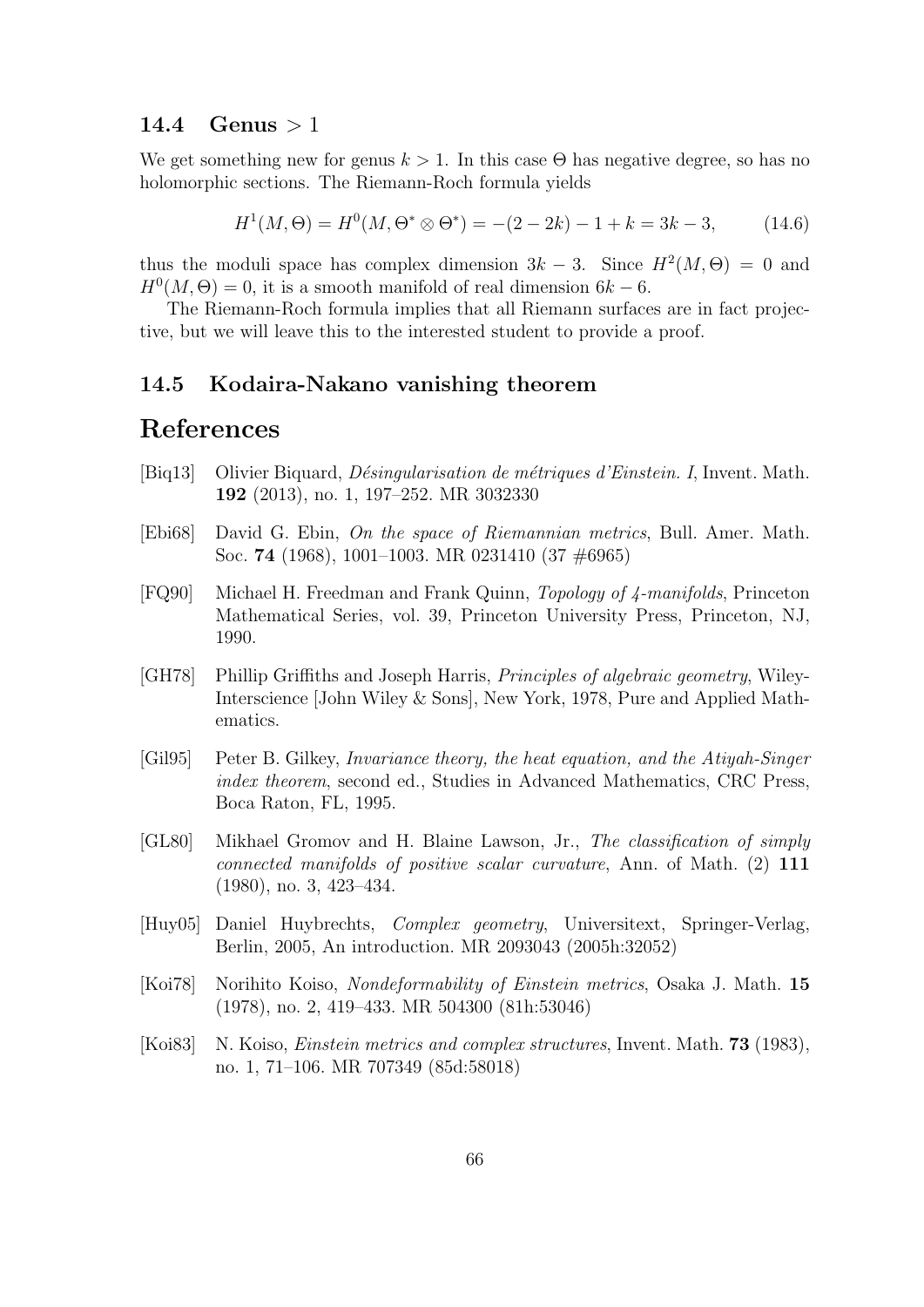#### 14.4 Genus  $>1$

We get something new for genus  $k > 1$ . In this case  $\Theta$  has negative degree, so has no holomorphic sections. The Riemann-Roch formula yields

$$
H1(M, \Theta) = H0(M, \Theta^* \otimes \Theta^*) = -(2 - 2k) - 1 + k = 3k - 3,
$$
 (14.6)

thus the moduli space has complex dimension  $3k-3$ . Since  $H^2(M, \Theta) = 0$  and  $H^0(M, \Theta) = 0$ , it is a smooth manifold of real dimension  $6k - 6$ .

The Riemann-Roch formula implies that all Riemann surfaces are in fact projective, but we will leave this to the interested student to provide a proof.

#### 14.5 Kodaira-Nakano vanishing theorem

# References

- [Biq13] Olivier Biquard, *Désingularisation de métriques d'Einstein. I*, Invent. Math. 192 (2013), no. 1, 197–252. MR 3032330
- [Ebi68] David G. Ebin, On the space of Riemannian metrics, Bull. Amer. Math. Soc. 74 (1968), 1001–1003. MR 0231410 (37 #6965)
- [FQ90] Michael H. Freedman and Frank Quinn, Topology of 4-manifolds, Princeton Mathematical Series, vol. 39, Princeton University Press, Princeton, NJ, 1990.
- [GH78] Phillip Griffiths and Joseph Harris, Principles of algebraic geometry, Wiley-Interscience [John Wiley & Sons], New York, 1978, Pure and Applied Mathematics.
- [Gil95] Peter B. Gilkey, Invariance theory, the heat equation, and the Atiyah-Singer index theorem, second ed., Studies in Advanced Mathematics, CRC Press, Boca Raton, FL, 1995.
- [GL80] Mikhael Gromov and H. Blaine Lawson, Jr., The classification of simply connected manifolds of positive scalar curvature, Ann. of Math. (2) 111 (1980), no. 3, 423–434.
- [Huy05] Daniel Huybrechts, Complex geometry, Universitext, Springer-Verlag, Berlin, 2005, An introduction. MR 2093043 (2005h:32052)
- [Koi78] Norihito Koiso, Nondeformability of Einstein metrics, Osaka J. Math. 15 (1978), no. 2, 419–433. MR 504300 (81h:53046)
- [Koi83] N. Koiso, Einstein metrics and complex structures, Invent. Math. 73 (1983), no. 1, 71–106. MR 707349 (85d:58018)